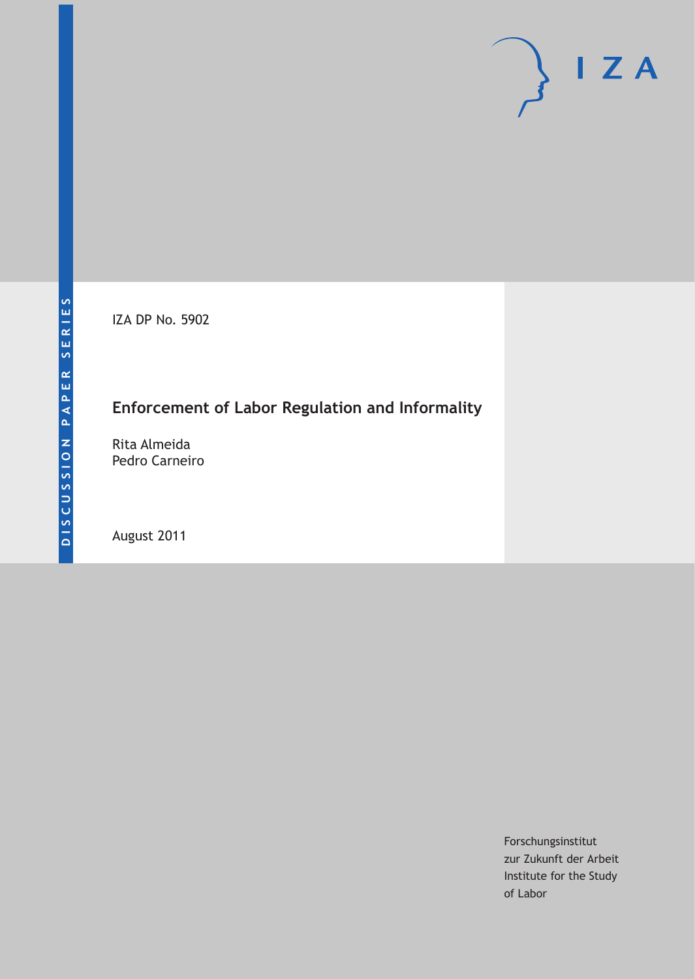IZA DP No. 5902

## **Enforcement of Labor Regulation and Informality**

Rita Almeida Pedro Carneiro

August 2011

Forschungsinstitut zur Zukunft der Arbeit Institute for the Study of Labor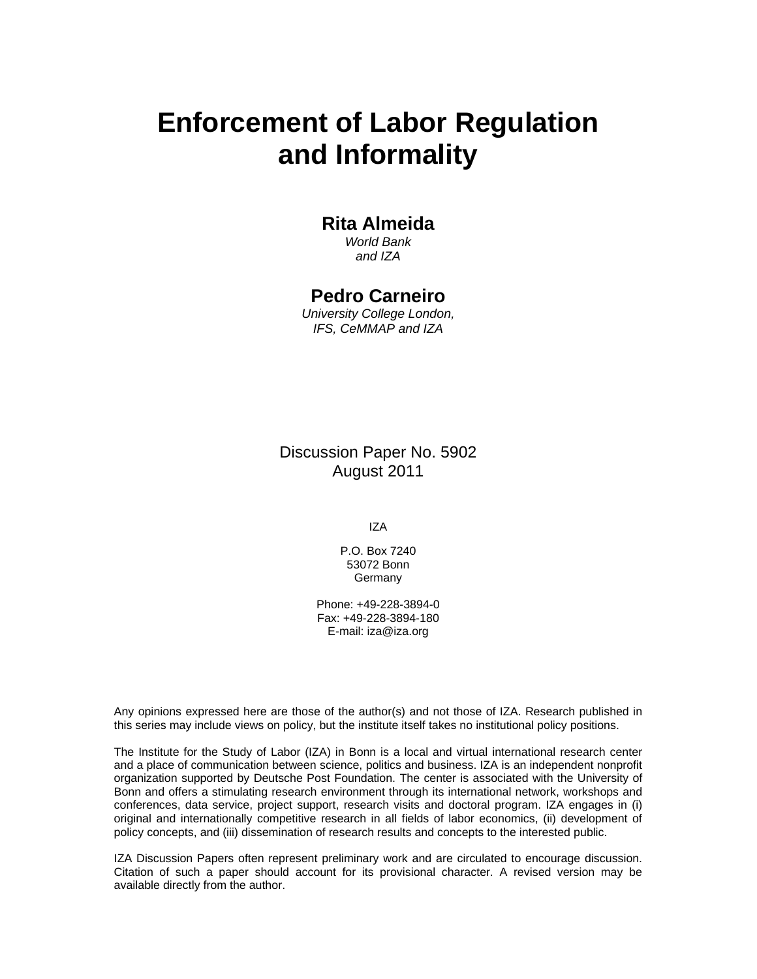# **Enforcement of Labor Regulation and Informality**

#### **Rita Almeida**

*World Bank and IZA* 

#### **Pedro Carneiro**

*University College London, IFS, CeMMAP and IZA* 

Discussion Paper No. 5902 August 2011

IZA

P.O. Box 7240 53072 Bonn Germany

Phone: +49-228-3894-0 Fax: +49-228-3894-180 E-mail: iza@iza.org

Any opinions expressed here are those of the author(s) and not those of IZA. Research published in this series may include views on policy, but the institute itself takes no institutional policy positions.

The Institute for the Study of Labor (IZA) in Bonn is a local and virtual international research center and a place of communication between science, politics and business. IZA is an independent nonprofit organization supported by Deutsche Post Foundation. The center is associated with the University of Bonn and offers a stimulating research environment through its international network, workshops and conferences, data service, project support, research visits and doctoral program. IZA engages in (i) original and internationally competitive research in all fields of labor economics, (ii) development of policy concepts, and (iii) dissemination of research results and concepts to the interested public.

IZA Discussion Papers often represent preliminary work and are circulated to encourage discussion. Citation of such a paper should account for its provisional character. A revised version may be available directly from the author.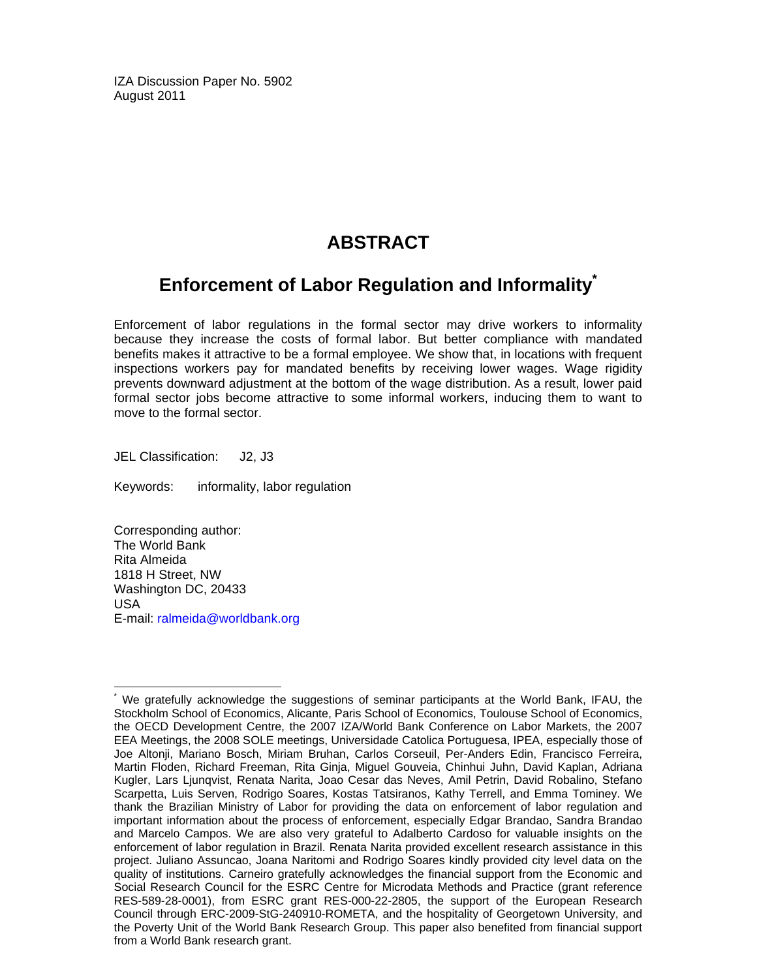IZA Discussion Paper No. 5902 August 2011

## **ABSTRACT**

## **Enforcement of Labor Regulation and Informality**

Enforcement of labor regulations in the formal sector may drive workers to informality because they increase the costs of formal labor. But better compliance with mandated benefits makes it attractive to be a formal employee. We show that, in locations with frequent inspections workers pay for mandated benefits by receiving lower wages. Wage rigidity prevents downward adjustment at the bottom of the wage distribution. As a result, lower paid formal sector jobs become attractive to some informal workers, inducing them to want to move to the formal sector.

JEL Classification: J2, J3

Keywords: informality, labor regulation

Corresponding author: The World Bank Rita Almeida 1818 H Street, NW Washington DC, 20433 USA E-mail: ralmeida@worldbank.org

-

<sup>\*</sup> We gratefully acknowledge the suggestions of seminar participants at the World Bank, IFAU, the Stockholm School of Economics, Alicante, Paris School of Economics, Toulouse School of Economics, the OECD Development Centre, the 2007 IZA/World Bank Conference on Labor Markets, the 2007 EEA Meetings, the 2008 SOLE meetings, Universidade Catolica Portuguesa, IPEA, especially those of Joe Altonji, Mariano Bosch, Miriam Bruhan, Carlos Corseuil, Per-Anders Edin, Francisco Ferreira, Martin Floden, Richard Freeman, Rita Ginja, Miguel Gouveia, Chinhui Juhn, David Kaplan, Adriana Kugler, Lars Ljunqvist, Renata Narita, Joao Cesar das Neves, Amil Petrin, David Robalino, Stefano Scarpetta, Luis Serven, Rodrigo Soares, Kostas Tatsiranos, Kathy Terrell, and Emma Tominey. We thank the Brazilian Ministry of Labor for providing the data on enforcement of labor regulation and important information about the process of enforcement, especially Edgar Brandao, Sandra Brandao and Marcelo Campos. We are also very grateful to Adalberto Cardoso for valuable insights on the enforcement of labor regulation in Brazil. Renata Narita provided excellent research assistance in this project. Juliano Assuncao, Joana Naritomi and Rodrigo Soares kindly provided city level data on the quality of institutions. Carneiro gratefully acknowledges the financial support from the Economic and Social Research Council for the ESRC Centre for Microdata Methods and Practice (grant reference RES-589-28-0001), from ESRC grant RES-000-22-2805, the support of the European Research Council through ERC-2009-StG-240910-ROMETA, and the hospitality of Georgetown University, and the Poverty Unit of the World Bank Research Group. This paper also benefited from financial support from a World Bank research grant.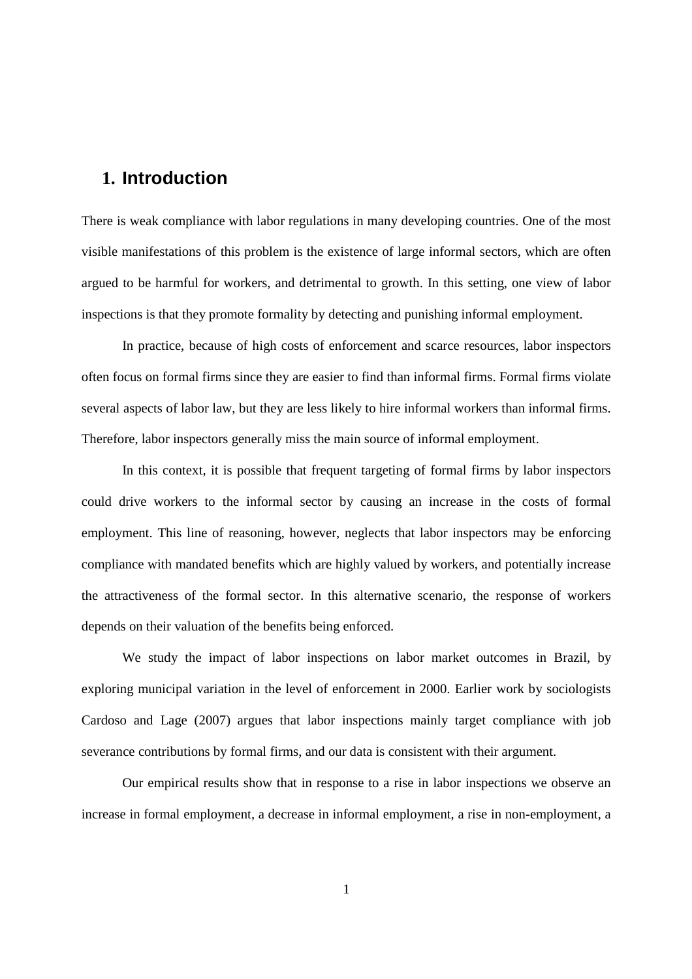## **1. Introduction**

There is weak compliance with labor regulations in many developing countries. One of the most visible manifestations of this problem is the existence of large informal sectors, which are often argued to be harmful for workers, and detrimental to growth. In this setting, one view of labor inspections is that they promote formality by detecting and punishing informal employment.

In practice, because of high costs of enforcement and scarce resources, labor inspectors often focus on formal firms since they are easier to find than informal firms. Formal firms violate several aspects of labor law, but they are less likely to hire informal workers than informal firms. Therefore, labor inspectors generally miss the main source of informal employment.

In this context, it is possible that frequent targeting of formal firms by labor inspectors could drive workers to the informal sector by causing an increase in the costs of formal employment. This line of reasoning, however, neglects that labor inspectors may be enforcing compliance with mandated benefits which are highly valued by workers, and potentially increase the attractiveness of the formal sector. In this alternative scenario, the response of workers depends on their valuation of the benefits being enforced.

We study the impact of labor inspections on labor market outcomes in Brazil, by exploring municipal variation in the level of enforcement in 2000. Earlier work by sociologists Cardoso and Lage (2007) argues that labor inspections mainly target compliance with job severance contributions by formal firms, and our data is consistent with their argument.

Our empirical results show that in response to a rise in labor inspections we observe an increase in formal employment, a decrease in informal employment, a rise in non-employment, a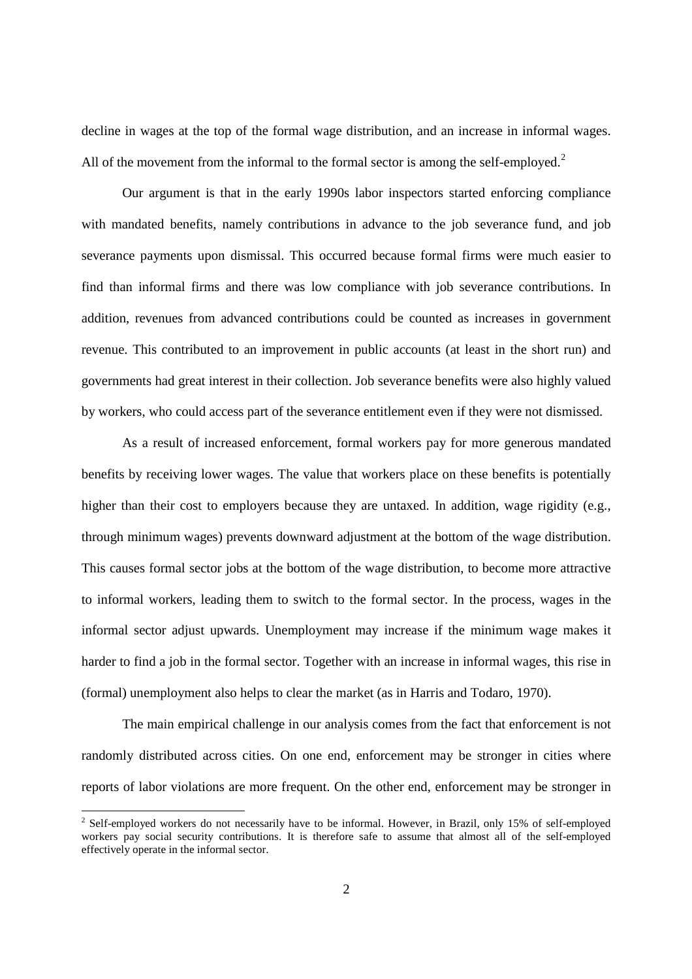decline in wages at the top of the formal wage distribution, and an increase in informal wages. All of the movement from the informal to the formal sector is among the self-employed.<sup>2</sup>

Our argument is that in the early 1990s labor inspectors started enforcing compliance with mandated benefits, namely contributions in advance to the job severance fund, and job severance payments upon dismissal. This occurred because formal firms were much easier to find than informal firms and there was low compliance with job severance contributions. In addition, revenues from advanced contributions could be counted as increases in government revenue. This contributed to an improvement in public accounts (at least in the short run) and governments had great interest in their collection. Job severance benefits were also highly valued by workers, who could access part of the severance entitlement even if they were not dismissed.

As a result of increased enforcement, formal workers pay for more generous mandated benefits by receiving lower wages. The value that workers place on these benefits is potentially higher than their cost to employers because they are untaxed. In addition, wage rigidity (e.g., through minimum wages) prevents downward adjustment at the bottom of the wage distribution. This causes formal sector jobs at the bottom of the wage distribution, to become more attractive to informal workers, leading them to switch to the formal sector. In the process, wages in the informal sector adjust upwards. Unemployment may increase if the minimum wage makes it harder to find a job in the formal sector. Together with an increase in informal wages, this rise in (formal) unemployment also helps to clear the market (as in Harris and Todaro, 1970).

The main empirical challenge in our analysis comes from the fact that enforcement is not randomly distributed across cities. On one end, enforcement may be stronger in cities where reports of labor violations are more frequent. On the other end, enforcement may be stronger in

<sup>&</sup>lt;sup>2</sup> Self-employed workers do not necessarily have to be informal. However, in Brazil, only 15% of self-employed workers pay social security contributions. It is therefore safe to assume that almost all of the self-employed effectively operate in the informal sector.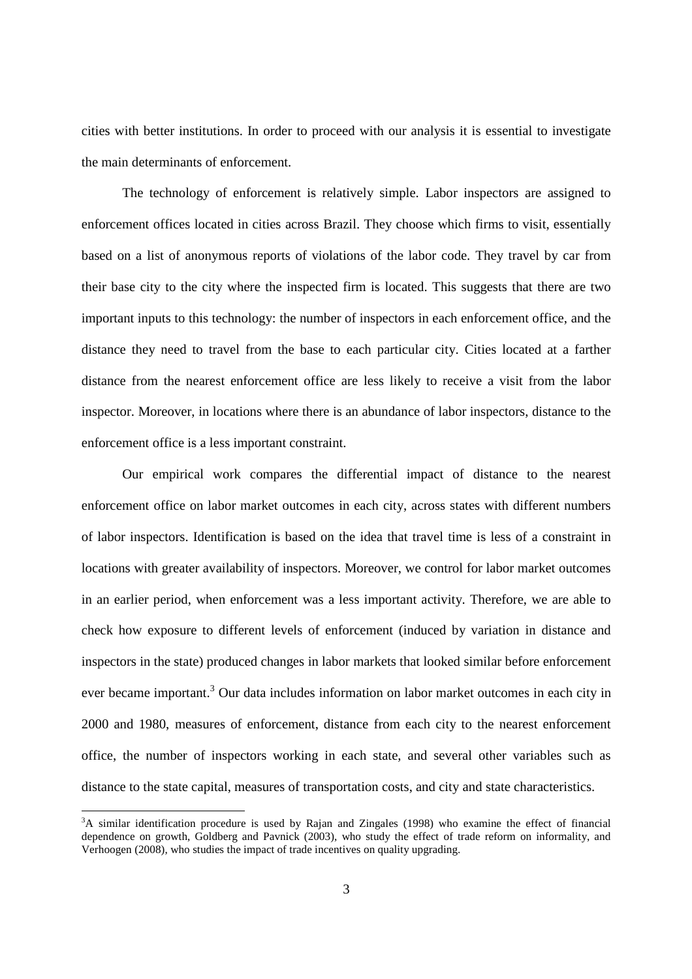cities with better institutions. In order to proceed with our analysis it is essential to investigate the main determinants of enforcement.

The technology of enforcement is relatively simple. Labor inspectors are assigned to enforcement offices located in cities across Brazil. They choose which firms to visit, essentially based on a list of anonymous reports of violations of the labor code. They travel by car from their base city to the city where the inspected firm is located. This suggests that there are two important inputs to this technology: the number of inspectors in each enforcement office, and the distance they need to travel from the base to each particular city. Cities located at a farther distance from the nearest enforcement office are less likely to receive a visit from the labor inspector. Moreover, in locations where there is an abundance of labor inspectors, distance to the enforcement office is a less important constraint.

Our empirical work compares the differential impact of distance to the nearest enforcement office on labor market outcomes in each city, across states with different numbers of labor inspectors. Identification is based on the idea that travel time is less of a constraint in locations with greater availability of inspectors. Moreover, we control for labor market outcomes in an earlier period, when enforcement was a less important activity. Therefore, we are able to check how exposure to different levels of enforcement (induced by variation in distance and inspectors in the state) produced changes in labor markets that looked similar before enforcement ever became important.<sup>3</sup> Our data includes information on labor market outcomes in each city in 2000 and 1980, measures of enforcement, distance from each city to the nearest enforcement office, the number of inspectors working in each state, and several other variables such as distance to the state capital, measures of transportation costs, and city and state characteristics.

<sup>&</sup>lt;sup>3</sup>A similar identification procedure is used by Rajan and Zingales (1998) who examine the effect of financial dependence on growth, Goldberg and Pavnick (2003), who study the effect of trade reform on informality, and Verhoogen (2008), who studies the impact of trade incentives on quality upgrading.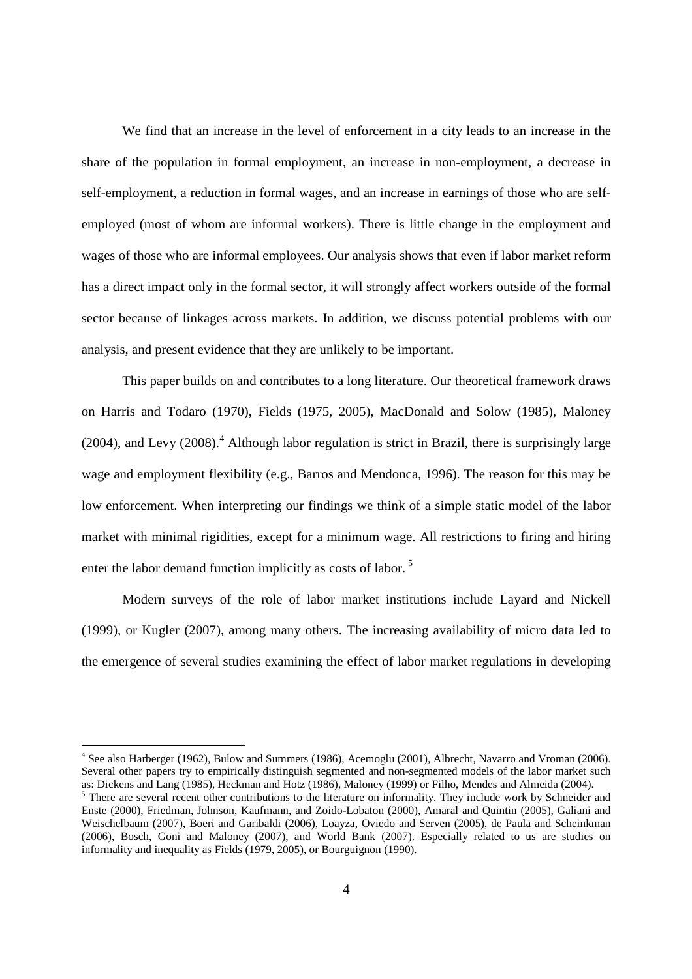We find that an increase in the level of enforcement in a city leads to an increase in the share of the population in formal employment, an increase in non-employment, a decrease in self-employment, a reduction in formal wages, and an increase in earnings of those who are selfemployed (most of whom are informal workers). There is little change in the employment and wages of those who are informal employees. Our analysis shows that even if labor market reform has a direct impact only in the formal sector, it will strongly affect workers outside of the formal sector because of linkages across markets. In addition, we discuss potential problems with our analysis, and present evidence that they are unlikely to be important.

This paper builds on and contributes to a long literature. Our theoretical framework draws on Harris and Todaro (1970), Fields (1975, 2005), MacDonald and Solow (1985), Maloney (2004), and Levy (2008).<sup>4</sup> Although labor regulation is strict in Brazil, there is surprisingly large wage and employment flexibility (e.g., Barros and Mendonca, 1996). The reason for this may be low enforcement. When interpreting our findings we think of a simple static model of the labor market with minimal rigidities, except for a minimum wage. All restrictions to firing and hiring enter the labor demand function implicitly as costs of labor.<sup>5</sup>

Modern surveys of the role of labor market institutions include Layard and Nickell (1999), or Kugler (2007), among many others. The increasing availability of micro data led to the emergence of several studies examining the effect of labor market regulations in developing

<sup>&</sup>lt;sup>4</sup> See also Harberger (1962), Bulow and Summers (1986), Acemoglu (2001), Albrecht, Navarro and Vroman (2006). Several other papers try to empirically distinguish segmented and non-segmented models of the labor market such as: Dickens and Lang (1985), Heckman and Hotz (1986), Maloney (1999) or Filho, Mendes and Almeida (2004).

<sup>&</sup>lt;sup>5</sup> There are several recent other contributions to the literature on informality. They include work by Schneider and Enste (2000), Friedman, Johnson, Kaufmann, and Zoido-Lobaton (2000), Amaral and Quintin (2005), Galiani and Weischelbaum (2007), Boeri and Garibaldi (2006), Loayza, Oviedo and Serven (2005), de Paula and Scheinkman (2006), Bosch, Goni and Maloney (2007), and World Bank (2007). Especially related to us are studies on informality and inequality as Fields (1979, 2005), or Bourguignon (1990).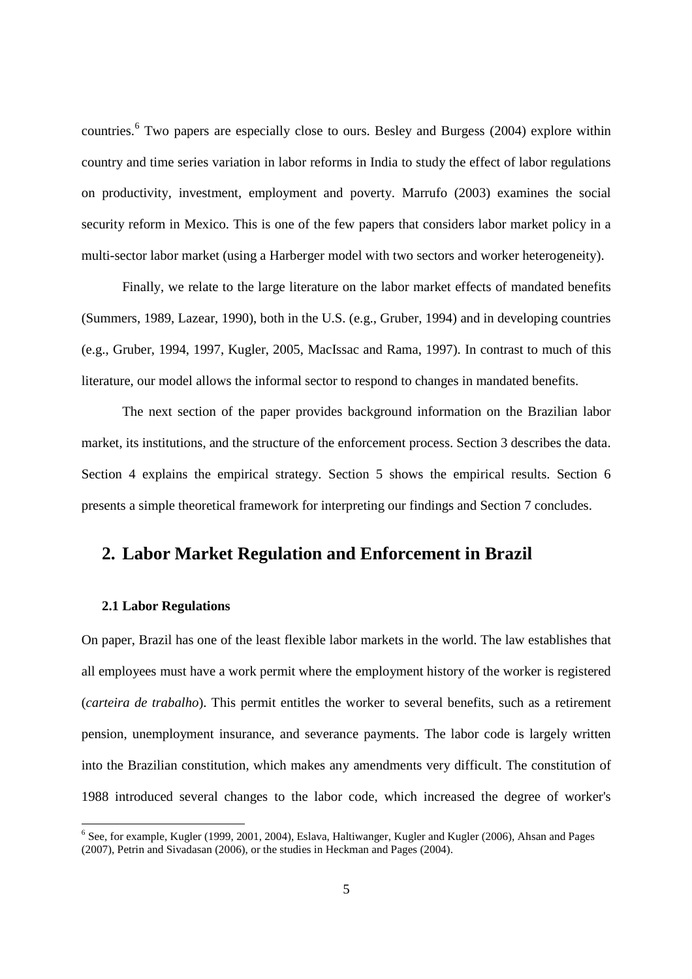countries.<sup>6</sup> Two papers are especially close to ours. Besley and Burgess (2004) explore within country and time series variation in labor reforms in India to study the effect of labor regulations on productivity, investment, employment and poverty. Marrufo (2003) examines the social security reform in Mexico. This is one of the few papers that considers labor market policy in a multi-sector labor market (using a Harberger model with two sectors and worker heterogeneity).

Finally, we relate to the large literature on the labor market effects of mandated benefits (Summers, 1989, Lazear, 1990), both in the U.S. (e.g., Gruber, 1994) and in developing countries (e.g., Gruber, 1994, 1997, Kugler, 2005, MacIssac and Rama, 1997). In contrast to much of this literature, our model allows the informal sector to respond to changes in mandated benefits.

The next section of the paper provides background information on the Brazilian labor market, its institutions, and the structure of the enforcement process. Section 3 describes the data. Section 4 explains the empirical strategy. Section 5 shows the empirical results. Section 6 presents a simple theoretical framework for interpreting our findings and Section 7 concludes.

### **2. Labor Market Regulation and Enforcement in Brazil**

#### **2.1 Labor Regulations**

On paper, Brazil has one of the least flexible labor markets in the world. The law establishes that all employees must have a work permit where the employment history of the worker is registered (*carteira de trabalho*). This permit entitles the worker to several benefits, such as a retirement pension, unemployment insurance, and severance payments. The labor code is largely written into the Brazilian constitution, which makes any amendments very difficult. The constitution of 1988 introduced several changes to the labor code, which increased the degree of worker's

<sup>&</sup>lt;sup>6</sup> See, for example, Kugler (1999, 2001, 2004), Eslava, Haltiwanger, Kugler and Kugler (2006), Ahsan and Pages (2007), Petrin and Sivadasan (2006), or the studies in Heckman and Pages (2004).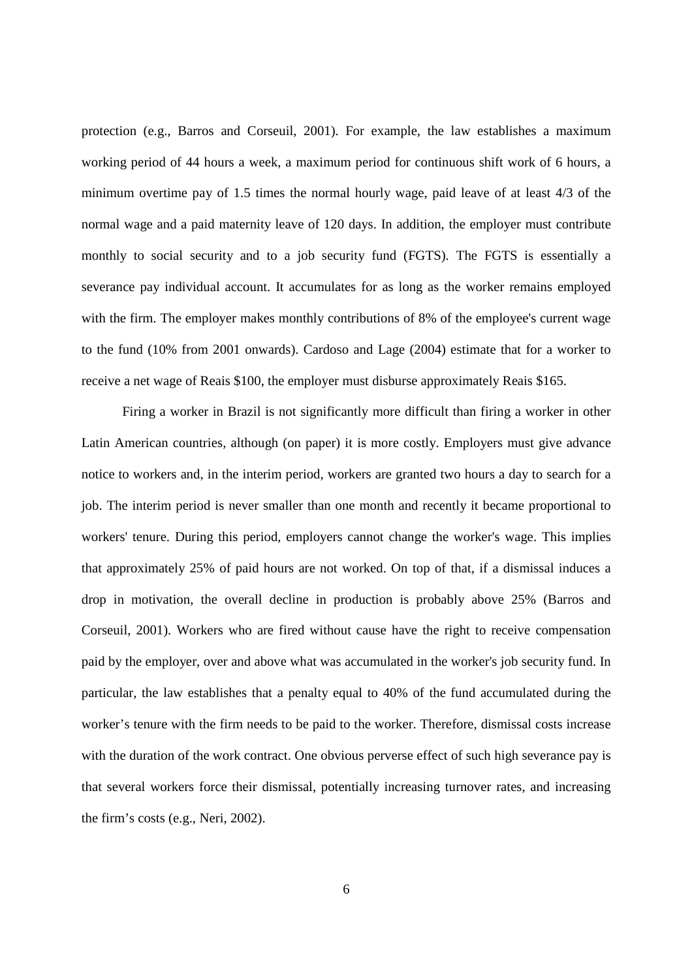protection (e.g., Barros and Corseuil, 2001). For example, the law establishes a maximum working period of 44 hours a week, a maximum period for continuous shift work of 6 hours, a minimum overtime pay of 1.5 times the normal hourly wage, paid leave of at least 4/3 of the normal wage and a paid maternity leave of 120 days. In addition, the employer must contribute monthly to social security and to a job security fund (FGTS). The FGTS is essentially a severance pay individual account. It accumulates for as long as the worker remains employed with the firm. The employer makes monthly contributions of 8% of the employee's current wage to the fund (10% from 2001 onwards). Cardoso and Lage (2004) estimate that for a worker to receive a net wage of Reais \$100, the employer must disburse approximately Reais \$165.

Firing a worker in Brazil is not significantly more difficult than firing a worker in other Latin American countries, although (on paper) it is more costly. Employers must give advance notice to workers and, in the interim period, workers are granted two hours a day to search for a job. The interim period is never smaller than one month and recently it became proportional to workers' tenure. During this period, employers cannot change the worker's wage. This implies that approximately 25% of paid hours are not worked. On top of that, if a dismissal induces a drop in motivation, the overall decline in production is probably above 25% (Barros and Corseuil, 2001). Workers who are fired without cause have the right to receive compensation paid by the employer, over and above what was accumulated in the worker's job security fund. In particular, the law establishes that a penalty equal to 40% of the fund accumulated during the worker's tenure with the firm needs to be paid to the worker. Therefore, dismissal costs increase with the duration of the work contract. One obvious perverse effect of such high severance pay is that several workers force their dismissal, potentially increasing turnover rates, and increasing the firm's costs (e.g., Neri, 2002).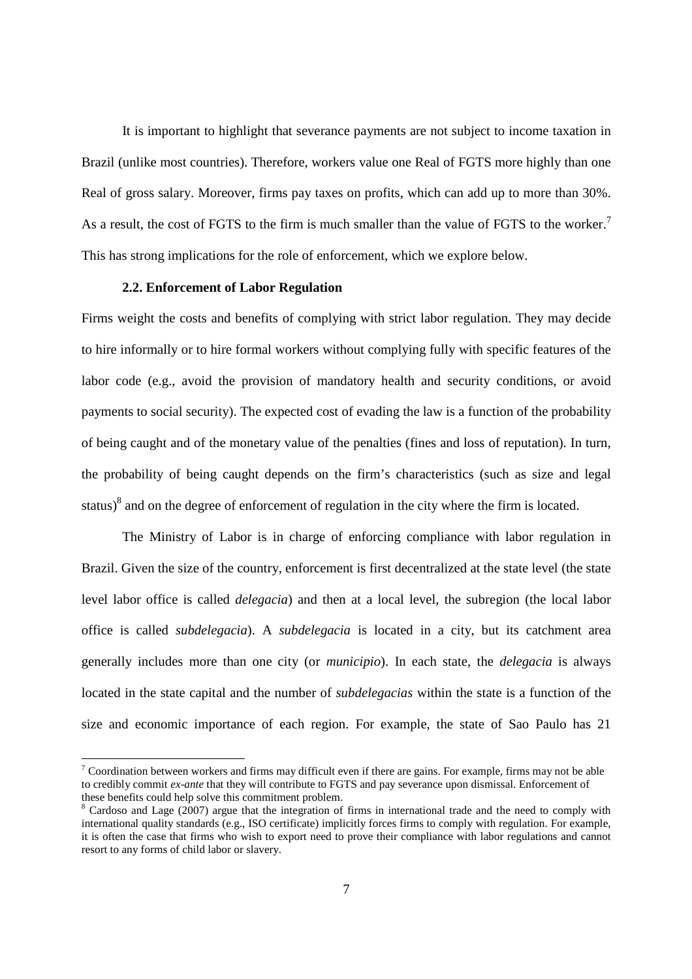It is important to highlight that severance payments are not subject to income taxation in Brazil (unlike most countries). Therefore, workers value one Real of FGTS more highly than one Real of gross salary. Moreover, firms pay taxes on profits, which can add up to more than 30%. As a result, the cost of FGTS to the firm is much smaller than the value of FGTS to the worker.<sup>7</sup> This has strong implications for the role of enforcement, which we explore below.

#### **2.2. Enforcement of Labor Regulation**

Firms weight the costs and benefits of complying with strict labor regulation. They may decide to hire informally or to hire formal workers without complying fully with specific features of the labor code (e.g., avoid the provision of mandatory health and security conditions, or avoid payments to social security). The expected cost of evading the law is a function of the probability of being caught and of the monetary value of the penalties (fines and loss of reputation). In turn, the probability of being caught depends on the firm's characteristics (such as size and legal status) $8$  and on the degree of enforcement of regulation in the city where the firm is located.

The Ministry of Labor is in charge of enforcing compliance with labor regulation in Brazil. Given the size of the country, enforcement is first decentralized at the state level (the state level labor office is called *delegacia*) and then at a local level, the subregion (the local labor office is called *subdelegacia*). A *subdelegacia* is located in a city, but its catchment area generally includes more than one city (or *municipio*). In each state, the *delegacia* is always located in the state capital and the number of *subdelegacias* within the state is a function of the size and economic importance of each region. For example, the state of Sao Paulo has 21

 $\frac{7}{1}$  Coordination between workers and firms may difficult even if there are gains. For example, firms may not be able to credibly commit *ex-ante* that they will contribute to FGTS and pay severance upon dismissal. Enforcement of these benefits could help solve this commitment problem.

<sup>8</sup> Cardoso and Lage (2007) argue that the integration of firms in international trade and the need to comply with international quality standards (e.g., ISO certificate) implicitly forces firms to comply with regulation. For example, it is often the case that firms who wish to export need to prove their compliance with labor regulations and cannot resort to any forms of child labor or slavery.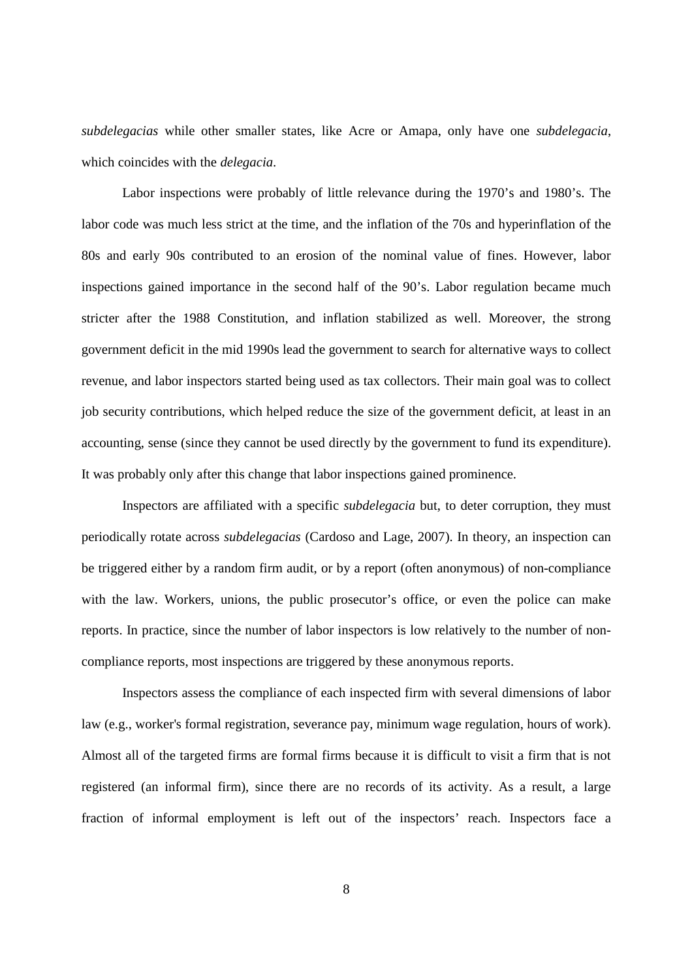*subdelegacias* while other smaller states, like Acre or Amapa, only have one *subdelegacia*, which coincides with the *delegacia*.

Labor inspections were probably of little relevance during the 1970's and 1980's. The labor code was much less strict at the time, and the inflation of the 70s and hyperinflation of the 80s and early 90s contributed to an erosion of the nominal value of fines. However, labor inspections gained importance in the second half of the 90's. Labor regulation became much stricter after the 1988 Constitution, and inflation stabilized as well. Moreover, the strong government deficit in the mid 1990s lead the government to search for alternative ways to collect revenue, and labor inspectors started being used as tax collectors. Their main goal was to collect job security contributions, which helped reduce the size of the government deficit, at least in an accounting, sense (since they cannot be used directly by the government to fund its expenditure). It was probably only after this change that labor inspections gained prominence.

Inspectors are affiliated with a specific *subdelegacia* but, to deter corruption, they must periodically rotate across *subdelegacias* (Cardoso and Lage, 2007). In theory, an inspection can be triggered either by a random firm audit, or by a report (often anonymous) of non-compliance with the law. Workers, unions, the public prosecutor's office, or even the police can make reports. In practice, since the number of labor inspectors is low relatively to the number of noncompliance reports, most inspections are triggered by these anonymous reports.

Inspectors assess the compliance of each inspected firm with several dimensions of labor law (e.g., worker's formal registration, severance pay, minimum wage regulation, hours of work). Almost all of the targeted firms are formal firms because it is difficult to visit a firm that is not registered (an informal firm), since there are no records of its activity. As a result, a large fraction of informal employment is left out of the inspectors' reach. Inspectors face a

8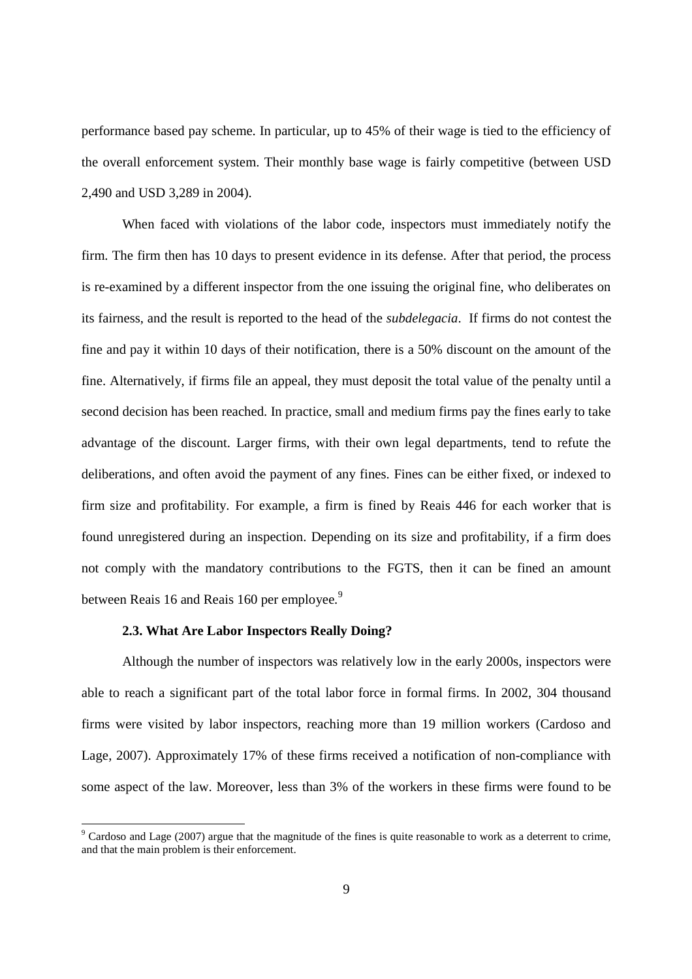performance based pay scheme. In particular, up to 45% of their wage is tied to the efficiency of the overall enforcement system. Their monthly base wage is fairly competitive (between USD 2,490 and USD 3,289 in 2004).

When faced with violations of the labor code, inspectors must immediately notify the firm. The firm then has 10 days to present evidence in its defense. After that period, the process is re-examined by a different inspector from the one issuing the original fine, who deliberates on its fairness, and the result is reported to the head of the *subdelegacia*. If firms do not contest the fine and pay it within 10 days of their notification, there is a 50% discount on the amount of the fine. Alternatively, if firms file an appeal, they must deposit the total value of the penalty until a second decision has been reached. In practice, small and medium firms pay the fines early to take advantage of the discount. Larger firms, with their own legal departments, tend to refute the deliberations, and often avoid the payment of any fines. Fines can be either fixed, or indexed to firm size and profitability. For example, a firm is fined by Reais 446 for each worker that is found unregistered during an inspection. Depending on its size and profitability, if a firm does not comply with the mandatory contributions to the FGTS, then it can be fined an amount between Reais 16 and Reais 160 per employee.<sup>9</sup>

#### **2.3. What Are Labor Inspectors Really Doing?**

Although the number of inspectors was relatively low in the early 2000s, inspectors were able to reach a significant part of the total labor force in formal firms. In 2002, 304 thousand firms were visited by labor inspectors, reaching more than 19 million workers (Cardoso and Lage, 2007). Approximately 17% of these firms received a notification of non-compliance with some aspect of the law. Moreover, less than 3% of the workers in these firms were found to be

<sup>9</sup> Cardoso and Lage (2007) argue that the magnitude of the fines is quite reasonable to work as a deterrent to crime, and that the main problem is their enforcement.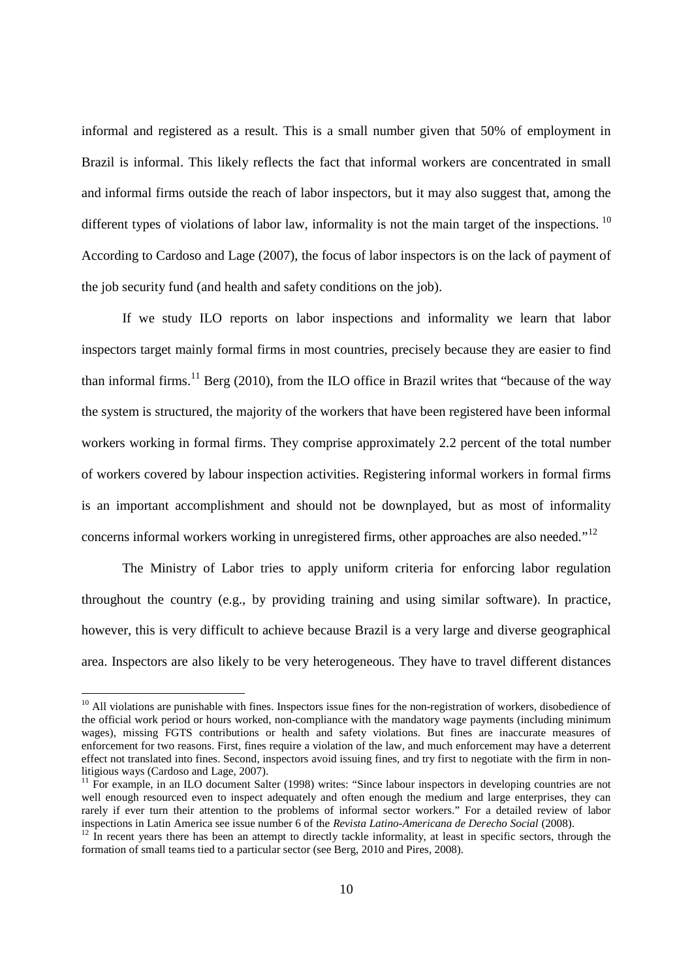informal and registered as a result. This is a small number given that 50% of employment in Brazil is informal. This likely reflects the fact that informal workers are concentrated in small and informal firms outside the reach of labor inspectors, but it may also suggest that, among the different types of violations of labor law, informality is not the main target of the inspections. <sup>10</sup> According to Cardoso and Lage (2007), the focus of labor inspectors is on the lack of payment of the job security fund (and health and safety conditions on the job).

If we study ILO reports on labor inspections and informality we learn that labor inspectors target mainly formal firms in most countries, precisely because they are easier to find than informal firms.<sup>11</sup> Berg (2010), from the ILO office in Brazil writes that "because of the way the system is structured, the majority of the workers that have been registered have been informal workers working in formal firms. They comprise approximately 2.2 percent of the total number of workers covered by labour inspection activities. Registering informal workers in formal firms is an important accomplishment and should not be downplayed, but as most of informality concerns informal workers working in unregistered firms, other approaches are also needed."<sup>12</sup>

The Ministry of Labor tries to apply uniform criteria for enforcing labor regulation throughout the country (e.g., by providing training and using similar software). In practice, however, this is very difficult to achieve because Brazil is a very large and diverse geographical area. Inspectors are also likely to be very heterogeneous. They have to travel different distances

 $10$  All violations are punishable with fines. Inspectors issue fines for the non-registration of workers, disobedience of the official work period or hours worked, non-compliance with the mandatory wage payments (including minimum wages), missing FGTS contributions or health and safety violations. But fines are inaccurate measures of enforcement for two reasons. First, fines require a violation of the law, and much enforcement may have a deterrent effect not translated into fines. Second, inspectors avoid issuing fines, and try first to negotiate with the firm in nonlitigious ways (Cardoso and Lage, 2007).

 $11$  For example, in an ILO document Salter (1998) writes: "Since labour inspectors in developing countries are not well enough resourced even to inspect adequately and often enough the medium and large enterprises, they can rarely if ever turn their attention to the problems of informal sector workers." For a detailed review of labor inspections in Latin America see issue number 6 of the *Revista Latino-Americana de Derecho Social* (2008).

 $12$  In recent years there has been an attempt to directly tackle informality, at least in specific sectors, through the formation of small teams tied to a particular sector (see Berg, 2010 and Pires, 2008).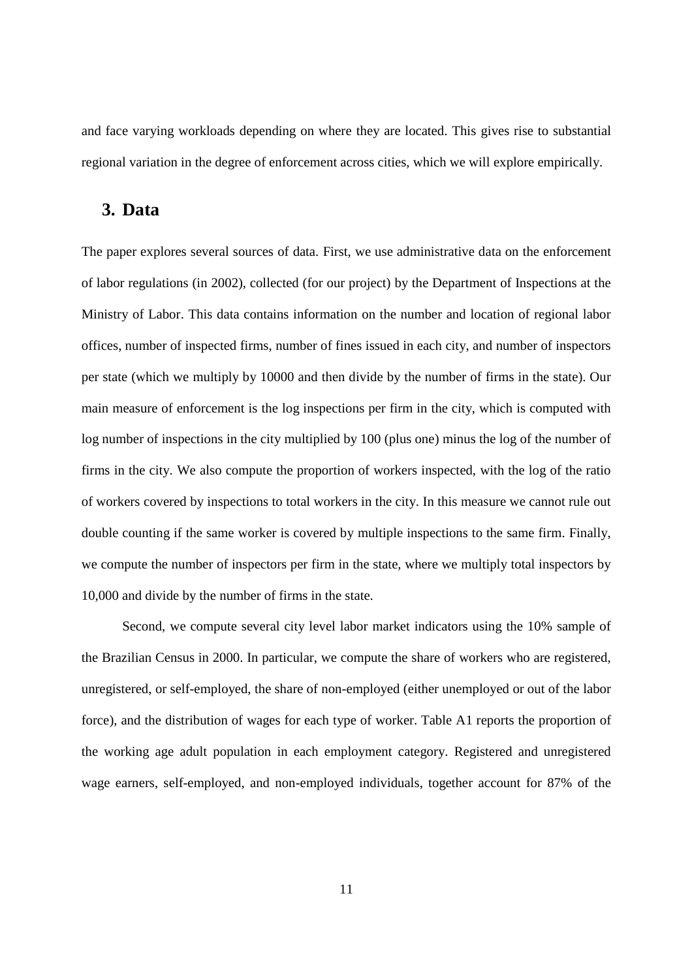and face varying workloads depending on where they are located. This gives rise to substantial regional variation in the degree of enforcement across cities, which we will explore empirically.

### **3. Data**

The paper explores several sources of data. First, we use administrative data on the enforcement of labor regulations (in 2002), collected (for our project) by the Department of Inspections at the Ministry of Labor. This data contains information on the number and location of regional labor offices, number of inspected firms, number of fines issued in each city, and number of inspectors per state (which we multiply by 10000 and then divide by the number of firms in the state). Our main measure of enforcement is the log inspections per firm in the city, which is computed with log number of inspections in the city multiplied by 100 (plus one) minus the log of the number of firms in the city. We also compute the proportion of workers inspected, with the log of the ratio of workers covered by inspections to total workers in the city. In this measure we cannot rule out double counting if the same worker is covered by multiple inspections to the same firm. Finally, we compute the number of inspectors per firm in the state, where we multiply total inspectors by 10,000 and divide by the number of firms in the state.

Second, we compute several city level labor market indicators using the 10% sample of the Brazilian Census in 2000. In particular, we compute the share of workers who are registered, unregistered, or self-employed, the share of non-employed (either unemployed or out of the labor force), and the distribution of wages for each type of worker. Table A1 reports the proportion of the working age adult population in each employment category. Registered and unregistered wage earners, self-employed, and non-employed individuals, together account for 87% of the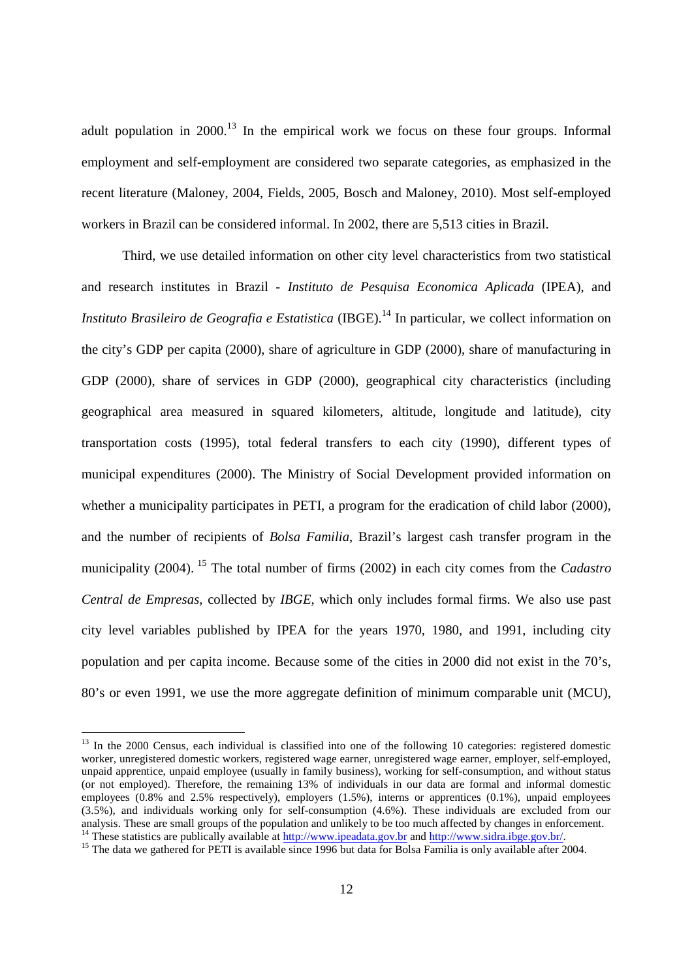adult population in  $2000$ <sup>13</sup>. In the empirical work we focus on these four groups. Informal employment and self-employment are considered two separate categories, as emphasized in the recent literature (Maloney, 2004, Fields, 2005, Bosch and Maloney, 2010). Most self-employed workers in Brazil can be considered informal. In 2002, there are 5,513 cities in Brazil.

Third, we use detailed information on other city level characteristics from two statistical and research institutes in Brazil - *Instituto de Pesquisa Economica Aplicada* (IPEA), and *Instituto Brasileiro de Geografia e Estatistica* (IBGE).<sup>14</sup> In particular, we collect information on the city's GDP per capita (2000), share of agriculture in GDP (2000), share of manufacturing in GDP (2000), share of services in GDP (2000), geographical city characteristics (including geographical area measured in squared kilometers, altitude, longitude and latitude), city transportation costs (1995), total federal transfers to each city (1990), different types of municipal expenditures (2000). The Ministry of Social Development provided information on whether a municipality participates in PETI, a program for the eradication of child labor (2000), and the number of recipients of *Bolsa Familia*, Brazil's largest cash transfer program in the municipality (2004). <sup>15</sup> The total number of firms (2002) in each city comes from the *Cadastro Central de Empresas*, collected by *IBGE*, which only includes formal firms. We also use past city level variables published by IPEA for the years 1970, 1980, and 1991, including city population and per capita income. Because some of the cities in 2000 did not exist in the 70's, 80's or even 1991, we use the more aggregate definition of minimum comparable unit (MCU),

 $13$  In the 2000 Census, each individual is classified into one of the following 10 categories: registered domestic worker, unregistered domestic workers, registered wage earner, unregistered wage earner, employer, self-employed, unpaid apprentice, unpaid employee (usually in family business), working for self-consumption, and without status (or not employed). Therefore, the remaining 13% of individuals in our data are formal and informal domestic employees  $(0.8\%$  and 2.5% respectively), employers  $(1.5\%)$ , interns or apprentices  $(0.1\%)$ , unpaid employees (3.5%), and individuals working only for self-consumption (4.6%). These individuals are excluded from our analysis. These are small groups of the population and unlikely to be too much affected by changes in enforcement. <sup>14</sup> These statistics are publically available at http://www.ipeadata.gov.br and http://www.sidra.ibge.gov.br/.

<sup>&</sup>lt;sup>15</sup> The data we gathered for PETI is available since 1996 but data for Bolsa Familia is only available after 2004.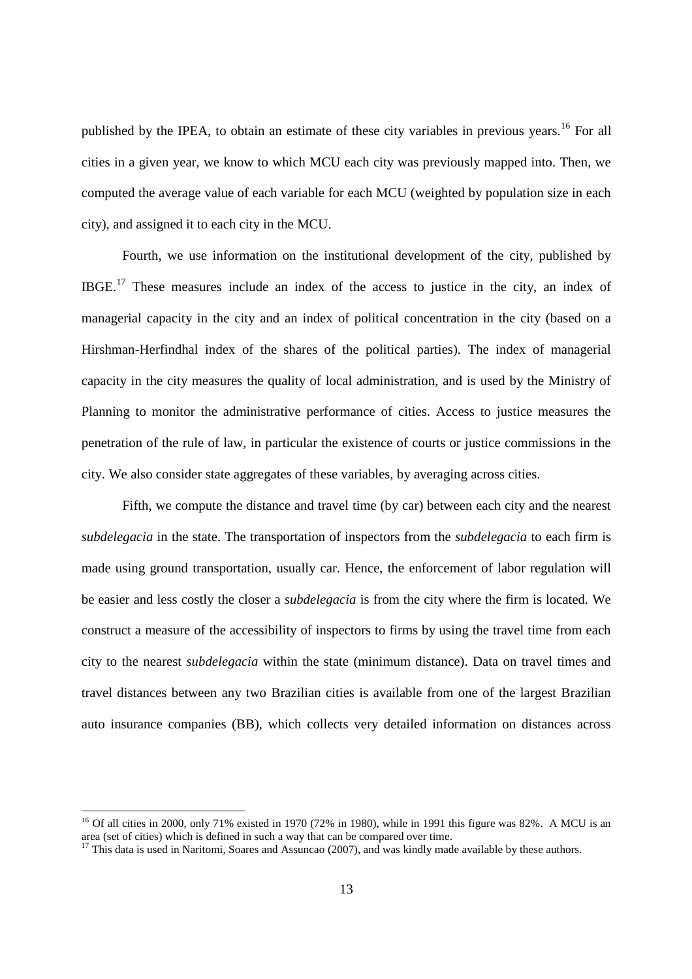published by the IPEA, to obtain an estimate of these city variables in previous years.<sup>16</sup> For all cities in a given year, we know to which MCU each city was previously mapped into. Then, we computed the average value of each variable for each MCU (weighted by population size in each city), and assigned it to each city in the MCU.

Fourth, we use information on the institutional development of the city, published by IBGE.<sup>17</sup> These measures include an index of the access to justice in the city, an index of managerial capacity in the city and an index of political concentration in the city (based on a Hirshman-Herfindhal index of the shares of the political parties). The index of managerial capacity in the city measures the quality of local administration, and is used by the Ministry of Planning to monitor the administrative performance of cities. Access to justice measures the penetration of the rule of law, in particular the existence of courts or justice commissions in the city. We also consider state aggregates of these variables, by averaging across cities.

Fifth, we compute the distance and travel time (by car) between each city and the nearest *subdelegacia* in the state. The transportation of inspectors from the *subdelegacia* to each firm is made using ground transportation, usually car. Hence, the enforcement of labor regulation will be easier and less costly the closer a *subdelegacia* is from the city where the firm is located. We construct a measure of the accessibility of inspectors to firms by using the travel time from each city to the nearest *subdelegacia* within the state (minimum distance). Data on travel times and travel distances between any two Brazilian cities is available from one of the largest Brazilian auto insurance companies (BB), which collects very detailed information on distances across

<sup>&</sup>lt;sup>16</sup> Of all cities in 2000, only 71% existed in 1970 (72% in 1980), while in 1991 this figure was 82%. A MCU is an area (set of cities) which is defined in such a way that can be compared over time.

 $17$  This data is used in Naritomi, Soares and Assuncao (2007), and was kindly made available by these authors.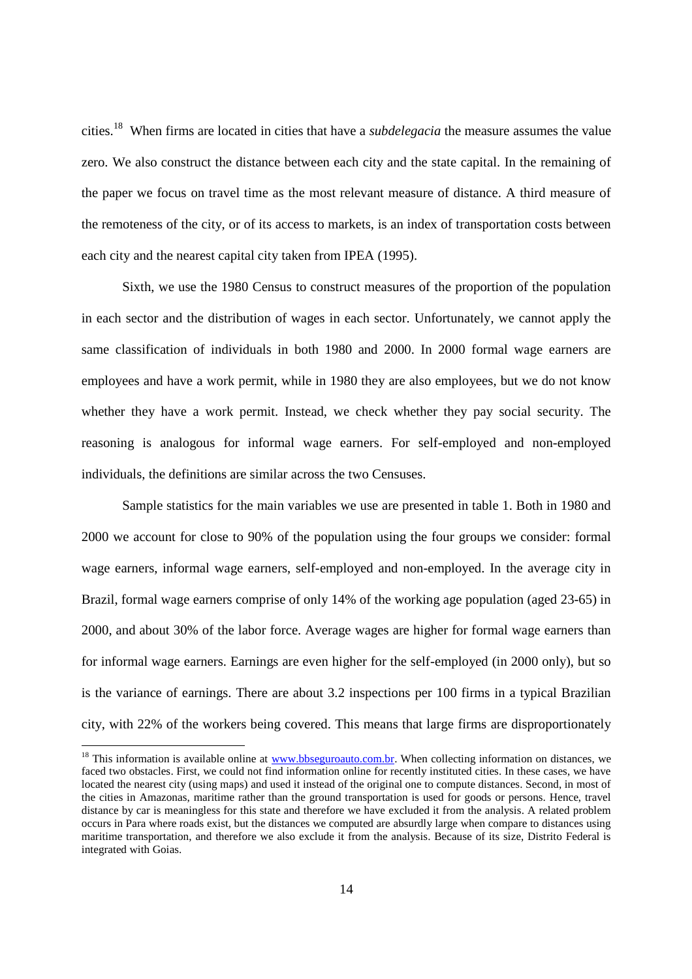cities.<sup>18</sup> When firms are located in cities that have a *subdelegacia* the measure assumes the value zero. We also construct the distance between each city and the state capital. In the remaining of the paper we focus on travel time as the most relevant measure of distance. A third measure of the remoteness of the city, or of its access to markets, is an index of transportation costs between each city and the nearest capital city taken from IPEA (1995).

Sixth, we use the 1980 Census to construct measures of the proportion of the population in each sector and the distribution of wages in each sector. Unfortunately, we cannot apply the same classification of individuals in both 1980 and 2000. In 2000 formal wage earners are employees and have a work permit, while in 1980 they are also employees, but we do not know whether they have a work permit. Instead, we check whether they pay social security. The reasoning is analogous for informal wage earners. For self-employed and non-employed individuals, the definitions are similar across the two Censuses.

Sample statistics for the main variables we use are presented in table 1. Both in 1980 and 2000 we account for close to 90% of the population using the four groups we consider: formal wage earners, informal wage earners, self-employed and non-employed. In the average city in Brazil, formal wage earners comprise of only 14% of the working age population (aged 23-65) in 2000, and about 30% of the labor force. Average wages are higher for formal wage earners than for informal wage earners. Earnings are even higher for the self-employed (in 2000 only), but so is the variance of earnings. There are about 3.2 inspections per 100 firms in a typical Brazilian city, with 22% of the workers being covered. This means that large firms are disproportionately

<sup>&</sup>lt;sup>18</sup> This information is available online at www.bbseguroauto.com.br. When collecting information on distances, we faced two obstacles. First, we could not find information online for recently instituted cities. In these cases, we have located the nearest city (using maps) and used it instead of the original one to compute distances. Second, in most of the cities in Amazonas, maritime rather than the ground transportation is used for goods or persons. Hence, travel distance by car is meaningless for this state and therefore we have excluded it from the analysis. A related problem occurs in Para where roads exist, but the distances we computed are absurdly large when compare to distances using maritime transportation, and therefore we also exclude it from the analysis. Because of its size, Distrito Federal is integrated with Goias.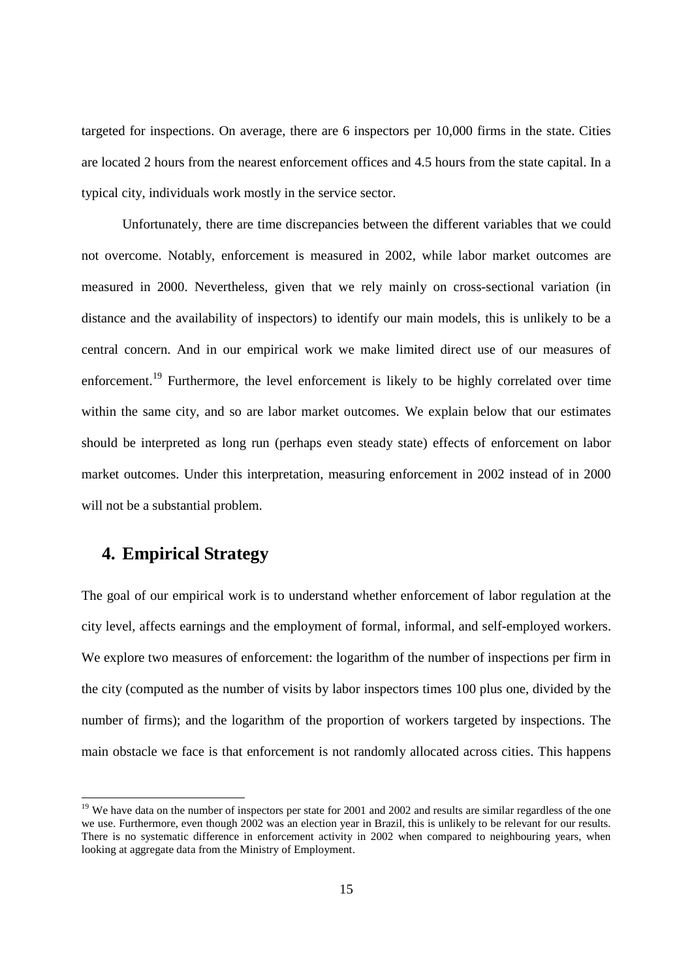targeted for inspections. On average, there are 6 inspectors per 10,000 firms in the state. Cities are located 2 hours from the nearest enforcement offices and 4.5 hours from the state capital. In a typical city, individuals work mostly in the service sector.

Unfortunately, there are time discrepancies between the different variables that we could not overcome. Notably, enforcement is measured in 2002, while labor market outcomes are measured in 2000. Nevertheless, given that we rely mainly on cross-sectional variation (in distance and the availability of inspectors) to identify our main models, this is unlikely to be a central concern. And in our empirical work we make limited direct use of our measures of enforcement.<sup>19</sup> Furthermore, the level enforcement is likely to be highly correlated over time within the same city, and so are labor market outcomes. We explain below that our estimates should be interpreted as long run (perhaps even steady state) effects of enforcement on labor market outcomes. Under this interpretation, measuring enforcement in 2002 instead of in 2000 will not be a substantial problem.

### **4. Empirical Strategy**

The goal of our empirical work is to understand whether enforcement of labor regulation at the city level, affects earnings and the employment of formal, informal, and self-employed workers. We explore two measures of enforcement: the logarithm of the number of inspections per firm in the city (computed as the number of visits by labor inspectors times 100 plus one, divided by the number of firms); and the logarithm of the proportion of workers targeted by inspections. The main obstacle we face is that enforcement is not randomly allocated across cities. This happens

<sup>&</sup>lt;sup>19</sup> We have data on the number of inspectors per state for 2001 and 2002 and results are similar regardless of the one we use. Furthermore, even though 2002 was an election year in Brazil, this is unlikely to be relevant for our results. There is no systematic difference in enforcement activity in 2002 when compared to neighbouring years, when looking at aggregate data from the Ministry of Employment.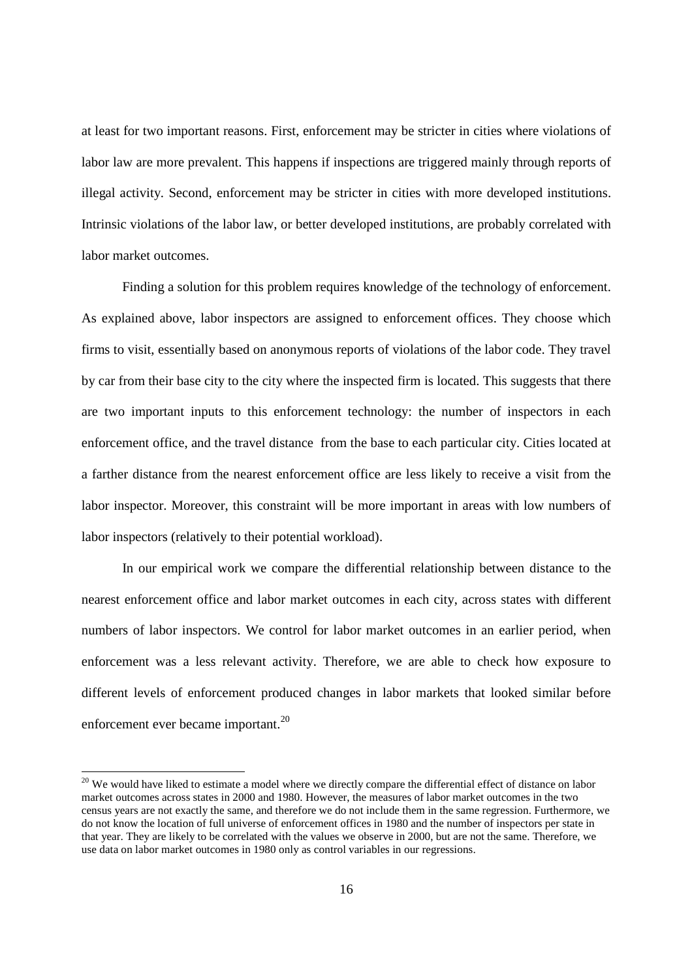at least for two important reasons. First, enforcement may be stricter in cities where violations of labor law are more prevalent. This happens if inspections are triggered mainly through reports of illegal activity. Second, enforcement may be stricter in cities with more developed institutions. Intrinsic violations of the labor law, or better developed institutions, are probably correlated with labor market outcomes.

Finding a solution for this problem requires knowledge of the technology of enforcement. As explained above, labor inspectors are assigned to enforcement offices. They choose which firms to visit, essentially based on anonymous reports of violations of the labor code. They travel by car from their base city to the city where the inspected firm is located. This suggests that there are two important inputs to this enforcement technology: the number of inspectors in each enforcement office, and the travel distance from the base to each particular city. Cities located at a farther distance from the nearest enforcement office are less likely to receive a visit from the labor inspector. Moreover, this constraint will be more important in areas with low numbers of labor inspectors (relatively to their potential workload).

In our empirical work we compare the differential relationship between distance to the nearest enforcement office and labor market outcomes in each city, across states with different numbers of labor inspectors. We control for labor market outcomes in an earlier period, when enforcement was a less relevant activity. Therefore, we are able to check how exposure to different levels of enforcement produced changes in labor markets that looked similar before enforcement ever became important.<sup>20</sup>

<sup>&</sup>lt;sup>20</sup> We would have liked to estimate a model where we directly compare the differential effect of distance on labor market outcomes across states in 2000 and 1980. However, the measures of labor market outcomes in the two census years are not exactly the same, and therefore we do not include them in the same regression. Furthermore, we do not know the location of full universe of enforcement offices in 1980 and the number of inspectors per state in that year. They are likely to be correlated with the values we observe in 2000, but are not the same. Therefore, we use data on labor market outcomes in 1980 only as control variables in our regressions.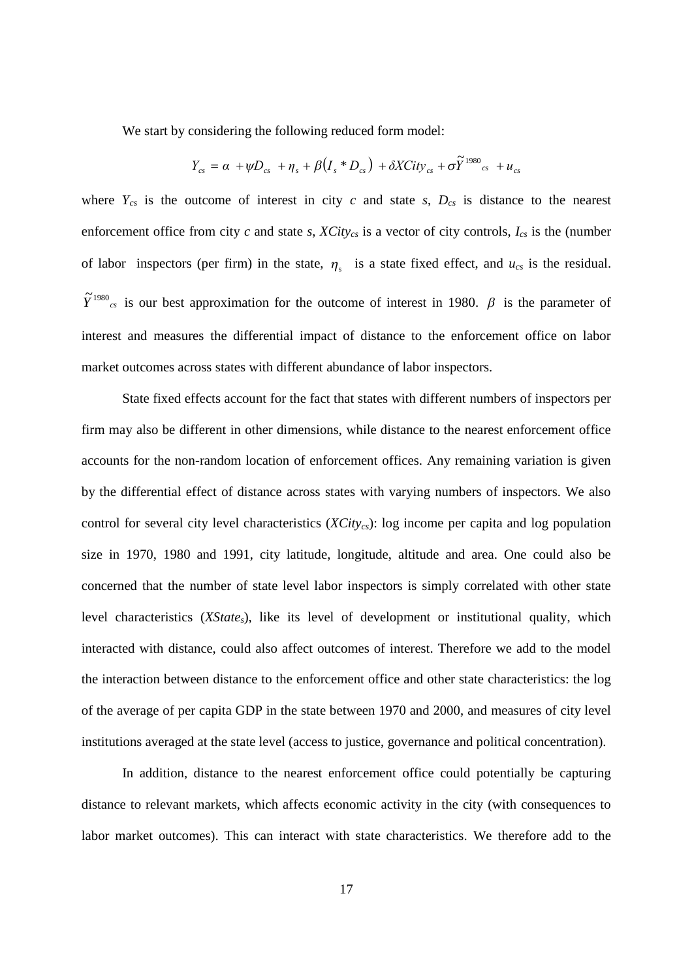We start by considering the following reduced form model:

$$
Y_{cs} = \alpha + \psi D_{cs} + \eta_s + \beta (I_s * D_{cs}) + \delta X City_{cs} + \sigma \widetilde{Y}^{1980}{}_{cs} + u_{cs}
$$

where  $Y_{cs}$  is the outcome of interest in city *c* and state *s*,  $D_{cs}$  is distance to the nearest enforcement office from city *c* and state *s*, *XCitycs* is a vector of city controls, *Ics* is the (number of labor inspectors (per firm) in the state,  $\eta_s$  is a state fixed effect, and  $u_{cs}$  is the residual.  $\tilde{Y}^{1980}$ <sub>cs</sub> is our best approximation for the outcome of interest in 1980.  $\beta$  is the parameter of interest and measures the differential impact of distance to the enforcement office on labor market outcomes across states with different abundance of labor inspectors.

State fixed effects account for the fact that states with different numbers of inspectors per firm may also be different in other dimensions, while distance to the nearest enforcement office accounts for the non-random location of enforcement offices. Any remaining variation is given by the differential effect of distance across states with varying numbers of inspectors. We also control for several city level characteristics (*XCitycs*): log income per capita and log population size in 1970, 1980 and 1991, city latitude, longitude, altitude and area. One could also be concerned that the number of state level labor inspectors is simply correlated with other state level characteristics (*XStates*), like its level of development or institutional quality, which interacted with distance, could also affect outcomes of interest. Therefore we add to the model the interaction between distance to the enforcement office and other state characteristics: the log of the average of per capita GDP in the state between 1970 and 2000, and measures of city level institutions averaged at the state level (access to justice, governance and political concentration).

In addition, distance to the nearest enforcement office could potentially be capturing distance to relevant markets, which affects economic activity in the city (with consequences to labor market outcomes). This can interact with state characteristics. We therefore add to the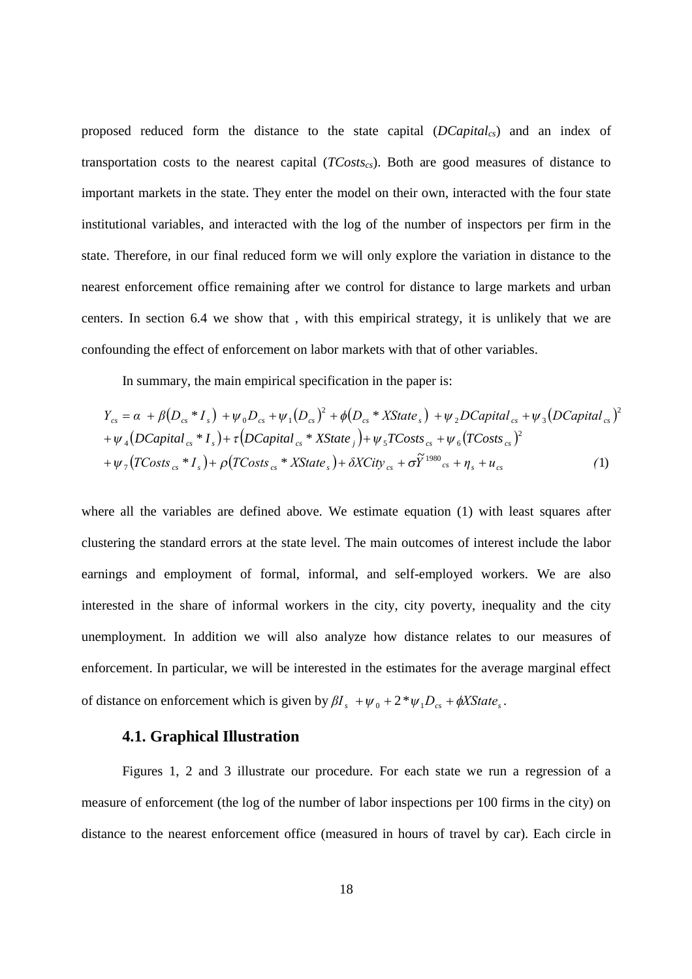proposed reduced form the distance to the state capital (*DCapitalcs*) and an index of transportation costs to the nearest capital (*TCostscs*). Both are good measures of distance to important markets in the state. They enter the model on their own, interacted with the four state institutional variables, and interacted with the log of the number of inspectors per firm in the state. Therefore, in our final reduced form we will only explore the variation in distance to the nearest enforcement office remaining after we control for distance to large markets and urban centers. In section 6.4 we show that , with this empirical strategy, it is unlikely that we are confounding the effect of enforcement on labor markets with that of other variables.

In summary, the main empirical specification in the paper is:

$$
Y_{cs} = \alpha + \beta (D_{cs} * I_s) + \psi_0 D_{cs} + \psi_1 (D_{cs})^2 + \phi (D_{cs} * XState_s) + \psi_2 D Capital_{cs} + \psi_3 (DCapital_{cs})^2
$$
  
+  $\psi_4 (DCapital_{cs} * I_s) + \tau (DCapital_{cs} * XState_j) + \psi_5 TCosts_{cs} + \psi_6 (TCosts_{cs})^2$   
+  $\psi_7 (TCosts_{cs} * I_s) + \rho (TCosts_{cs} * XState_s) + \delta X City_{cs} + \sigma \tilde{Y}^{1980}{}_{cs} + \eta_s + u_{cs}$  (1)

where all the variables are defined above. We estimate equation (1) with least squares after clustering the standard errors at the state level. The main outcomes of interest include the labor earnings and employment of formal, informal, and self-employed workers. We are also interested in the share of informal workers in the city, city poverty, inequality and the city unemployment. In addition we will also analyze how distance relates to our measures of enforcement. In particular, we will be interested in the estimates for the average marginal effect of distance on enforcement which is given by  $\beta I_s + \psi_0 + 2 \psi_1 D_{cs} + \phi X \text{State}_s$ .

#### **4.1. Graphical Illustration**

Figures 1, 2 and 3 illustrate our procedure. For each state we run a regression of a measure of enforcement (the log of the number of labor inspections per 100 firms in the city) on distance to the nearest enforcement office (measured in hours of travel by car). Each circle in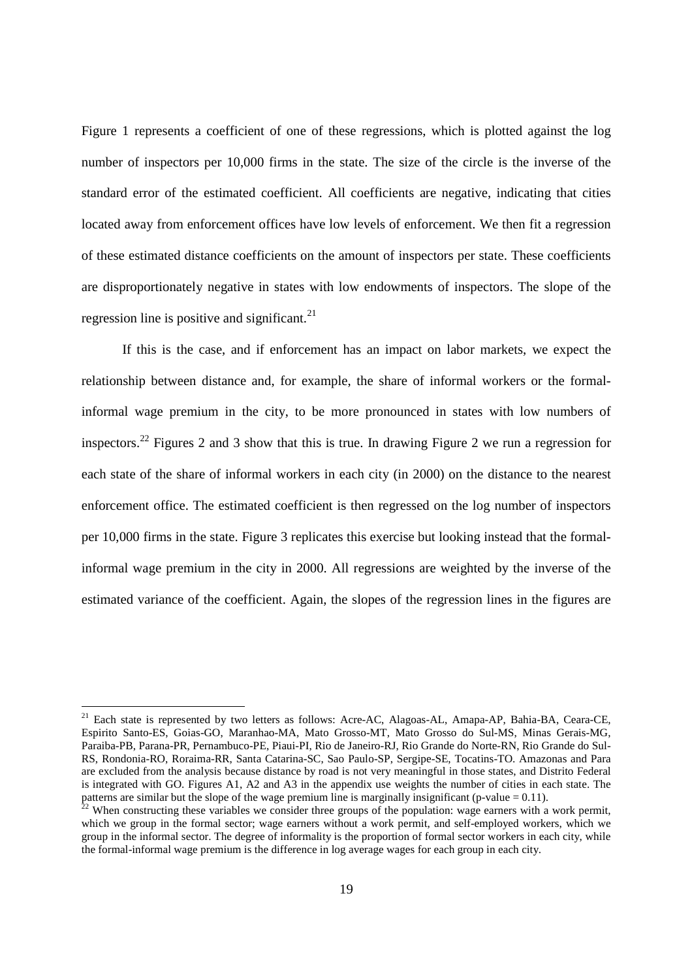Figure 1 represents a coefficient of one of these regressions, which is plotted against the log number of inspectors per 10,000 firms in the state. The size of the circle is the inverse of the standard error of the estimated coefficient. All coefficients are negative, indicating that cities located away from enforcement offices have low levels of enforcement. We then fit a regression of these estimated distance coefficients on the amount of inspectors per state. These coefficients are disproportionately negative in states with low endowments of inspectors. The slope of the regression line is positive and significant. $^{21}$ 

If this is the case, and if enforcement has an impact on labor markets, we expect the relationship between distance and, for example, the share of informal workers or the formalinformal wage premium in the city, to be more pronounced in states with low numbers of inspectors.<sup>22</sup> Figures 2 and 3 show that this is true. In drawing Figure 2 we run a regression for each state of the share of informal workers in each city (in 2000) on the distance to the nearest enforcement office. The estimated coefficient is then regressed on the log number of inspectors per 10,000 firms in the state. Figure 3 replicates this exercise but looking instead that the formalinformal wage premium in the city in 2000. All regressions are weighted by the inverse of the estimated variance of the coefficient. Again, the slopes of the regression lines in the figures are

<sup>&</sup>lt;sup>21</sup> Each state is represented by two letters as follows: Acre-AC, Alagoas-AL, Amapa-AP, Bahia-BA, Ceara-CE, Espirito Santo-ES, Goias-GO, Maranhao-MA, Mato Grosso-MT, Mato Grosso do Sul-MS, Minas Gerais-MG, Paraiba-PB, Parana-PR, Pernambuco-PE, Piaui-PI, Rio de Janeiro-RJ, Rio Grande do Norte-RN, Rio Grande do Sul-RS, Rondonia-RO, Roraima-RR, Santa Catarina-SC, Sao Paulo-SP, Sergipe-SE, Tocatins-TO. Amazonas and Para are excluded from the analysis because distance by road is not very meaningful in those states, and Distrito Federal is integrated with GO. Figures A1, A2 and A3 in the appendix use weights the number of cities in each state. The patterns are similar but the slope of the wage premium line is marginally insignificant (p-value = 0.11).<br><sup>22</sup> When constructive is

<sup>&</sup>lt;sup>2</sup> When constructing these variables we consider three groups of the population: wage earners with a work permit, which we group in the formal sector; wage earners without a work permit, and self-employed workers, which we group in the informal sector. The degree of informality is the proportion of formal sector workers in each city, while the formal-informal wage premium is the difference in log average wages for each group in each city.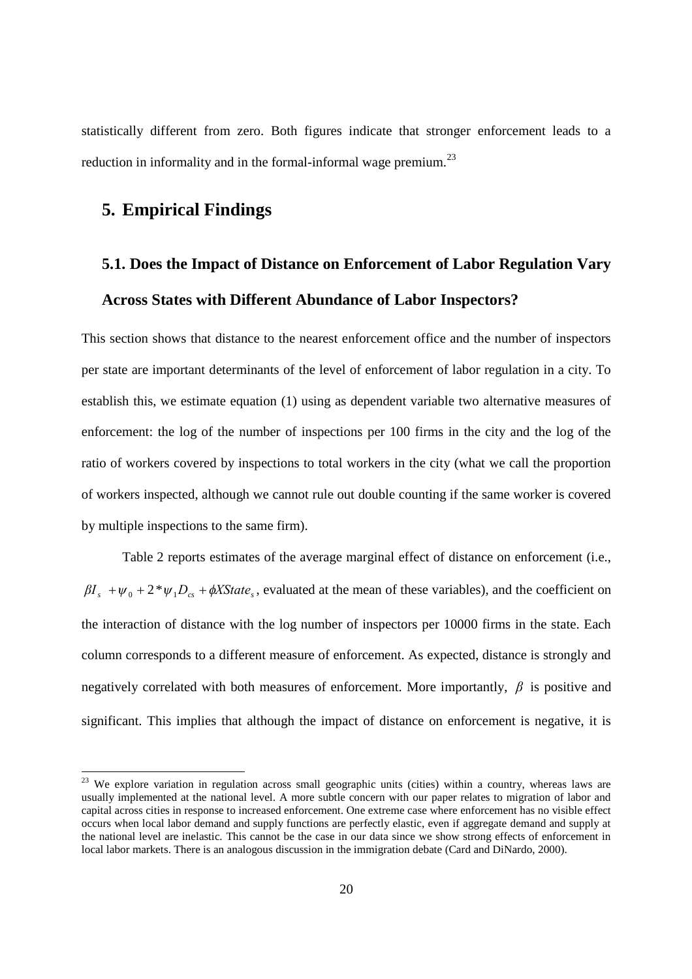statistically different from zero. Both figures indicate that stronger enforcement leads to a reduction in informality and in the formal-informal wage premium.<sup>23</sup>

### **5. Empirical Findings**

## **5.1. Does the Impact of Distance on Enforcement of Labor Regulation Vary Across States with Different Abundance of Labor Inspectors?**

This section shows that distance to the nearest enforcement office and the number of inspectors per state are important determinants of the level of enforcement of labor regulation in a city. To establish this, we estimate equation (1) using as dependent variable two alternative measures of enforcement: the log of the number of inspections per 100 firms in the city and the log of the ratio of workers covered by inspections to total workers in the city (what we call the proportion of workers inspected, although we cannot rule out double counting if the same worker is covered by multiple inspections to the same firm).

Table 2 reports estimates of the average marginal effect of distance on enforcement (i.e.,  $\beta I_s + \psi_0 + 2 \psi_1 D_{cs} + \phi X$ State<sub>s</sub>, evaluated at the mean of these variables), and the coefficient on the interaction of distance with the log number of inspectors per 10000 firms in the state. Each column corresponds to a different measure of enforcement. As expected, distance is strongly and negatively correlated with both measures of enforcement. More importantly, *β* is positive and significant. This implies that although the impact of distance on enforcement is negative, it is

<sup>&</sup>lt;sup>23</sup> We explore variation in regulation across small geographic units (cities) within a country, whereas laws are usually implemented at the national level. A more subtle concern with our paper relates to migration of labor and capital across cities in response to increased enforcement. One extreme case where enforcement has no visible effect occurs when local labor demand and supply functions are perfectly elastic, even if aggregate demand and supply at the national level are inelastic. This cannot be the case in our data since we show strong effects of enforcement in local labor markets. There is an analogous discussion in the immigration debate (Card and DiNardo, 2000).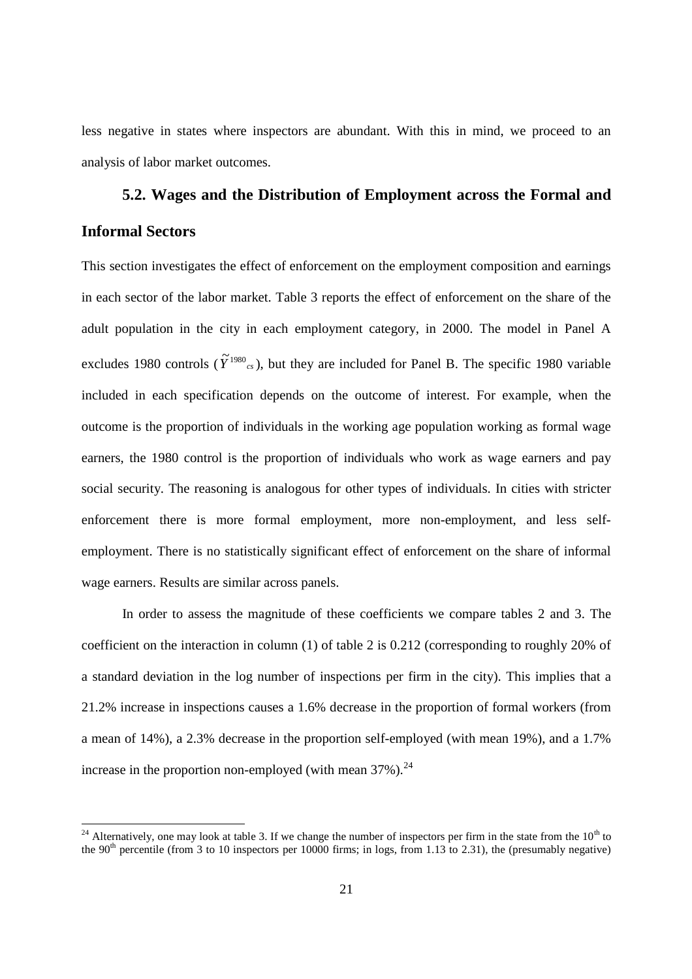less negative in states where inspectors are abundant. With this in mind, we proceed to an analysis of labor market outcomes.

## **5.2. Wages and the Distribution of Employment across the Formal and Informal Sectors**

This section investigates the effect of enforcement on the employment composition and earnings in each sector of the labor market. Table 3 reports the effect of enforcement on the share of the adult population in the city in each employment category, in 2000. The model in Panel A excludes 1980 controls ( $\tilde{Y}^{1980}$ <sub>cs</sub>), but they are included for Panel B. The specific 1980 variable included in each specification depends on the outcome of interest. For example, when the outcome is the proportion of individuals in the working age population working as formal wage earners, the 1980 control is the proportion of individuals who work as wage earners and pay social security. The reasoning is analogous for other types of individuals. In cities with stricter enforcement there is more formal employment, more non-employment, and less selfemployment. There is no statistically significant effect of enforcement on the share of informal wage earners. Results are similar across panels.

In order to assess the magnitude of these coefficients we compare tables 2 and 3. The coefficient on the interaction in column (1) of table 2 is 0.212 (corresponding to roughly 20% of a standard deviation in the log number of inspections per firm in the city). This implies that a 21.2% increase in inspections causes a 1.6% decrease in the proportion of formal workers (from a mean of 14%), a 2.3% decrease in the proportion self-employed (with mean 19%), and a 1.7% increase in the proportion non-employed (with mean  $37\%$ ).<sup>24</sup>

<sup>&</sup>lt;sup>24</sup> Alternatively, one may look at table 3. If we change the number of inspectors per firm in the state from the  $10<sup>th</sup>$  to the 90<sup>th</sup> percentile (from 3 to 10 inspectors per 10000 firms; in logs, from 1.13 to 2.31), the (presumably negative)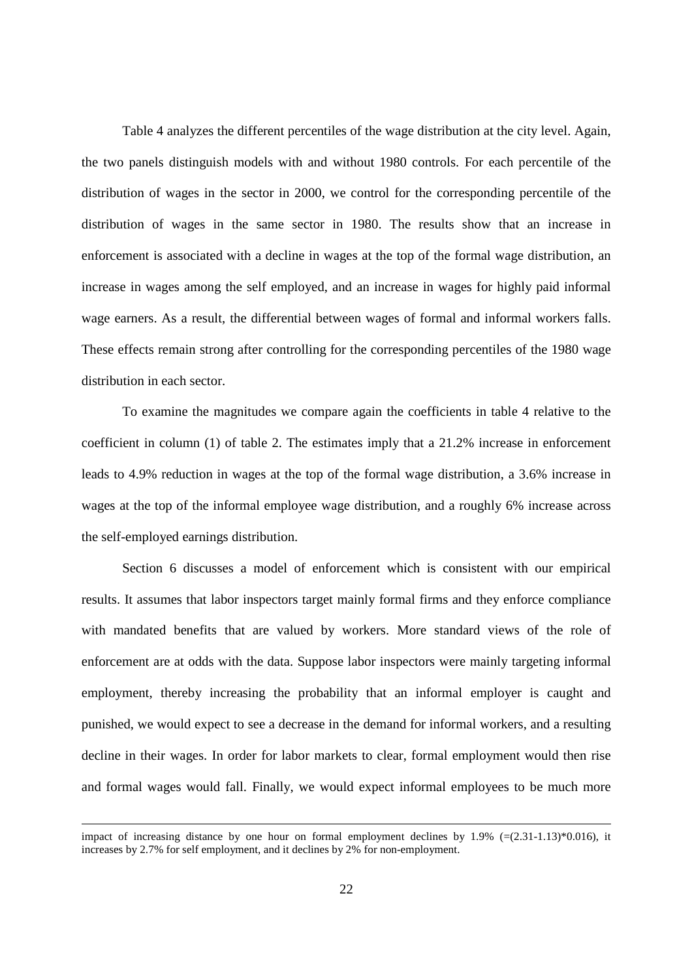Table 4 analyzes the different percentiles of the wage distribution at the city level. Again, the two panels distinguish models with and without 1980 controls. For each percentile of the distribution of wages in the sector in 2000, we control for the corresponding percentile of the distribution of wages in the same sector in 1980. The results show that an increase in enforcement is associated with a decline in wages at the top of the formal wage distribution, an increase in wages among the self employed, and an increase in wages for highly paid informal wage earners. As a result, the differential between wages of formal and informal workers falls. These effects remain strong after controlling for the corresponding percentiles of the 1980 wage distribution in each sector.

To examine the magnitudes we compare again the coefficients in table 4 relative to the coefficient in column (1) of table 2. The estimates imply that a 21.2% increase in enforcement leads to 4.9% reduction in wages at the top of the formal wage distribution, a 3.6% increase in wages at the top of the informal employee wage distribution, and a roughly 6% increase across the self-employed earnings distribution.

Section 6 discusses a model of enforcement which is consistent with our empirical results. It assumes that labor inspectors target mainly formal firms and they enforce compliance with mandated benefits that are valued by workers. More standard views of the role of enforcement are at odds with the data. Suppose labor inspectors were mainly targeting informal employment, thereby increasing the probability that an informal employer is caught and punished, we would expect to see a decrease in the demand for informal workers, and a resulting decline in their wages. In order for labor markets to clear, formal employment would then rise and formal wages would fall. Finally, we would expect informal employees to be much more

impact of increasing distance by one hour on formal employment declines by 1.9% (=(2.31-1.13)\*0.016), it increases by 2.7% for self employment, and it declines by 2% for non-employment.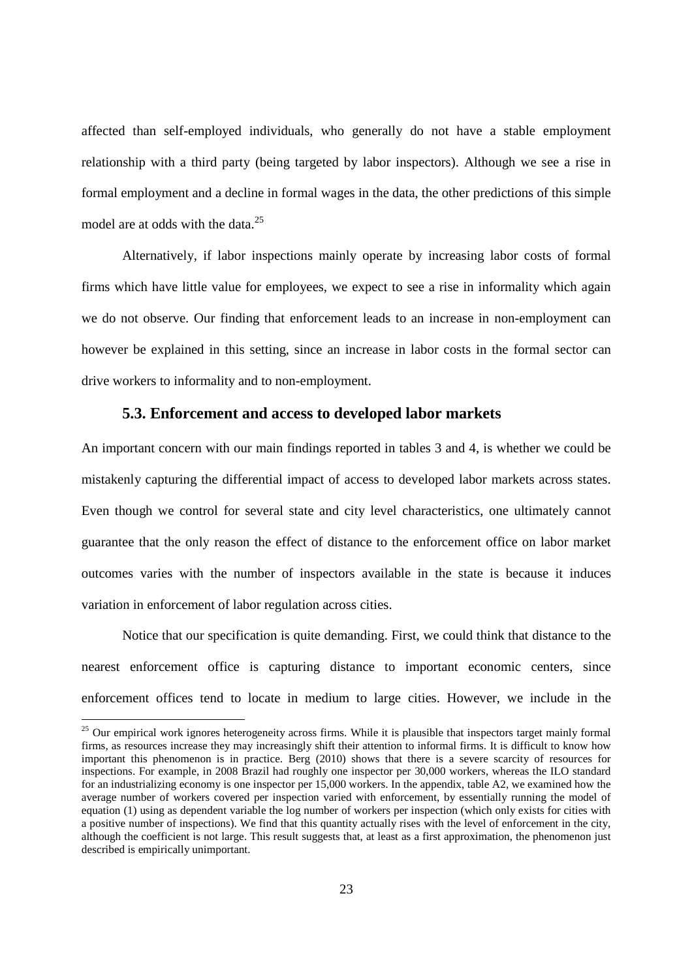affected than self-employed individuals, who generally do not have a stable employment relationship with a third party (being targeted by labor inspectors). Although we see a rise in formal employment and a decline in formal wages in the data, the other predictions of this simple model are at odds with the data.<sup>25</sup>

Alternatively, if labor inspections mainly operate by increasing labor costs of formal firms which have little value for employees, we expect to see a rise in informality which again we do not observe. Our finding that enforcement leads to an increase in non-employment can however be explained in this setting, since an increase in labor costs in the formal sector can drive workers to informality and to non-employment.

#### **5.3. Enforcement and access to developed labor markets**

An important concern with our main findings reported in tables 3 and 4, is whether we could be mistakenly capturing the differential impact of access to developed labor markets across states. Even though we control for several state and city level characteristics, one ultimately cannot guarantee that the only reason the effect of distance to the enforcement office on labor market outcomes varies with the number of inspectors available in the state is because it induces variation in enforcement of labor regulation across cities.

Notice that our specification is quite demanding. First, we could think that distance to the nearest enforcement office is capturing distance to important economic centers, since enforcement offices tend to locate in medium to large cities. However, we include in the

<sup>&</sup>lt;sup>25</sup> Our empirical work ignores heterogeneity across firms. While it is plausible that inspectors target mainly formal firms, as resources increase they may increasingly shift their attention to informal firms. It is difficult to know how important this phenomenon is in practice. Berg (2010) shows that there is a severe scarcity of resources for inspections. For example, in 2008 Brazil had roughly one inspector per 30,000 workers, whereas the ILO standard for an industrializing economy is one inspector per 15,000 workers. In the appendix, table A2, we examined how the average number of workers covered per inspection varied with enforcement, by essentially running the model of equation (1) using as dependent variable the log number of workers per inspection (which only exists for cities with a positive number of inspections). We find that this quantity actually rises with the level of enforcement in the city, although the coefficient is not large. This result suggests that, at least as a first approximation, the phenomenon just described is empirically unimportant.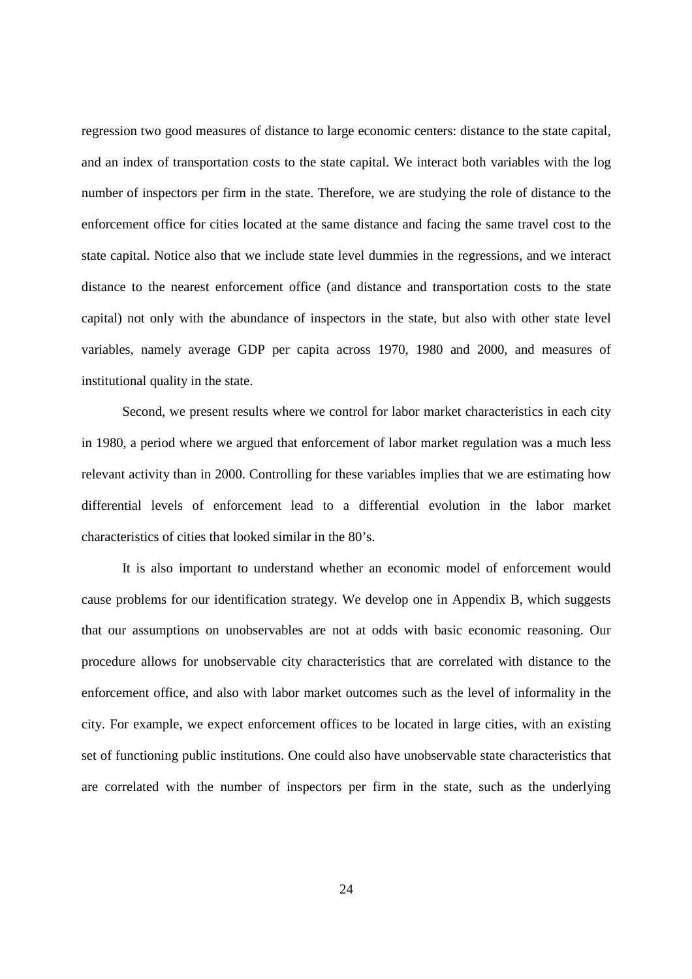regression two good measures of distance to large economic centers: distance to the state capital, and an index of transportation costs to the state capital. We interact both variables with the log number of inspectors per firm in the state. Therefore, we are studying the role of distance to the enforcement office for cities located at the same distance and facing the same travel cost to the state capital. Notice also that we include state level dummies in the regressions, and we interact distance to the nearest enforcement office (and distance and transportation costs to the state capital) not only with the abundance of inspectors in the state, but also with other state level variables, namely average GDP per capita across 1970, 1980 and 2000, and measures of institutional quality in the state.

Second, we present results where we control for labor market characteristics in each city in 1980, a period where we argued that enforcement of labor market regulation was a much less relevant activity than in 2000. Controlling for these variables implies that we are estimating how differential levels of enforcement lead to a differential evolution in the labor market characteristics of cities that looked similar in the 80's.

It is also important to understand whether an economic model of enforcement would cause problems for our identification strategy. We develop one in Appendix B, which suggests that our assumptions on unobservables are not at odds with basic economic reasoning. Our procedure allows for unobservable city characteristics that are correlated with distance to the enforcement office, and also with labor market outcomes such as the level of informality in the city. For example, we expect enforcement offices to be located in large cities, with an existing set of functioning public institutions. One could also have unobservable state characteristics that are correlated with the number of inspectors per firm in the state, such as the underlying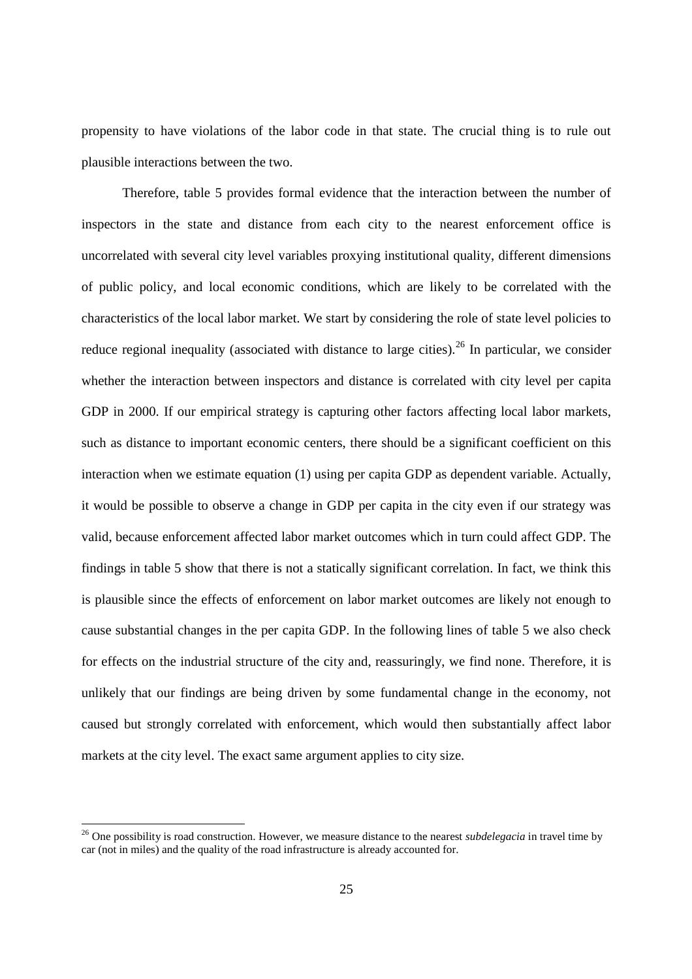propensity to have violations of the labor code in that state. The crucial thing is to rule out plausible interactions between the two.

Therefore, table 5 provides formal evidence that the interaction between the number of inspectors in the state and distance from each city to the nearest enforcement office is uncorrelated with several city level variables proxying institutional quality, different dimensions of public policy, and local economic conditions, which are likely to be correlated with the characteristics of the local labor market. We start by considering the role of state level policies to reduce regional inequality (associated with distance to large cities).<sup>26</sup> In particular, we consider whether the interaction between inspectors and distance is correlated with city level per capita GDP in 2000. If our empirical strategy is capturing other factors affecting local labor markets, such as distance to important economic centers, there should be a significant coefficient on this interaction when we estimate equation (1) using per capita GDP as dependent variable. Actually, it would be possible to observe a change in GDP per capita in the city even if our strategy was valid, because enforcement affected labor market outcomes which in turn could affect GDP. The findings in table 5 show that there is not a statically significant correlation. In fact, we think this is plausible since the effects of enforcement on labor market outcomes are likely not enough to cause substantial changes in the per capita GDP. In the following lines of table 5 we also check for effects on the industrial structure of the city and, reassuringly, we find none. Therefore, it is unlikely that our findings are being driven by some fundamental change in the economy, not caused but strongly correlated with enforcement, which would then substantially affect labor markets at the city level. The exact same argument applies to city size.

<sup>26</sup> One possibility is road construction. However, we measure distance to the nearest *subdelegacia* in travel time by car (not in miles) and the quality of the road infrastructure is already accounted for.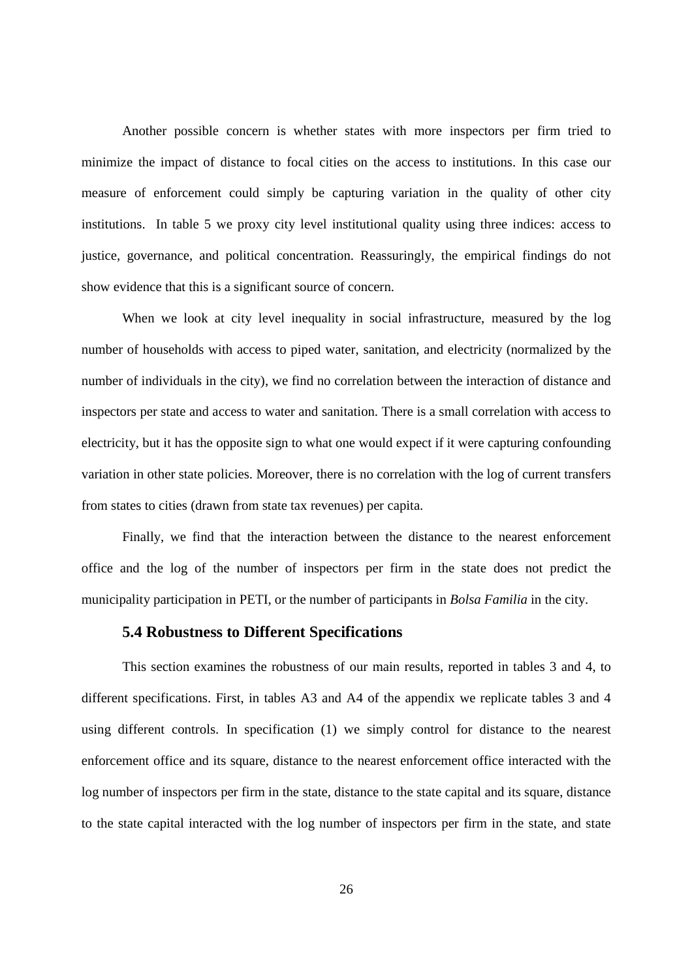Another possible concern is whether states with more inspectors per firm tried to minimize the impact of distance to focal cities on the access to institutions. In this case our measure of enforcement could simply be capturing variation in the quality of other city institutions. In table 5 we proxy city level institutional quality using three indices: access to justice, governance, and political concentration. Reassuringly, the empirical findings do not show evidence that this is a significant source of concern.

When we look at city level inequality in social infrastructure, measured by the log number of households with access to piped water, sanitation, and electricity (normalized by the number of individuals in the city), we find no correlation between the interaction of distance and inspectors per state and access to water and sanitation. There is a small correlation with access to electricity, but it has the opposite sign to what one would expect if it were capturing confounding variation in other state policies. Moreover, there is no correlation with the log of current transfers from states to cities (drawn from state tax revenues) per capita.

Finally, we find that the interaction between the distance to the nearest enforcement office and the log of the number of inspectors per firm in the state does not predict the municipality participation in PETI, or the number of participants in *Bolsa Familia* in the city.

#### **5.4 Robustness to Different Specifications**

This section examines the robustness of our main results, reported in tables 3 and 4, to different specifications. First, in tables A3 and A4 of the appendix we replicate tables 3 and 4 using different controls. In specification (1) we simply control for distance to the nearest enforcement office and its square, distance to the nearest enforcement office interacted with the log number of inspectors per firm in the state, distance to the state capital and its square, distance to the state capital interacted with the log number of inspectors per firm in the state, and state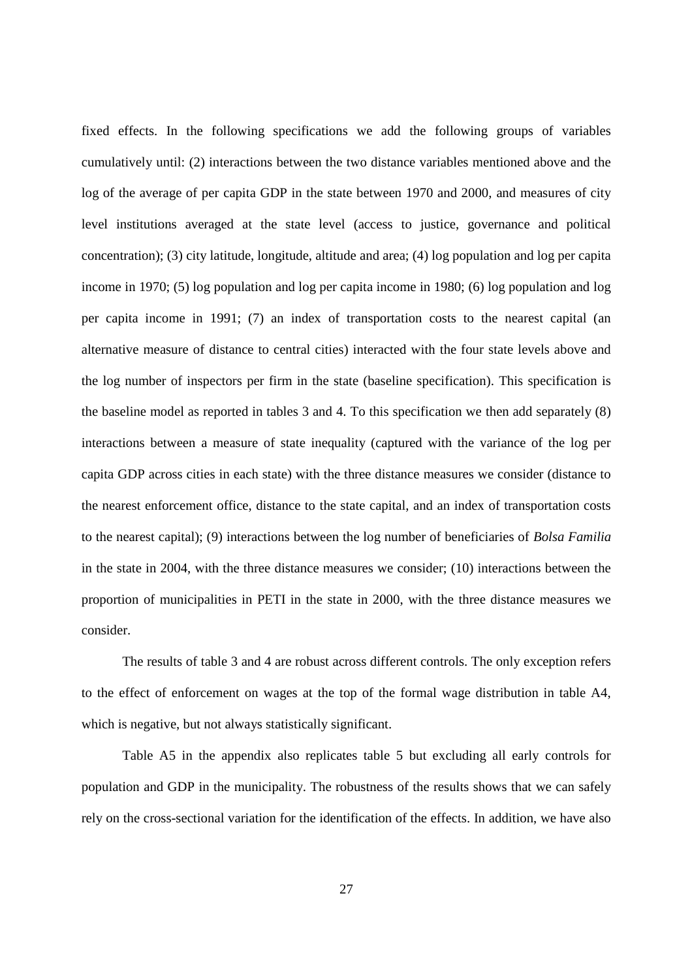fixed effects. In the following specifications we add the following groups of variables cumulatively until: (2) interactions between the two distance variables mentioned above and the log of the average of per capita GDP in the state between 1970 and 2000, and measures of city level institutions averaged at the state level (access to justice, governance and political concentration); (3) city latitude, longitude, altitude and area; (4) log population and log per capita income in 1970; (5) log population and log per capita income in 1980; (6) log population and log per capita income in 1991; (7) an index of transportation costs to the nearest capital (an alternative measure of distance to central cities) interacted with the four state levels above and the log number of inspectors per firm in the state (baseline specification). This specification is the baseline model as reported in tables 3 and 4. To this specification we then add separately (8) interactions between a measure of state inequality (captured with the variance of the log per capita GDP across cities in each state) with the three distance measures we consider (distance to the nearest enforcement office, distance to the state capital, and an index of transportation costs to the nearest capital); (9) interactions between the log number of beneficiaries of *Bolsa Familia* in the state in 2004, with the three distance measures we consider; (10) interactions between the proportion of municipalities in PETI in the state in 2000, with the three distance measures we consider.

The results of table 3 and 4 are robust across different controls. The only exception refers to the effect of enforcement on wages at the top of the formal wage distribution in table A4, which is negative, but not always statistically significant.

Table A5 in the appendix also replicates table 5 but excluding all early controls for population and GDP in the municipality. The robustness of the results shows that we can safely rely on the cross-sectional variation for the identification of the effects. In addition, we have also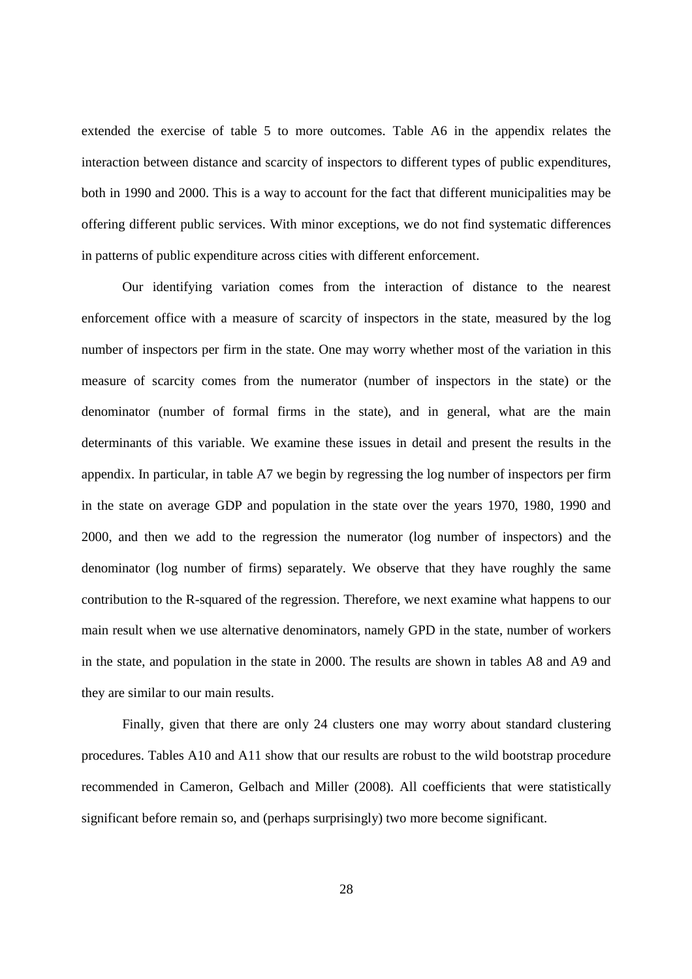extended the exercise of table 5 to more outcomes. Table A6 in the appendix relates the interaction between distance and scarcity of inspectors to different types of public expenditures, both in 1990 and 2000. This is a way to account for the fact that different municipalities may be offering different public services. With minor exceptions, we do not find systematic differences in patterns of public expenditure across cities with different enforcement.

Our identifying variation comes from the interaction of distance to the nearest enforcement office with a measure of scarcity of inspectors in the state, measured by the log number of inspectors per firm in the state. One may worry whether most of the variation in this measure of scarcity comes from the numerator (number of inspectors in the state) or the denominator (number of formal firms in the state), and in general, what are the main determinants of this variable. We examine these issues in detail and present the results in the appendix. In particular, in table A7 we begin by regressing the log number of inspectors per firm in the state on average GDP and population in the state over the years 1970, 1980, 1990 and 2000, and then we add to the regression the numerator (log number of inspectors) and the denominator (log number of firms) separately. We observe that they have roughly the same contribution to the R-squared of the regression. Therefore, we next examine what happens to our main result when we use alternative denominators, namely GPD in the state, number of workers in the state, and population in the state in 2000. The results are shown in tables A8 and A9 and they are similar to our main results.

Finally, given that there are only 24 clusters one may worry about standard clustering procedures. Tables A10 and A11 show that our results are robust to the wild bootstrap procedure recommended in Cameron, Gelbach and Miller (2008). All coefficients that were statistically significant before remain so, and (perhaps surprisingly) two more become significant.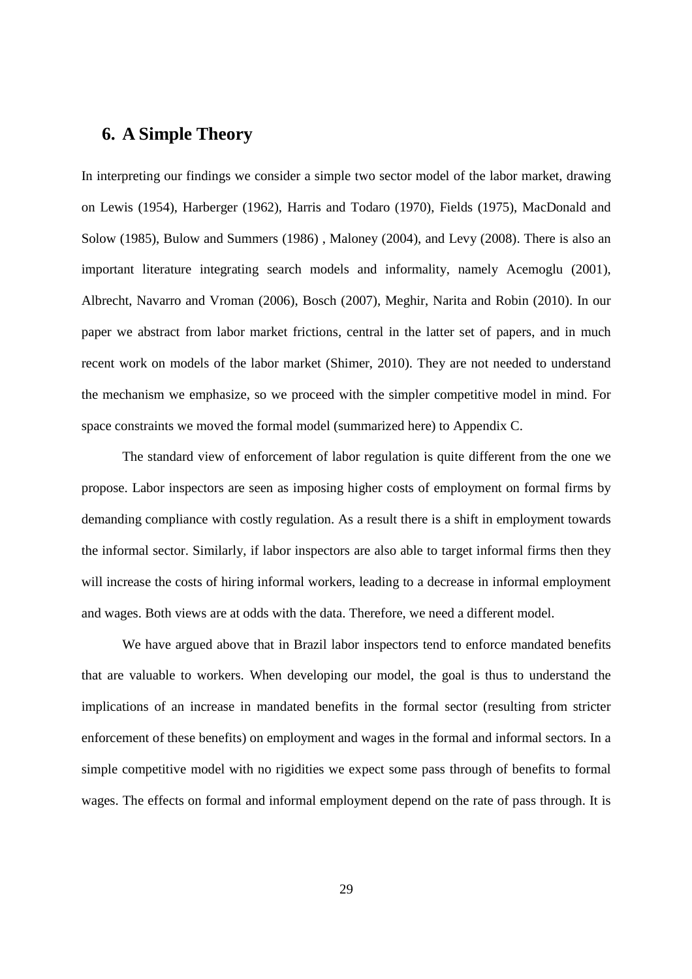#### **6. A Simple Theory**

In interpreting our findings we consider a simple two sector model of the labor market, drawing on Lewis (1954), Harberger (1962), Harris and Todaro (1970), Fields (1975), MacDonald and Solow (1985), Bulow and Summers (1986) , Maloney (2004), and Levy (2008). There is also an important literature integrating search models and informality, namely Acemoglu (2001), Albrecht, Navarro and Vroman (2006), Bosch (2007), Meghir, Narita and Robin (2010). In our paper we abstract from labor market frictions, central in the latter set of papers, and in much recent work on models of the labor market (Shimer, 2010). They are not needed to understand the mechanism we emphasize, so we proceed with the simpler competitive model in mind. For space constraints we moved the formal model (summarized here) to Appendix C.

The standard view of enforcement of labor regulation is quite different from the one we propose. Labor inspectors are seen as imposing higher costs of employment on formal firms by demanding compliance with costly regulation. As a result there is a shift in employment towards the informal sector. Similarly, if labor inspectors are also able to target informal firms then they will increase the costs of hiring informal workers, leading to a decrease in informal employment and wages. Both views are at odds with the data. Therefore, we need a different model.

We have argued above that in Brazil labor inspectors tend to enforce mandated benefits that are valuable to workers. When developing our model, the goal is thus to understand the implications of an increase in mandated benefits in the formal sector (resulting from stricter enforcement of these benefits) on employment and wages in the formal and informal sectors. In a simple competitive model with no rigidities we expect some pass through of benefits to formal wages. The effects on formal and informal employment depend on the rate of pass through. It is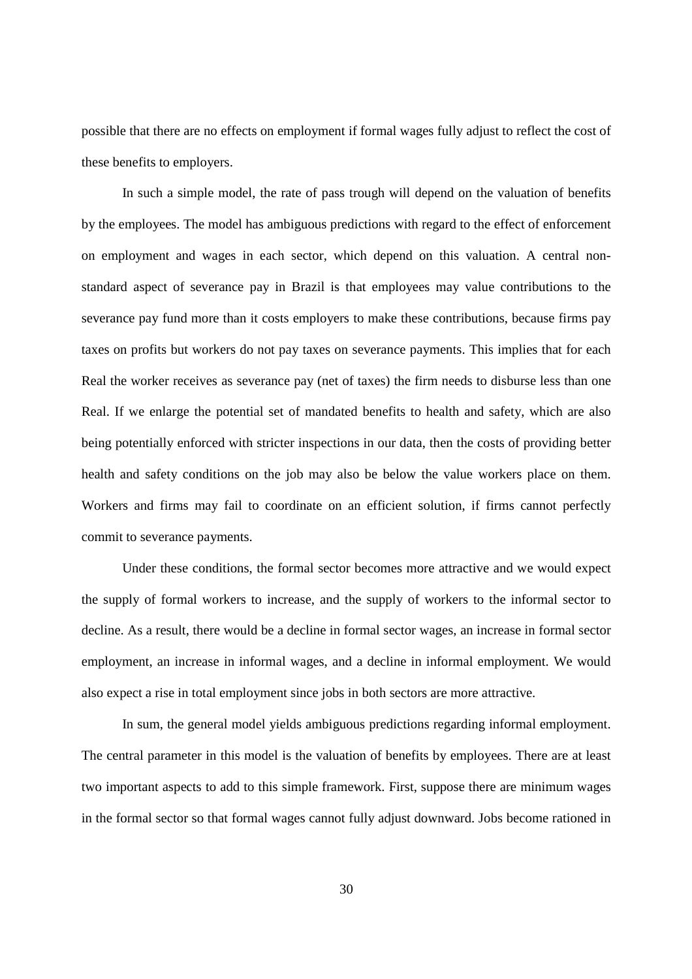possible that there are no effects on employment if formal wages fully adjust to reflect the cost of these benefits to employers.

In such a simple model, the rate of pass trough will depend on the valuation of benefits by the employees. The model has ambiguous predictions with regard to the effect of enforcement on employment and wages in each sector, which depend on this valuation. A central nonstandard aspect of severance pay in Brazil is that employees may value contributions to the severance pay fund more than it costs employers to make these contributions, because firms pay taxes on profits but workers do not pay taxes on severance payments. This implies that for each Real the worker receives as severance pay (net of taxes) the firm needs to disburse less than one Real. If we enlarge the potential set of mandated benefits to health and safety, which are also being potentially enforced with stricter inspections in our data, then the costs of providing better health and safety conditions on the job may also be below the value workers place on them. Workers and firms may fail to coordinate on an efficient solution, if firms cannot perfectly commit to severance payments.

Under these conditions, the formal sector becomes more attractive and we would expect the supply of formal workers to increase, and the supply of workers to the informal sector to decline. As a result, there would be a decline in formal sector wages, an increase in formal sector employment, an increase in informal wages, and a decline in informal employment. We would also expect a rise in total employment since jobs in both sectors are more attractive.

In sum, the general model yields ambiguous predictions regarding informal employment. The central parameter in this model is the valuation of benefits by employees. There are at least two important aspects to add to this simple framework. First, suppose there are minimum wages in the formal sector so that formal wages cannot fully adjust downward. Jobs become rationed in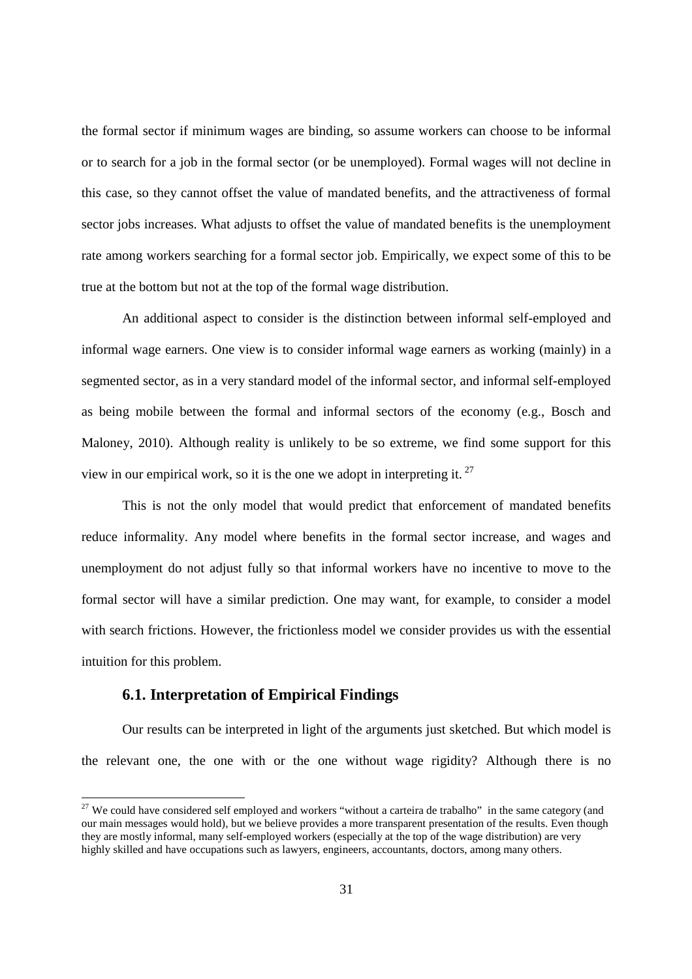the formal sector if minimum wages are binding, so assume workers can choose to be informal or to search for a job in the formal sector (or be unemployed). Formal wages will not decline in this case, so they cannot offset the value of mandated benefits, and the attractiveness of formal sector jobs increases. What adjusts to offset the value of mandated benefits is the unemployment rate among workers searching for a formal sector job. Empirically, we expect some of this to be true at the bottom but not at the top of the formal wage distribution.

An additional aspect to consider is the distinction between informal self-employed and informal wage earners. One view is to consider informal wage earners as working (mainly) in a segmented sector, as in a very standard model of the informal sector, and informal self-employed as being mobile between the formal and informal sectors of the economy (e.g., Bosch and Maloney, 2010). Although reality is unlikely to be so extreme, we find some support for this view in our empirical work, so it is the one we adopt in interpreting it.  $27$ 

This is not the only model that would predict that enforcement of mandated benefits reduce informality. Any model where benefits in the formal sector increase, and wages and unemployment do not adjust fully so that informal workers have no incentive to move to the formal sector will have a similar prediction. One may want, for example, to consider a model with search frictions. However, the frictionless model we consider provides us with the essential intuition for this problem.

#### **6.1. Interpretation of Empirical Findings**

Our results can be interpreted in light of the arguments just sketched. But which model is the relevant one, the one with or the one without wage rigidity? Although there is no

<sup>&</sup>lt;sup>27</sup> We could have considered self employed and workers "without a carteira de trabalho" in the same category (and our main messages would hold), but we believe provides a more transparent presentation of the results. Even though they are mostly informal, many self-employed workers (especially at the top of the wage distribution) are very highly skilled and have occupations such as lawyers, engineers, accountants, doctors, among many others.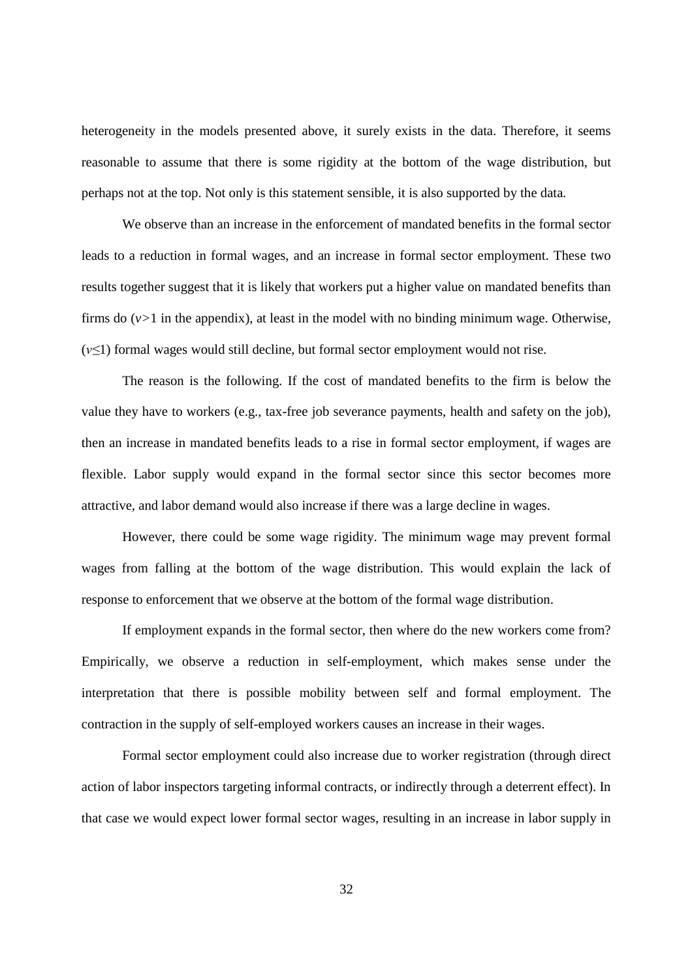heterogeneity in the models presented above, it surely exists in the data. Therefore, it seems reasonable to assume that there is some rigidity at the bottom of the wage distribution, but perhaps not at the top. Not only is this statement sensible, it is also supported by the data.

We observe than an increase in the enforcement of mandated benefits in the formal sector leads to a reduction in formal wages, and an increase in formal sector employment. These two results together suggest that it is likely that workers put a higher value on mandated benefits than firms do  $(v>1)$  in the appendix), at least in the model with no binding minimum wage. Otherwise, (*v≤*1) formal wages would still decline, but formal sector employment would not rise.

The reason is the following. If the cost of mandated benefits to the firm is below the value they have to workers (e.g., tax-free job severance payments, health and safety on the job), then an increase in mandated benefits leads to a rise in formal sector employment, if wages are flexible. Labor supply would expand in the formal sector since this sector becomes more attractive, and labor demand would also increase if there was a large decline in wages.

However, there could be some wage rigidity. The minimum wage may prevent formal wages from falling at the bottom of the wage distribution. This would explain the lack of response to enforcement that we observe at the bottom of the formal wage distribution.

If employment expands in the formal sector, then where do the new workers come from? Empirically, we observe a reduction in self-employment, which makes sense under the interpretation that there is possible mobility between self and formal employment. The contraction in the supply of self-employed workers causes an increase in their wages.

Formal sector employment could also increase due to worker registration (through direct action of labor inspectors targeting informal contracts, or indirectly through a deterrent effect). In that case we would expect lower formal sector wages, resulting in an increase in labor supply in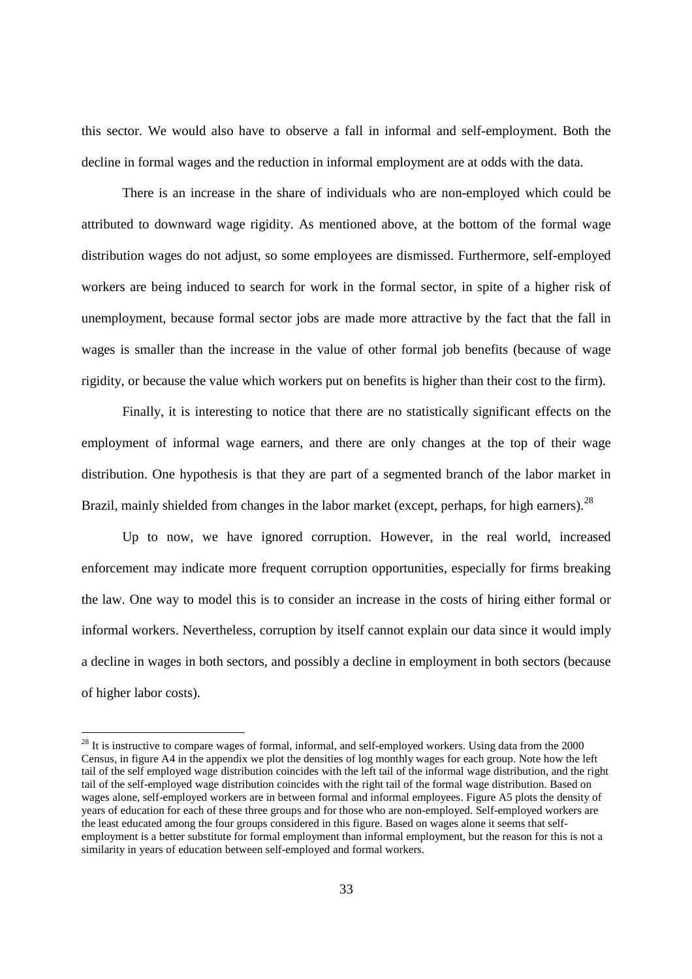this sector. We would also have to observe a fall in informal and self-employment. Both the decline in formal wages and the reduction in informal employment are at odds with the data.

There is an increase in the share of individuals who are non-employed which could be attributed to downward wage rigidity. As mentioned above, at the bottom of the formal wage distribution wages do not adjust, so some employees are dismissed. Furthermore, self-employed workers are being induced to search for work in the formal sector, in spite of a higher risk of unemployment, because formal sector jobs are made more attractive by the fact that the fall in wages is smaller than the increase in the value of other formal job benefits (because of wage rigidity, or because the value which workers put on benefits is higher than their cost to the firm).

Finally, it is interesting to notice that there are no statistically significant effects on the employment of informal wage earners, and there are only changes at the top of their wage distribution. One hypothesis is that they are part of a segmented branch of the labor market in Brazil, mainly shielded from changes in the labor market (except, perhaps, for high earners).<sup>28</sup>

Up to now, we have ignored corruption. However, in the real world, increased enforcement may indicate more frequent corruption opportunities, especially for firms breaking the law. One way to model this is to consider an increase in the costs of hiring either formal or informal workers. Nevertheless, corruption by itself cannot explain our data since it would imply a decline in wages in both sectors, and possibly a decline in employment in both sectors (because of higher labor costs).

<sup>&</sup>lt;sup>28</sup> It is instructive to compare wages of formal, informal, and self-employed workers. Using data from the 2000 Census, in figure A4 in the appendix we plot the densities of log monthly wages for each group. Note how the left tail of the self employed wage distribution coincides with the left tail of the informal wage distribution, and the right tail of the self-employed wage distribution coincides with the right tail of the formal wage distribution. Based on wages alone, self-employed workers are in between formal and informal employees. Figure A5 plots the density of years of education for each of these three groups and for those who are non-employed. Self-employed workers are the least educated among the four groups considered in this figure. Based on wages alone it seems that selfemployment is a better substitute for formal employment than informal employment, but the reason for this is not a similarity in years of education between self-employed and formal workers.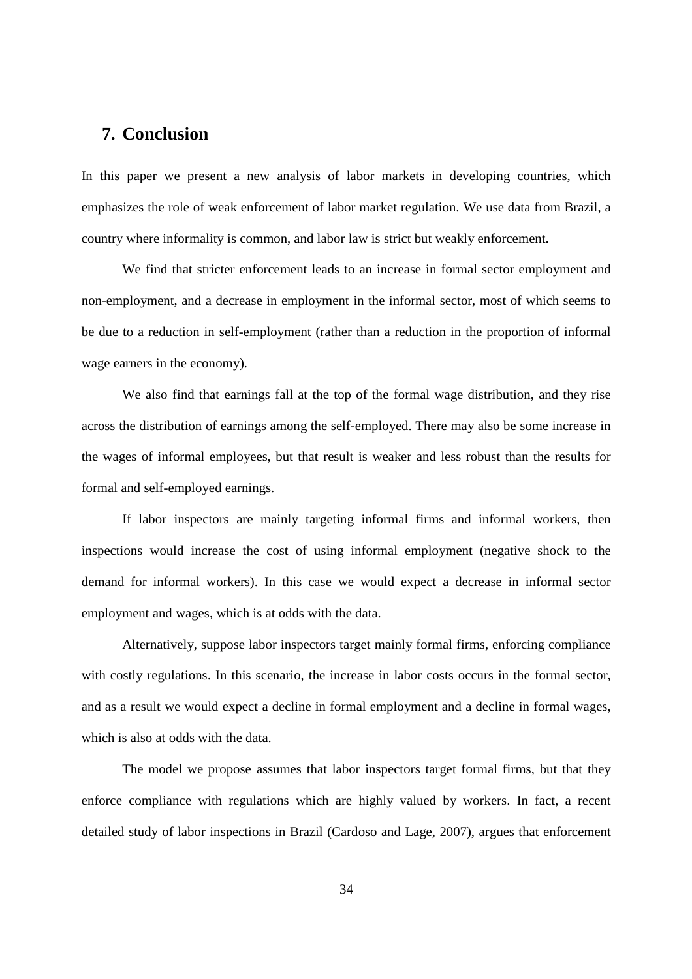## **7. Conclusion**

In this paper we present a new analysis of labor markets in developing countries, which emphasizes the role of weak enforcement of labor market regulation. We use data from Brazil, a country where informality is common, and labor law is strict but weakly enforcement.

We find that stricter enforcement leads to an increase in formal sector employment and non-employment, and a decrease in employment in the informal sector, most of which seems to be due to a reduction in self-employment (rather than a reduction in the proportion of informal wage earners in the economy).

We also find that earnings fall at the top of the formal wage distribution, and they rise across the distribution of earnings among the self-employed. There may also be some increase in the wages of informal employees, but that result is weaker and less robust than the results for formal and self-employed earnings.

If labor inspectors are mainly targeting informal firms and informal workers, then inspections would increase the cost of using informal employment (negative shock to the demand for informal workers). In this case we would expect a decrease in informal sector employment and wages, which is at odds with the data.

Alternatively, suppose labor inspectors target mainly formal firms, enforcing compliance with costly regulations. In this scenario, the increase in labor costs occurs in the formal sector, and as a result we would expect a decline in formal employment and a decline in formal wages, which is also at odds with the data.

The model we propose assumes that labor inspectors target formal firms, but that they enforce compliance with regulations which are highly valued by workers. In fact, a recent detailed study of labor inspections in Brazil (Cardoso and Lage, 2007), argues that enforcement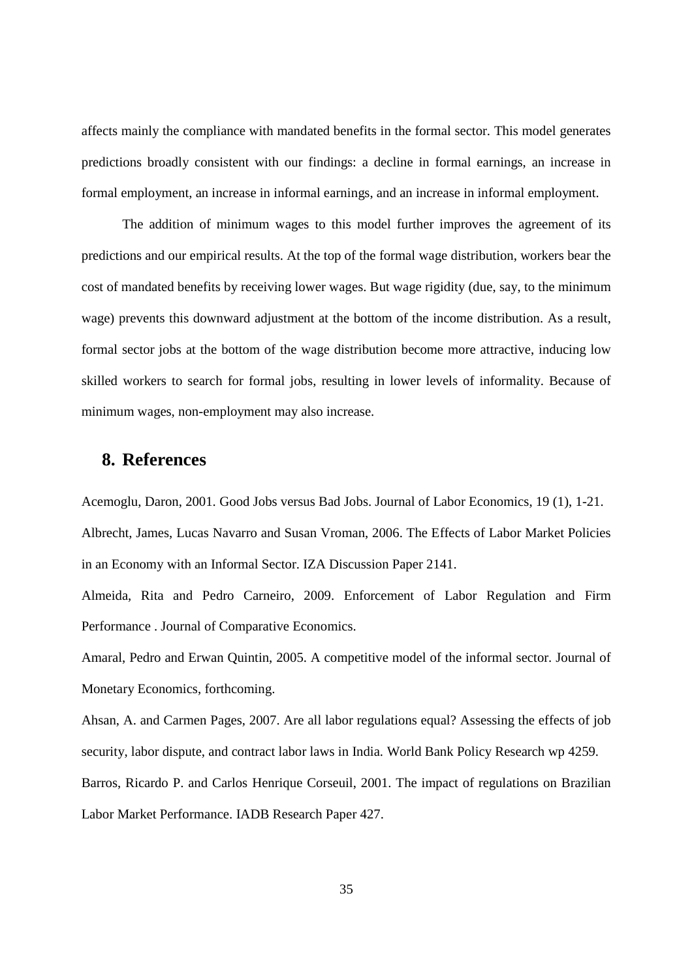affects mainly the compliance with mandated benefits in the formal sector. This model generates predictions broadly consistent with our findings: a decline in formal earnings, an increase in formal employment, an increase in informal earnings, and an increase in informal employment.

The addition of minimum wages to this model further improves the agreement of its predictions and our empirical results. At the top of the formal wage distribution, workers bear the cost of mandated benefits by receiving lower wages. But wage rigidity (due, say, to the minimum wage) prevents this downward adjustment at the bottom of the income distribution. As a result, formal sector jobs at the bottom of the wage distribution become more attractive, inducing low skilled workers to search for formal jobs, resulting in lower levels of informality. Because of minimum wages, non-employment may also increase.

## **8. References**

Acemoglu, Daron, 2001. Good Jobs versus Bad Jobs. Journal of Labor Economics, 19 (1), 1-21. Albrecht, James, Lucas Navarro and Susan Vroman, 2006. The Effects of Labor Market Policies in an Economy with an Informal Sector. IZA Discussion Paper 2141.

Almeida, Rita and Pedro Carneiro, 2009. Enforcement of Labor Regulation and Firm Performance . Journal of Comparative Economics.

Amaral, Pedro and Erwan Quintin, 2005. A competitive model of the informal sector. Journal of Monetary Economics, forthcoming.

Ahsan, A. and Carmen Pages, 2007. Are all labor regulations equal? Assessing the effects of job security, labor dispute, and contract labor laws in India. World Bank Policy Research wp 4259.

Barros, Ricardo P. and Carlos Henrique Corseuil, 2001. The impact of regulations on Brazilian Labor Market Performance. IADB Research Paper 427.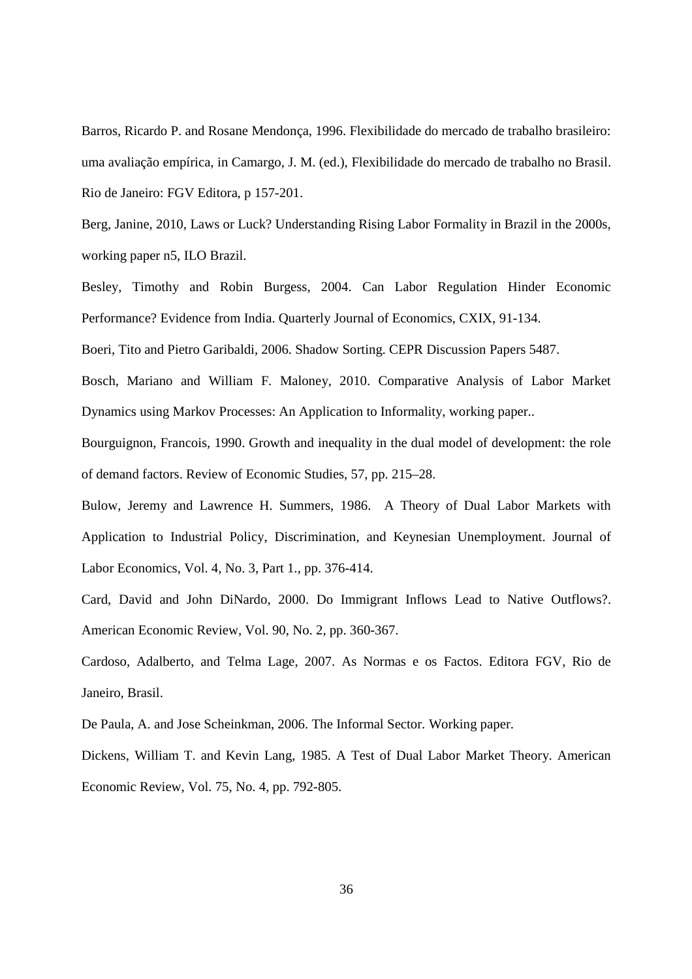Barros, Ricardo P. and Rosane Mendonça, 1996. Flexibilidade do mercado de trabalho brasileiro: uma avaliação empírica, in Camargo, J. M. (ed.), Flexibilidade do mercado de trabalho no Brasil. Rio de Janeiro: FGV Editora, p 157-201.

Berg, Janine, 2010, Laws or Luck? Understanding Rising Labor Formality in Brazil in the 2000s, working paper n5, ILO Brazil.

Besley, Timothy and Robin Burgess, 2004. Can Labor Regulation Hinder Economic Performance? Evidence from India. Quarterly Journal of Economics, CXIX, 91-134.

Boeri, Tito and Pietro Garibaldi, 2006. Shadow Sorting. CEPR Discussion Papers 5487.

Bosch, Mariano and William F. Maloney, 2010. Comparative Analysis of Labor Market Dynamics using Markov Processes: An Application to Informality, working paper..

Bourguignon, Francois, 1990. Growth and inequality in the dual model of development: the role of demand factors. Review of Economic Studies, 57, pp. 215–28.

Bulow, Jeremy and Lawrence H. Summers, 1986. A Theory of Dual Labor Markets with Application to Industrial Policy, Discrimination, and Keynesian Unemployment. Journal of Labor Economics, Vol. 4, No. 3, Part 1., pp. 376-414.

Card, David and John DiNardo, 2000. Do Immigrant Inflows Lead to Native Outflows?. American Economic Review, Vol. 90, No. 2, pp. 360-367.

Cardoso, Adalberto, and Telma Lage, 2007. As Normas e os Factos. Editora FGV, Rio de Janeiro, Brasil.

De Paula, A. and Jose Scheinkman, 2006. The Informal Sector. Working paper.

Dickens, William T. and Kevin Lang, 1985. A Test of Dual Labor Market Theory. American Economic Review, Vol. 75, No. 4, pp. 792-805.

36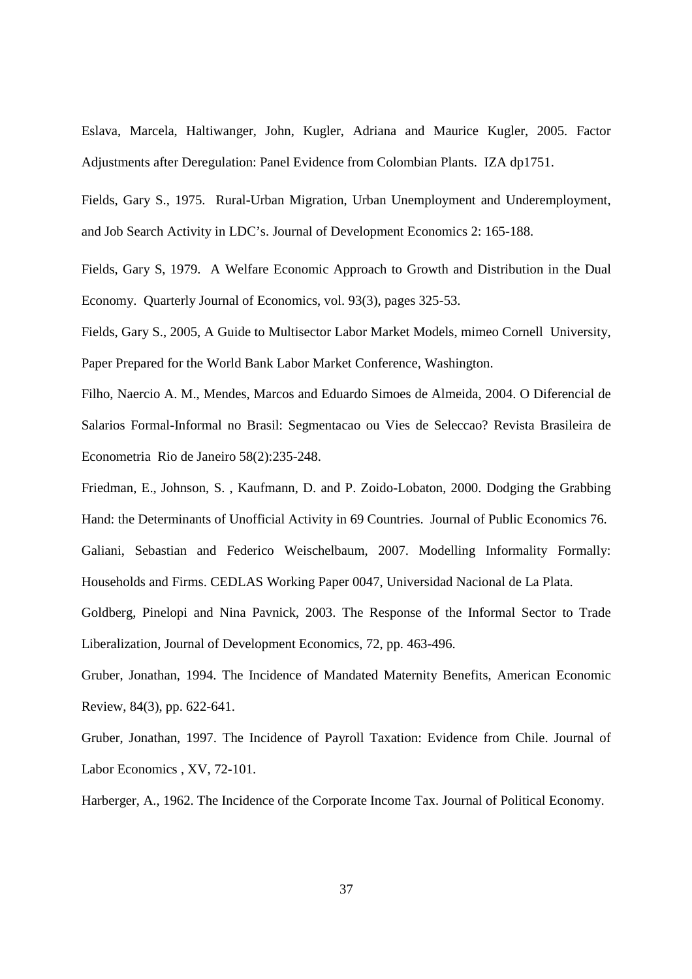Eslava, Marcela, Haltiwanger, John, Kugler, Adriana and Maurice Kugler, 2005. Factor Adjustments after Deregulation: Panel Evidence from Colombian Plants. IZA dp1751.

Fields, Gary S., 1975. Rural-Urban Migration, Urban Unemployment and Underemployment, and Job Search Activity in LDC's. Journal of Development Economics 2: 165-188.

Fields, Gary S, 1979. A Welfare Economic Approach to Growth and Distribution in the Dual Economy. Quarterly Journal of Economics, vol. 93(3), pages 325-53.

Fields, Gary S., 2005, A Guide to Multisector Labor Market Models, mimeo Cornell University, Paper Prepared for the World Bank Labor Market Conference, Washington.

Filho, Naercio A. M., Mendes, Marcos and Eduardo Simoes de Almeida, 2004. O Diferencial de Salarios Formal-Informal no Brasil: Segmentacao ou Vies de Seleccao? Revista Brasileira de Econometria Rio de Janeiro 58(2):235-248.

Friedman, E., Johnson, S. , Kaufmann, D. and P. Zoido-Lobaton, 2000. Dodging the Grabbing Hand: the Determinants of Unofficial Activity in 69 Countries. Journal of Public Economics 76. Galiani, Sebastian and Federico Weischelbaum, 2007. Modelling Informality Formally: Households and Firms. CEDLAS Working Paper 0047, Universidad Nacional de La Plata.

Goldberg, Pinelopi and Nina Pavnick, 2003. The Response of the Informal Sector to Trade Liberalization, Journal of Development Economics, 72, pp. 463-496.

Gruber, Jonathan, 1994. The Incidence of Mandated Maternity Benefits, American Economic Review, 84(3), pp. 622-641.

Gruber, Jonathan, 1997. The Incidence of Payroll Taxation: Evidence from Chile. Journal of Labor Economics , XV, 72-101.

Harberger, A., 1962. The Incidence of the Corporate Income Tax. Journal of Political Economy.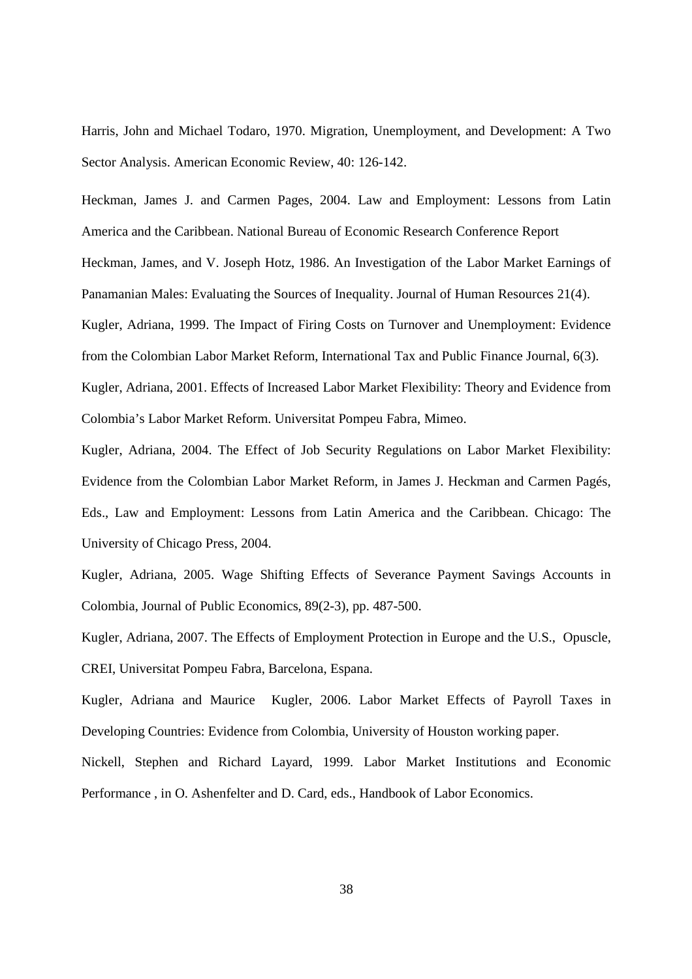Harris, John and Michael Todaro, 1970. Migration, Unemployment, and Development: A Two Sector Analysis. American Economic Review, 40: 126-142.

Heckman, James J. and Carmen Pages, 2004. Law and Employment: Lessons from Latin America and the Caribbean. National Bureau of Economic Research Conference Report Heckman, James, and V. Joseph Hotz, 1986. An Investigation of the Labor Market Earnings of Panamanian Males: Evaluating the Sources of Inequality. Journal of Human Resources 21(4). Kugler, Adriana, 1999. The Impact of Firing Costs on Turnover and Unemployment: Evidence from the Colombian Labor Market Reform, International Tax and Public Finance Journal, 6(3). Kugler, Adriana, 2001. Effects of Increased Labor Market Flexibility: Theory and Evidence from

Colombia's Labor Market Reform. Universitat Pompeu Fabra, Mimeo.

Kugler, Adriana, 2004. The Effect of Job Security Regulations on Labor Market Flexibility: Evidence from the Colombian Labor Market Reform, in James J. Heckman and Carmen Pagés, Eds., Law and Employment: Lessons from Latin America and the Caribbean. Chicago: The University of Chicago Press, 2004.

Kugler, Adriana, 2005. Wage Shifting Effects of Severance Payment Savings Accounts in Colombia, Journal of Public Economics, 89(2-3), pp. 487-500.

Kugler, Adriana, 2007. The Effects of Employment Protection in Europe and the U.S., Opuscle, CREI, Universitat Pompeu Fabra, Barcelona, Espana.

Kugler, Adriana and Maurice Kugler, 2006. Labor Market Effects of Payroll Taxes in Developing Countries: Evidence from Colombia, University of Houston working paper.

Nickell, Stephen and Richard Layard, 1999. Labor Market Institutions and Economic Performance , in O. Ashenfelter and D. Card, eds., Handbook of Labor Economics.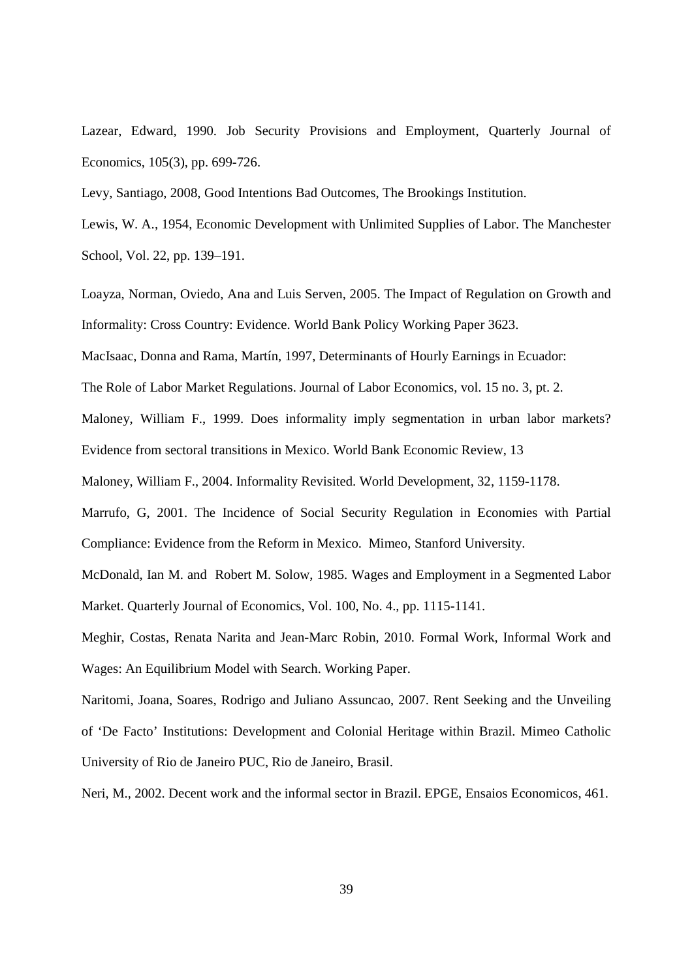Lazear, Edward, 1990. Job Security Provisions and Employment, Quarterly Journal of Economics, 105(3), pp. 699-726.

Levy, Santiago, 2008, Good Intentions Bad Outcomes, The Brookings Institution.

Lewis, W. A., 1954, Economic Development with Unlimited Supplies of Labor. The Manchester School, Vol. 22, pp. 139–191.

Loayza, Norman, Oviedo, Ana and Luis Serven, 2005. The Impact of Regulation on Growth and Informality: Cross Country: Evidence. World Bank Policy Working Paper 3623.

MacIsaac, Donna and Rama, Martín, 1997, Determinants of Hourly Earnings in Ecuador:

The Role of Labor Market Regulations. Journal of Labor Economics, vol. 15 no. 3, pt. 2.

Maloney, William F., 1999. Does informality imply segmentation in urban labor markets? Evidence from sectoral transitions in Mexico. World Bank Economic Review, 13

Maloney, William F., 2004. Informality Revisited. World Development, 32, 1159-1178.

Marrufo, G, 2001. The Incidence of Social Security Regulation in Economies with Partial Compliance: Evidence from the Reform in Mexico. Mimeo, Stanford University.

McDonald, Ian M. and Robert M. Solow, 1985. Wages and Employment in a Segmented Labor Market. Quarterly Journal of Economics, Vol. 100, No. 4., pp. 1115-1141.

Meghir, Costas, Renata Narita and Jean-Marc Robin, 2010. Formal Work, Informal Work and Wages: An Equilibrium Model with Search. Working Paper.

Naritomi, Joana, Soares, Rodrigo and Juliano Assuncao, 2007. Rent Seeking and the Unveiling of 'De Facto' Institutions: Development and Colonial Heritage within Brazil. Mimeo Catholic University of Rio de Janeiro PUC, Rio de Janeiro, Brasil.

Neri, M., 2002. Decent work and the informal sector in Brazil. EPGE, Ensaios Economicos, 461.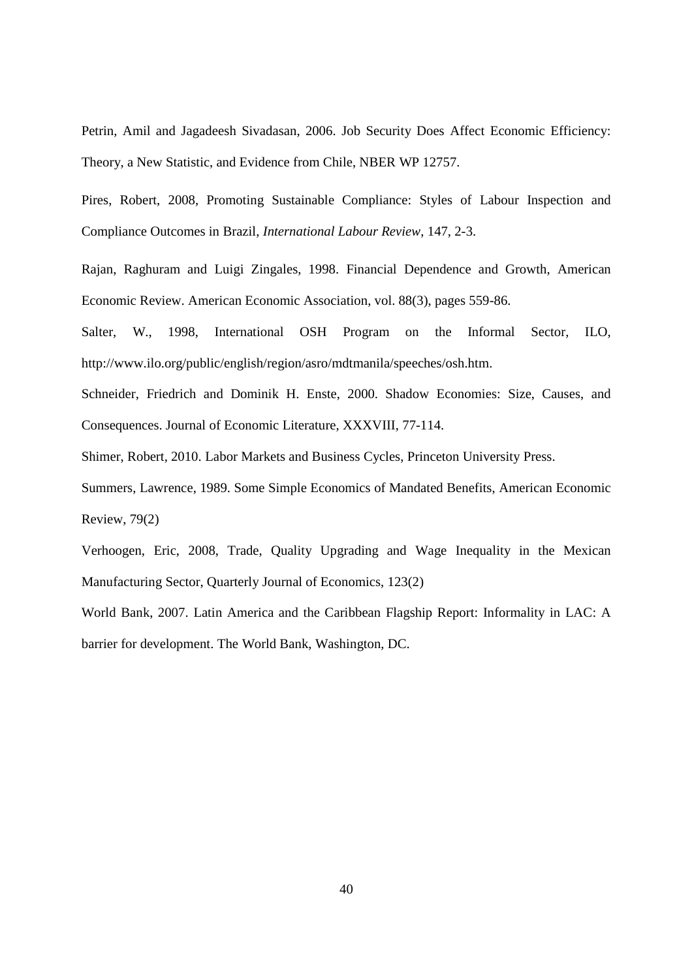Petrin, Amil and Jagadeesh Sivadasan, 2006. Job Security Does Affect Economic Efficiency: Theory, a New Statistic, and Evidence from Chile, NBER WP 12757.

Pires, Robert, 2008, Promoting Sustainable Compliance: Styles of Labour Inspection and Compliance Outcomes in Brazil, *International Labour Review*, 147, 2-3.

Rajan, Raghuram and Luigi Zingales, 1998. Financial Dependence and Growth, American Economic Review. American Economic Association, vol. 88(3), pages 559-86.

Salter, W., 1998, International OSH Program on the Informal Sector, ILO, http://www.ilo.org/public/english/region/asro/mdtmanila/speeches/osh.htm.

Schneider, Friedrich and Dominik H. Enste, 2000. Shadow Economies: Size, Causes, and Consequences. Journal of Economic Literature, XXXVIII, 77-114.

Shimer, Robert, 2010. Labor Markets and Business Cycles, Princeton University Press.

Summers, Lawrence, 1989. Some Simple Economics of Mandated Benefits, American Economic Review, 79(2)

Verhoogen, Eric, 2008, Trade, Quality Upgrading and Wage Inequality in the Mexican Manufacturing Sector, Quarterly Journal of Economics, 123(2)

World Bank, 2007. Latin America and the Caribbean Flagship Report: Informality in LAC: A barrier for development. The World Bank, Washington, DC.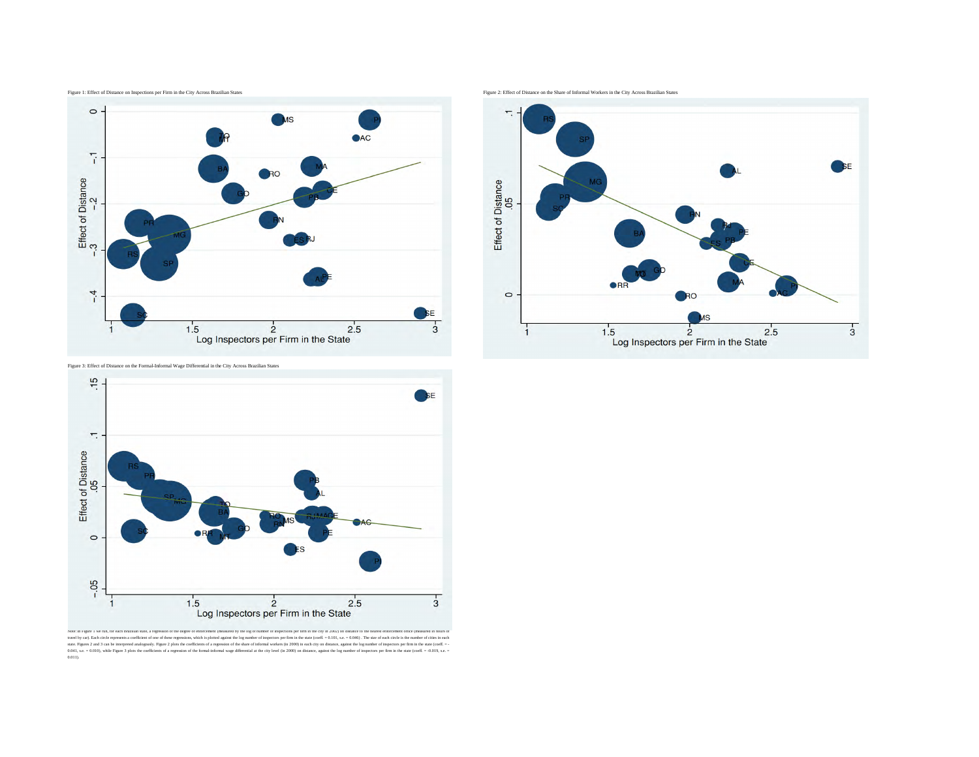





Figure 3: Effect of Distance on the Formal-Informal Wage Differential in the City Across Brazilian States



Note: In Figure 1 we run, for each Brazilian state, a regression of the degree of enforcement (measured by the log of number of inspections per firm in the city in 2002) on distance to the nearest enforcement office (measu travel by car). Each circle represents a coefficient of one of these regressions, which is plotted against the log number of inspectors per firm in the state (coeff. = 0.101, s.e. = 0.046). The size of each circle is the n state. Figures 2 and 3 can be interpreted analogously. Figure 2 plots the coefficients of a regression of the share of informal workers (in 2000) in each city on distance, against the log number of inspectors per firm in t 0.041, s.e. = 0.010), while Figure 3 plots the coefficients of a regression of the formal-informal wage differential at the city level (in 2000) on distance, against the log number of inspectors per firm in the state (coef 0.011).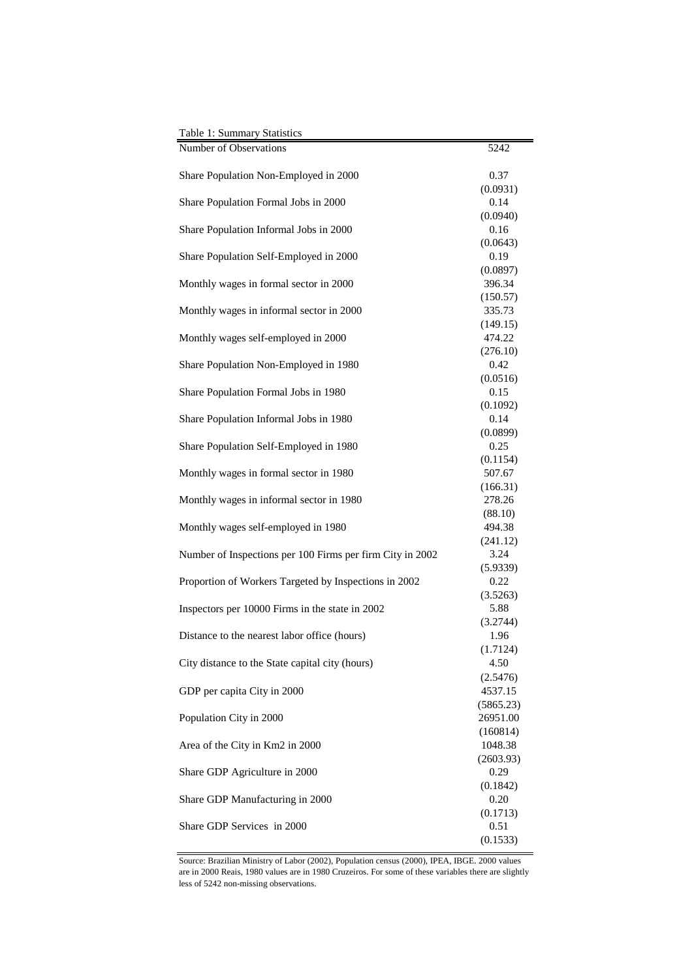| Table 1: Summary Statistics                               |                  |
|-----------------------------------------------------------|------------------|
| Number of Observations                                    | 5242             |
| Share Population Non-Employed in 2000                     | 0.37             |
|                                                           | (0.0931)         |
| Share Population Formal Jobs in 2000                      | 0.14             |
|                                                           | (0.0940)         |
| Share Population Informal Jobs in 2000                    | 0.16             |
|                                                           | (0.0643)         |
| Share Population Self-Employed in 2000                    | 0.19             |
|                                                           | (0.0897)         |
| Monthly wages in formal sector in 2000                    | 396.34           |
|                                                           | (150.57)         |
| Monthly wages in informal sector in 2000                  | 335.73           |
|                                                           | (149.15)         |
| Monthly wages self-employed in 2000                       | 474.22           |
|                                                           | (276.10)<br>0.42 |
| Share Population Non-Employed in 1980                     |                  |
| Share Population Formal Jobs in 1980                      | (0.0516)<br>0.15 |
|                                                           |                  |
| Share Population Informal Jobs in 1980                    | (0.1092)<br>0.14 |
|                                                           | (0.0899)         |
| Share Population Self-Employed in 1980                    | 0.25             |
|                                                           | (0.1154)         |
| Monthly wages in formal sector in 1980                    | 507.67           |
|                                                           | (166.31)         |
| Monthly wages in informal sector in 1980                  | 278.26           |
|                                                           | (88.10)          |
| Monthly wages self-employed in 1980                       | 494.38           |
|                                                           | (241.12)         |
| Number of Inspections per 100 Firms per firm City in 2002 | 3.24             |
|                                                           | (5.9339)         |
| Proportion of Workers Targeted by Inspections in 2002     | 0.22             |
|                                                           | (3.5263)         |
| Inspectors per 10000 Firms in the state in 2002           | 5.88             |
|                                                           | (3.2744)         |
| Distance to the nearest labor office (hours)              | 1.96             |
|                                                           | (1.7124)         |
| City distance to the State capital city (hours)           | 4.50             |
|                                                           | (2.5476)         |
| GDP per capita City in 2000                               | 4537.15          |
|                                                           | (5865.23)        |
| Population City in 2000                                   | 26951.00         |
|                                                           | (160814)         |
| Area of the City in Km2 in 2000                           | 1048.38          |
|                                                           | (2603.93)        |
| Share GDP Agriculture in 2000                             | 0.29             |
|                                                           | (0.1842)         |
| Share GDP Manufacturing in 2000                           | 0.20             |
| Share GDP Services in 2000                                | (0.1713)<br>0.51 |
|                                                           | (0.1533)         |
|                                                           |                  |

Source: Brazilian Ministry of Labor (2002), Population census (2000), IPEA, IBGE. 2000 values are in 2000 Reais, 1980 values are in 1980 Cruzeiros. For some of these variables there are slightly less of 5242 non-missing observations.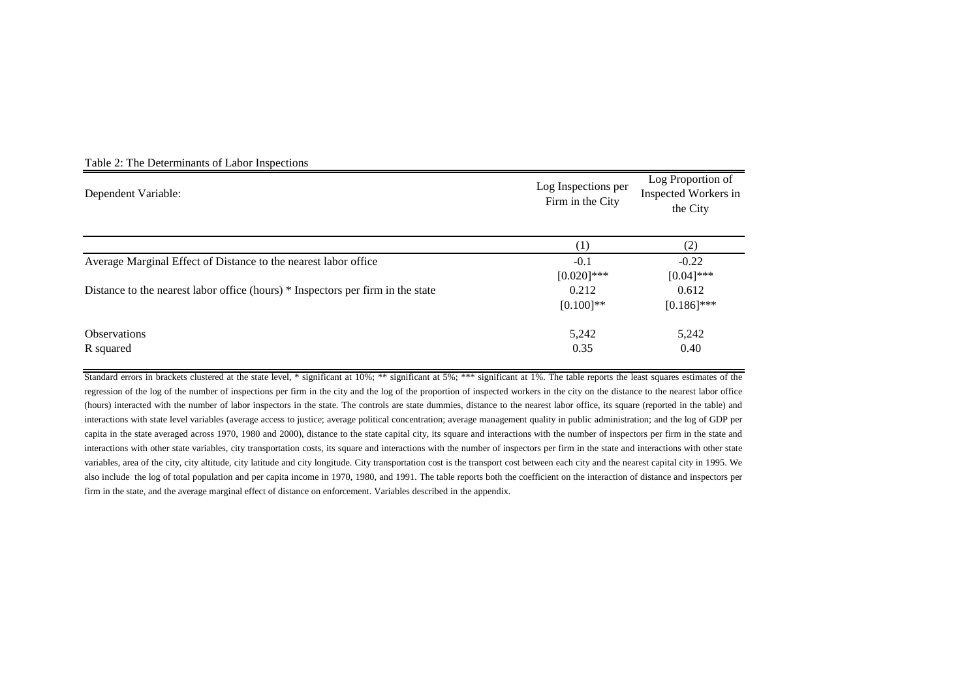| Dependent Variable:                                                             | Log Inspections per<br>Firm in the City | Log Proportion of<br>Inspected Workers in<br>the City |  |
|---------------------------------------------------------------------------------|-----------------------------------------|-------------------------------------------------------|--|
|                                                                                 | $\left(1\right)$                        | (2)                                                   |  |
| Average Marginal Effect of Distance to the nearest labor office                 | $-0.1$<br>$[0.020]$ ***                 | $-0.22$<br>$[0.04]$ ***                               |  |
| Distance to the nearest labor office (hours) * Inspectors per firm in the state | 0.212<br>$[0.100]$ **                   | 0.612<br>$[0.186]$ ***                                |  |
| <b>Observations</b><br>R squared                                                | 5,242<br>0.35                           | 5,242<br>0.40                                         |  |

#### Table 2: The Determinants of Labor Inspections

Standard errors in brackets clustered at the state level, \* significant at 10%; \*\* significant at 5%; \*\*\* significant at 1%. The table reports the least squares estimates of the regression of the log of the number of inspections per firm in the city and the log of the proportion of inspected workers in the city on the distance to the nearest labor office (hours) interacted with the number of labor inspectors in the state. The controls are state dummies, distance to the nearest labor office, its square (reported in the table) and interactions with state level variables (average access to justice; average political concentration; average management quality in public administration; and the log of GDP per capita in the state averaged across 1970, 1980 and 2000), distance to the state capital city, its square and interactions with the number of inspectors per firm in the state and interactions with other state variables, city transportation costs, its square and interactions with the number of inspectors per firm in the state and interactions with other state variables, area of the city, city altitude, city latitude and city longitude. City transportation cost is the transport cost between each city and the nearest capital city in 1995. We also include the log of total population and per capita income in 1970, 1980, and 1991. The table reports both the coefficient on the interaction of distance and inspectors per firm in the state, and the average marginal effect of distance on enforcement. Variables described in the appendix.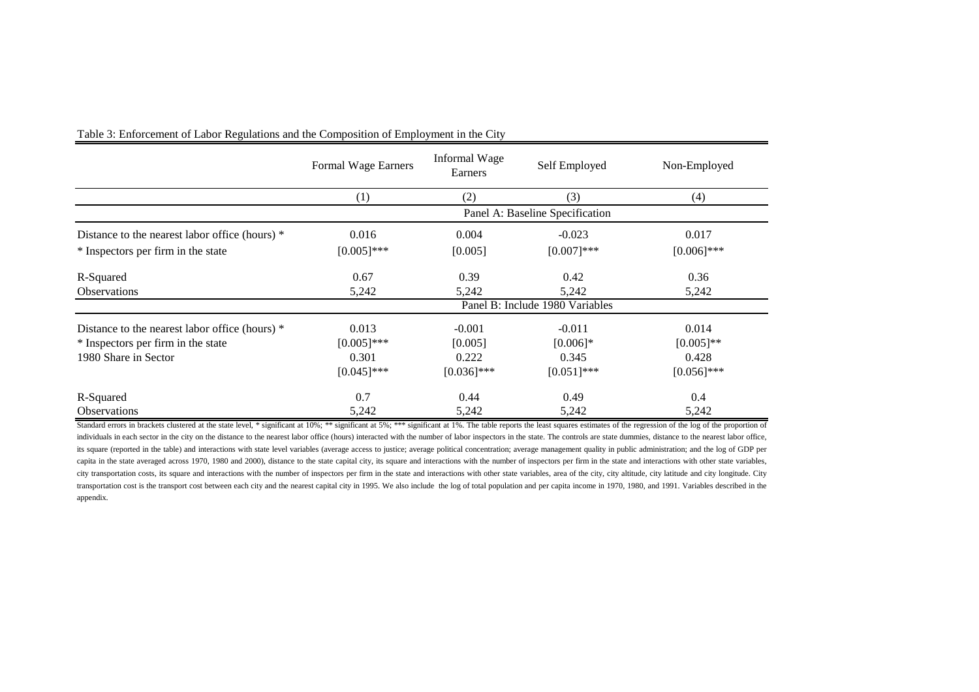|                                                | Formal Wage Earners | Informal Wage<br>Earners | Self Employed                   | Non-Employed  |
|------------------------------------------------|---------------------|--------------------------|---------------------------------|---------------|
|                                                | (1)                 | (2)                      | (3)                             | (4)           |
|                                                |                     |                          | Panel A: Baseline Specification |               |
| Distance to the nearest labor office (hours) * | 0.016               | 0.004                    | $-0.023$                        | 0.017         |
| * Inspectors per firm in the state             | $[0.005]$ ***       | [0.005]                  | $[0.007]***$                    | $[0.006]$ *** |
| R-Squared                                      | 0.67                | 0.39                     | 0.42                            | 0.36          |
| <b>Observations</b>                            | 5,242               | 5,242                    | 5,242                           | 5,242         |
|                                                |                     |                          | Panel B: Include 1980 Variables |               |
| Distance to the nearest labor office (hours) * | 0.013               | $-0.001$                 | $-0.011$                        | 0.014         |
| * Inspectors per firm in the state             | $[0.005]$ ***       | [0.005]                  | $[0.006]$ *                     | $[0.005]$ **  |
| 1980 Share in Sector                           | 0.301               | 0.222                    | 0.345                           | 0.428         |
|                                                | $[0.045]$ ***       | $[0.036]$ ***            | $[0.051]$ ***                   | $[0.056]$ *** |
| R-Squared                                      | 0.7                 | 0.44                     | 0.49                            | 0.4           |
| <b>Observations</b>                            | 5,242               | 5,242                    | 5,242                           | 5,242         |

Table 3: Enforcement of Labor Regulations and the Composition of Employment in the City

Standard errors in brackets clustered at the state level, \* significant at 10%; \*\* significant at 5%; \*\*\* significant at 1%. The table reports the least squares estimates of the regression of the log of the proportion of individuals in each sector in the city on the distance to the nearest labor office (hours) interacted with the number of labor inspectors in the state. The controls are state dummies, distance to the nearest labor office, its square (reported in the table) and interactions with state level variables (average access to justice; average political concentration; average management quality in public administration; and the log of GDP per capita in the state averaged across 1970, 1980 and 2000), distance to the state capital city, its square and interactions with the number of inspectors per firm in the state and interactions with other state variables, city transportation costs, its square and interactions with the number of inspectors per firm in the state and interactions with other state variables, area of the city, city altitude, city latitude and city longitude. City transportation cost is the transport cost between each city and the nearest capital city in 1995. We also include the log of total population and per capita income in 1970, 1980, and 1991. Variables described in the appendix.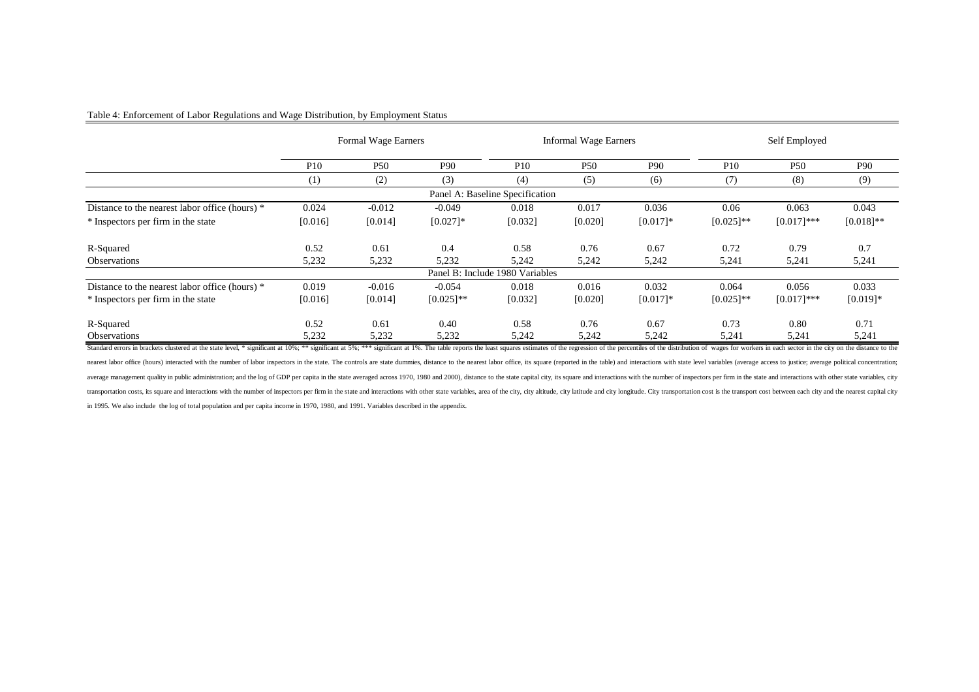#### Table 4: Enforcement of Labor Regulations and Wage Distribution, by Employment Status

|                                                |            | Formal Wage Earners |              |                                 | <b>Informal Wage Earners</b> |                 |              | Self Employed |                 |
|------------------------------------------------|------------|---------------------|--------------|---------------------------------|------------------------------|-----------------|--------------|---------------|-----------------|
|                                                | <b>P10</b> | <b>P50</b>          | <b>P90</b>   | P <sub>10</sub>                 | <b>P50</b>                   | P <sub>90</sub> | <b>P10</b>   | <b>P50</b>    | P <sub>90</sub> |
|                                                | (1)        | (2)                 | (3)          | (4)                             | (5)                          | (6)             | (7)          | (8)           | (9)             |
|                                                |            |                     |              | Panel A: Baseline Specification |                              |                 |              |               |                 |
| Distance to the nearest labor office (hours) * | 0.024      | $-0.012$            | $-0.049$     | 0.018                           | 0.017                        | 0.036           | 0.06         | 0.063         | 0.043           |
| * Inspectors per firm in the state             | [0.016]    | [0.014]             | $[0.027]$ *  | [0.032]                         | [0.020]                      | $[0.017]$ *     | $[0.025]$ ** | $[0.017]$ *** | $[0.018]$ **    |
| R-Squared                                      | 0.52       | 0.61                | 0.4          | 0.58                            | 0.76                         | 0.67            | 0.72         | 0.79          | 0.7             |
| <b>Observations</b>                            | 5,232      | 5,232               | 5,232        | 5,242                           | 5,242                        | 5,242           | 5,241        | 5,241         | 5,241           |
|                                                |            |                     |              | Panel B: Include 1980 Variables |                              |                 |              |               |                 |
| Distance to the nearest labor office (hours) * | 0.019      | $-0.016$            | $-0.054$     | 0.018                           | 0.016                        | 0.032           | 0.064        | 0.056         | 0.033           |
| * Inspectors per firm in the state             | [0.016]    | [0.014]             | $[0.025]$ ** | [0.032]                         | [0.020]                      | $[0.017]$ *     | $[0.025]$ ** | $[0.017]$ *** | $[0.019]*$      |
| R-Squared                                      | 0.52       | 0.61                | 0.40         | 0.58                            | 0.76                         | 0.67            | 0.73         | 0.80          | 0.71            |
| <b>Observations</b>                            | 5,232      | 5,232               | 5,232        | 5,242                           | 5,242                        | 5,242           | 5,241        | 5,241         | 5,241           |

Standard errors in brackets clustered at the state level, \* significant at 10%; \*\* significant at 5%; \*\*\* significant at 19%; \*\*\* significant at 19%; \*\*\* significant at 19%; \*\*\* significant at 19%; assumpted by the distanc nearest labor office (hours) interacted with the number of labor inspectors in the state. The controls are state dummies, distance to the nearest labor office, its square (reported in the table) and interactions with state average management quality in public administration; and the log of GDP per capita in the state averaged across 1970, 1980 and 2000), distance to the state capital city, its square and interactions with the number of inspe transportation costs, its square and interactions with the number of inspectors per firm in the state and interactions with other state exariables, area of the city, city altitude, city latitude and city longitude. City tr in 1995. We also include the log of total population and per capita income in 1970, 1980, and 1991. Variables described in the appendix.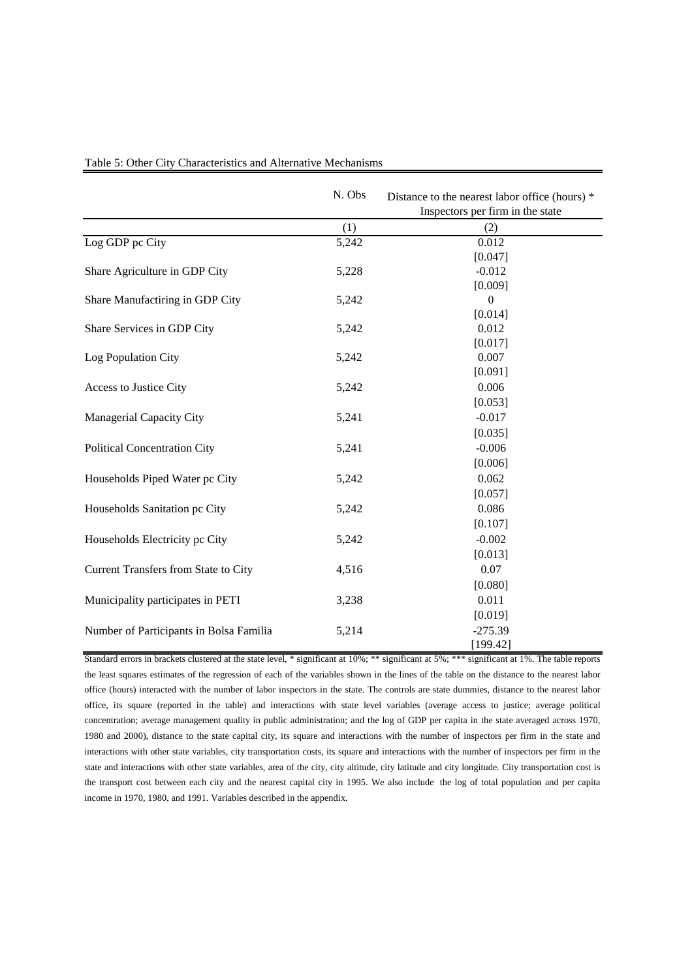|                                         | N. Obs | Distance to the nearest labor office (hours) *<br>Inspectors per firm in the state |
|-----------------------------------------|--------|------------------------------------------------------------------------------------|
|                                         | (1)    | (2)                                                                                |
| Log GDP pc City                         | 5,242  | 0.012                                                                              |
|                                         |        | [0.047]                                                                            |
| Share Agriculture in GDP City           | 5,228  | $-0.012$                                                                           |
|                                         |        | [0.009]                                                                            |
| Share Manufactiring in GDP City         | 5,242  | $\theta$                                                                           |
|                                         |        | [0.014]                                                                            |
| Share Services in GDP City              | 5,242  | 0.012                                                                              |
|                                         |        | [0.017]                                                                            |
| Log Population City                     | 5,242  | 0.007                                                                              |
|                                         |        | [0.091]                                                                            |
| Access to Justice City                  | 5,242  | 0.006                                                                              |
|                                         |        | [0.053]                                                                            |
| Managerial Capacity City                | 5,241  | $-0.017$                                                                           |
|                                         |        | [0.035]                                                                            |
| Political Concentration City            | 5,241  | $-0.006$                                                                           |
|                                         |        | [0.006]                                                                            |
| Households Piped Water pc City          | 5,242  | 0.062                                                                              |
|                                         |        | [0.057]                                                                            |
| Households Sanitation pc City           | 5,242  | 0.086                                                                              |
|                                         |        | [0.107]                                                                            |
| Households Electricity pc City          | 5,242  | $-0.002$                                                                           |
|                                         |        | [0.013]                                                                            |
| Current Transfers from State to City    | 4,516  | 0.07                                                                               |
|                                         |        | [0.080]                                                                            |
| Municipality participates in PETI       | 3,238  | 0.011                                                                              |
|                                         |        | [0.019]                                                                            |
| Number of Participants in Bolsa Familia | 5,214  | $-275.39$                                                                          |
|                                         |        | [199.42]                                                                           |

Table 5: Other City Characteristics and Alternative Mechanisms

Standard errors in brackets clustered at the state level, \* significant at 10%; \*\* significant at 5%; \*\*\* significant at 1%. The table reports the least squares estimates of the regression of each of the variables shown in the lines of the table on the distance to the nearest labor office (hours) interacted with the number of labor inspectors in the state. The controls are state dummies, distance to the nearest labor office, its square (reported in the table) and interactions with state level variables (average access to justice; average political concentration; average management quality in public administration; and the log of GDP per capita in the state averaged across 1970, 1980 and 2000), distance to the state capital city, its square and interactions with the number of inspectors per firm in the state and interactions with other state variables, city transportation costs, its square and interactions with the number of inspectors per firm in the state and interactions with other state variables, area of the city, city altitude, city latitude and city longitude. City transportation cost is the transport cost between each city and the nearest capital city in 1995. We also include the log of total population and per capita income in 1970, 1980, and 1991. Variables described in the appendix.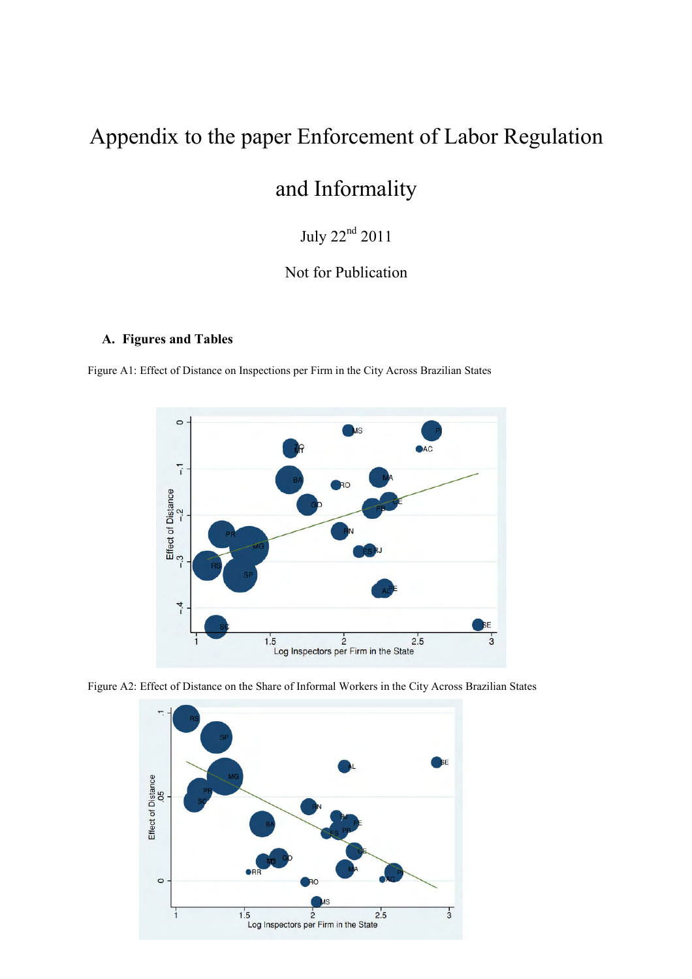# Appendix to the paper Enforcement of Labor Regulation

# and Informality

July 22nd 2011

## Not for Publication

### **A. Figures and Tables**

Figure A1: Effect of Distance on Inspections per Firm in the City Across Brazilian States





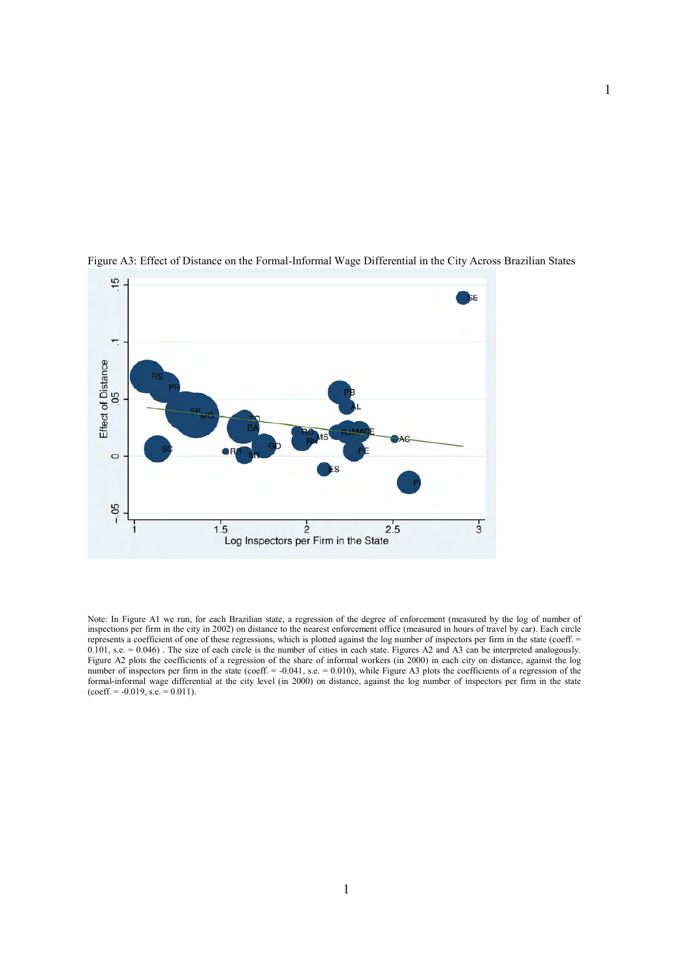

Figure A3: Effect of Distance on the Formal-Informal Wage Differential in the City Across Brazilian States

Note: In Figure A1 we run, for each Brazilian state, a regression of the degree of enforcement (measured by the log of number of inspections per firm in the city in 2002) on distance to the nearest enforcement office (measured in hours of travel by car). Each circle represents a coefficient of one of these regressions, which is plotted against the log number of inspectors per firm in the state (coeff. = 0.101, s.e. = 0.046). The size of each circle is the number of cities in each state. Figures A2 and A3 can be interpreted analogously. Figure A2 plots the coefficients of a regression of the share of informal workers (in 2000) in each city on distance, against the log number of inspectors per firm in the state (coeff. = -0.041, s.e. = 0.010), while Figure A3 plots the coefficients of a regression of the formal-informal wage differential at the city level (in 2000) on distance, against the log number of inspectors per firm in the state  $(coeff. = -0.019, s.e. = 0.011).$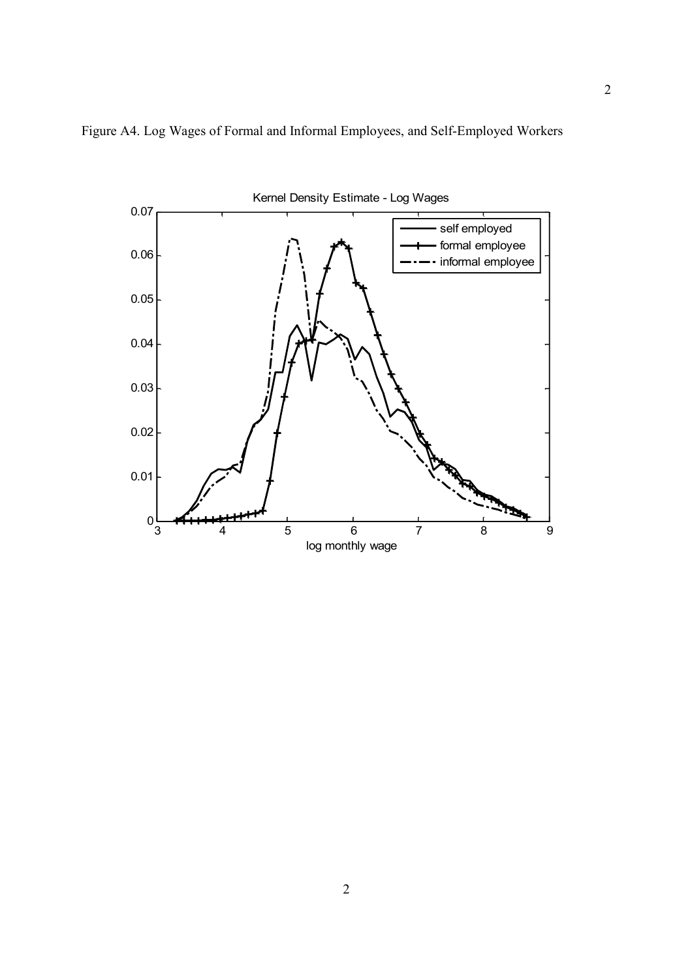

Figure A4. Log Wages of Formal and Informal Employees, and Self-Employed Workers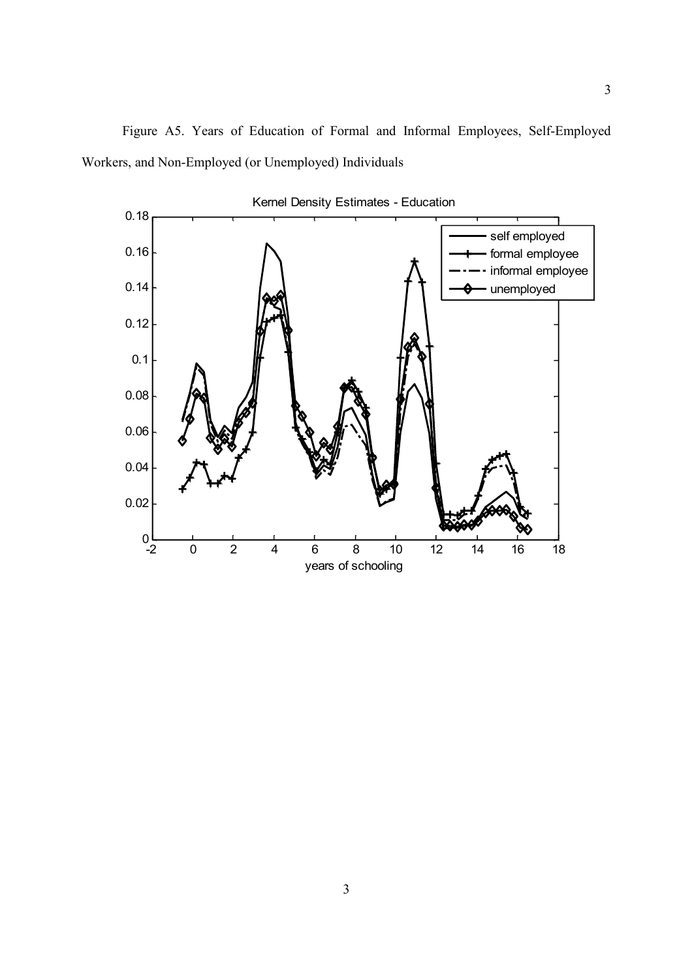

3

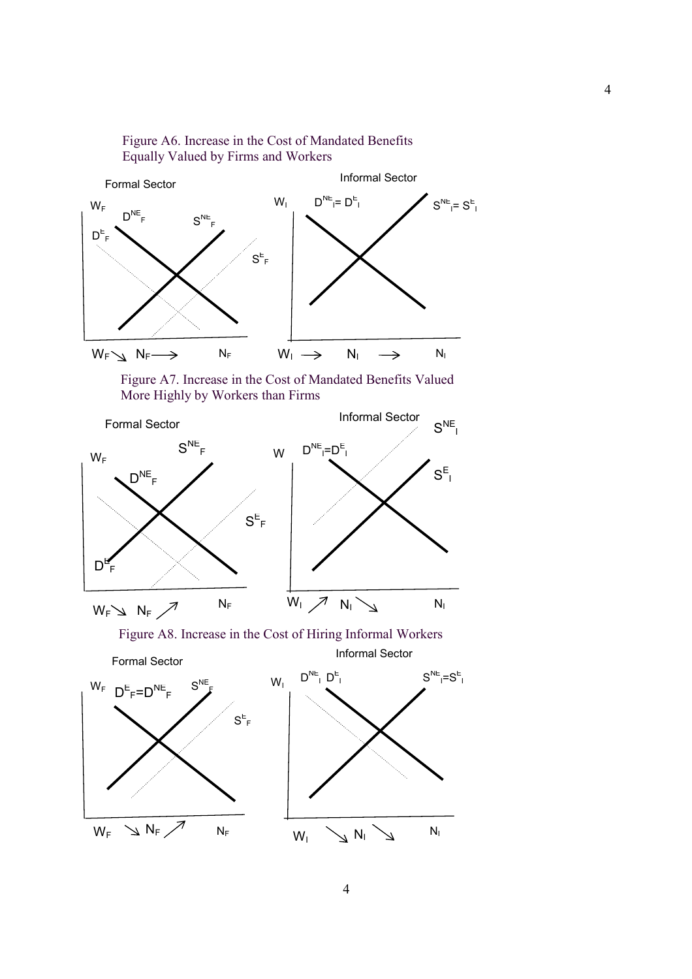

Figure A6. Increase in the Cost of Mandated Benefits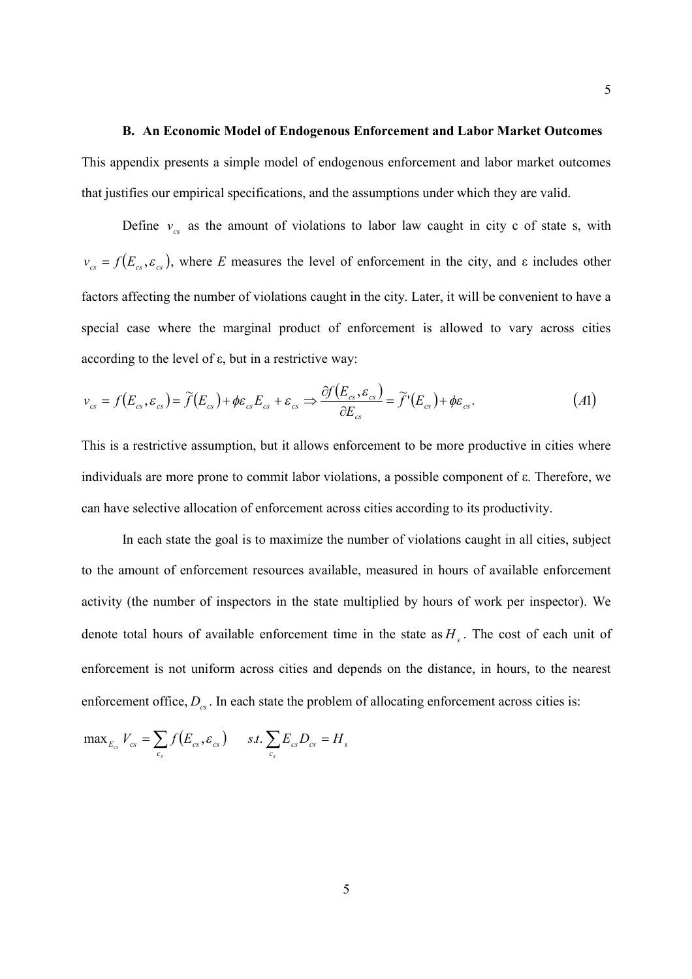### **B. An Economic Model of Endogenous Enforcement and Labor Market Outcomes**

This appendix presents a simple model of endogenous enforcement and labor market outcomes that justifies our empirical specifications, and the assumptions under which they are valid.

Define  $v_{cs}$  as the amount of violations to labor law caught in city c of state s, with  $v_{cs} = f(E_{cs}, \varepsilon_{cs})$ , where *E* measures the level of enforcement in the city, and  $\varepsilon$  includes other factors affecting the number of violations caught in the city. Later, it will be convenient to have a special case where the marginal product of enforcement is allowed to vary across cities according to the level of ε, but in a restrictive way:

$$
\nu_{cs} = f(E_{cs}, \varepsilon_{cs}) = \widetilde{f}(E_{cs}) + \phi \varepsilon_{cs} E_{cs} + \varepsilon_{cs} \Rightarrow \frac{\partial f(E_{cs}, \varepsilon_{cs})}{\partial E_{cs}} = \widetilde{f}'(E_{cs}) + \phi \varepsilon_{cs}.
$$
\n(A1)

This is a restrictive assumption, but it allows enforcement to be more productive in cities where individuals are more prone to commit labor violations, a possible component of ε. Therefore, we can have selective allocation of enforcement across cities according to its productivity.

In each state the goal is to maximize the number of violations caught in all cities, subject to the amount of enforcement resources available, measured in hours of available enforcement activity (the number of inspectors in the state multiplied by hours of work per inspector). We denote total hours of available enforcement time in the state as  $H<sub>s</sub>$ . The cost of each unit of enforcement is not uniform across cities and depends on the distance, in hours, to the nearest enforcement office,  $D_{cs}$ . In each state the problem of allocating enforcement across cities is:

$$
\max_{E_{cs}} V_{cs} = \sum_{c_s} f(E_{cs}, \varepsilon_{cs}) \quad \text{ s.t. } \sum_{c_s} E_{cs} D_{cs} = H_s
$$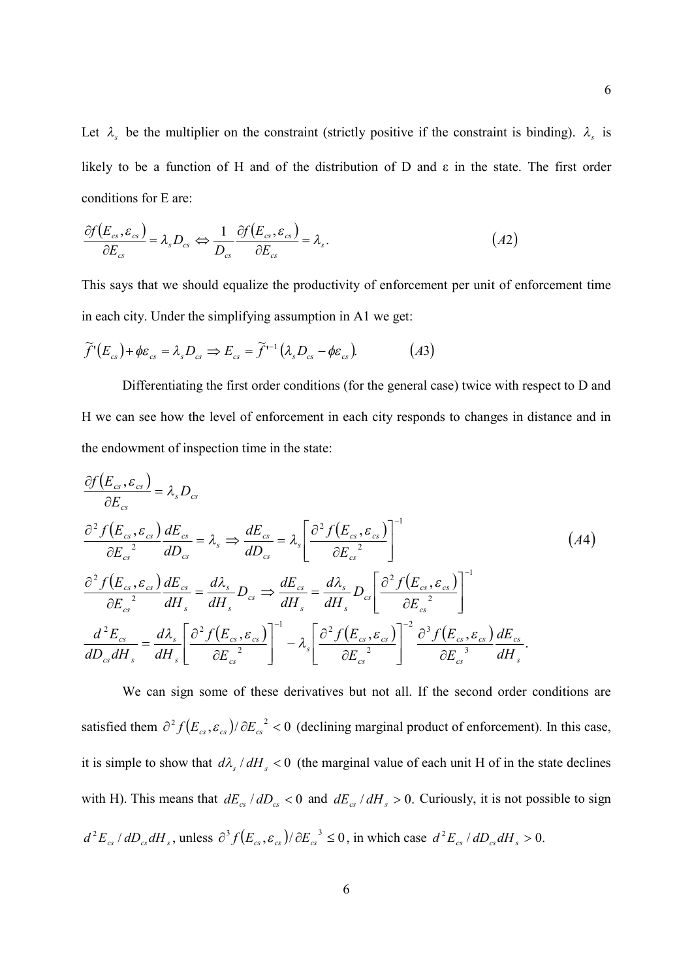Let  $\lambda_s$  be the multiplier on the constraint (strictly positive if the constraint is binding).  $\lambda_s$  is likely to be a function of H and of the distribution of D and ε in the state. The first order conditions for E are:

$$
\frac{\partial f(E_{cs}, \varepsilon_{cs})}{\partial E_{cs}} = \lambda_s D_{cs} \Leftrightarrow \frac{1}{D_{cs}} \frac{\partial f(E_{cs}, \varepsilon_{cs})}{\partial E_{cs}} = \lambda_s.
$$
\n
$$
(A2)
$$

This says that we should equalize the productivity of enforcement per unit of enforcement time in each city. Under the simplifying assumption in A1 we get:

$$
\widetilde{f}^{\prime}(E_{cs}) + \phi \varepsilon_{cs} = \lambda_s D_{cs} \Rightarrow E_{cs} = \widetilde{f}^{\prime -1} (\lambda_s D_{cs} - \phi \varepsilon_{cs}). \tag{A3}
$$

Differentiating the first order conditions (for the general case) twice with respect to D and H we can see how the level of enforcement in each city responds to changes in distance and in the endowment of inspection time in the state:

$$
\frac{\partial f(E_{cs}, \varepsilon_{cs})}{\partial E_{cs}} = \lambda_s D_{cs}
$$
\n
$$
\frac{\partial^2 f(E_{cs}, \varepsilon_{cs})}{\partial E_{cs}^2} \frac{dE_{cs}}{dD_{cs}} = \lambda_s \Rightarrow \frac{dE_{cs}}{dD_{cs}} = \lambda_s \left[ \frac{\partial^2 f(E_{cs}, \varepsilon_{cs})}{\partial E_{cs}^2} \right]^{-1}
$$
\n
$$
\frac{\partial^2 f(E_{cs}, \varepsilon_{cs})}{\partial E_{cs}^2} \frac{dE_{cs}}{dH_s} = \frac{d\lambda_s}{dH_s} D_{cs} \Rightarrow \frac{dE_{cs}}{dH_s} = \frac{d\lambda_s}{dH_s} D_{cs} \left[ \frac{\partial^2 f(E_{cs}, \varepsilon_{cs})}{\partial E_{cs}^2} \right]^{-1}
$$
\n
$$
\frac{d^2 E_{cs}}{dD_{cs} dH_s} = \frac{d\lambda_s}{dH_s} \left[ \frac{\partial^2 f(E_{cs}, \varepsilon_{cs})}{\partial E_{cs}^2} \right]^{-1} - \lambda_s \left[ \frac{\partial^2 f(E_{cs}, \varepsilon_{cs})}{\partial E_{cs}^2} \right]^{-2} \frac{\partial^3 f(E_{cs}, \varepsilon_{cs})}{\partial E_{cs}^3} \frac{dE_{cs}}{dH_s}.
$$
\n(44)

We can sign some of these derivatives but not all. If the second order conditions are satisfied them  $\partial^2 f(E_{cs}, \varepsilon_{cs}) / \partial E_{cs}^2 < 0$  (declining marginal product of enforcement). In this case, it is simple to show that  $d\lambda_s/dH_s < 0$  (the marginal value of each unit H of in the state declines with H). This means that  $dE_{cs}/dD_{cs} < 0$  and  $dE_{cs}/dH_s > 0$ . Curiously, it is not possible to sign  $d^2 E_{cs} / dD_{cs} dH_s$ , unless  $\partial^3 f(E_{cs}, \varepsilon_{cs}) / \partial E_{cs}^3 \le 0$ , in which case  $d^2 E_{cs} / dD_{cs} dH_s > 0$ .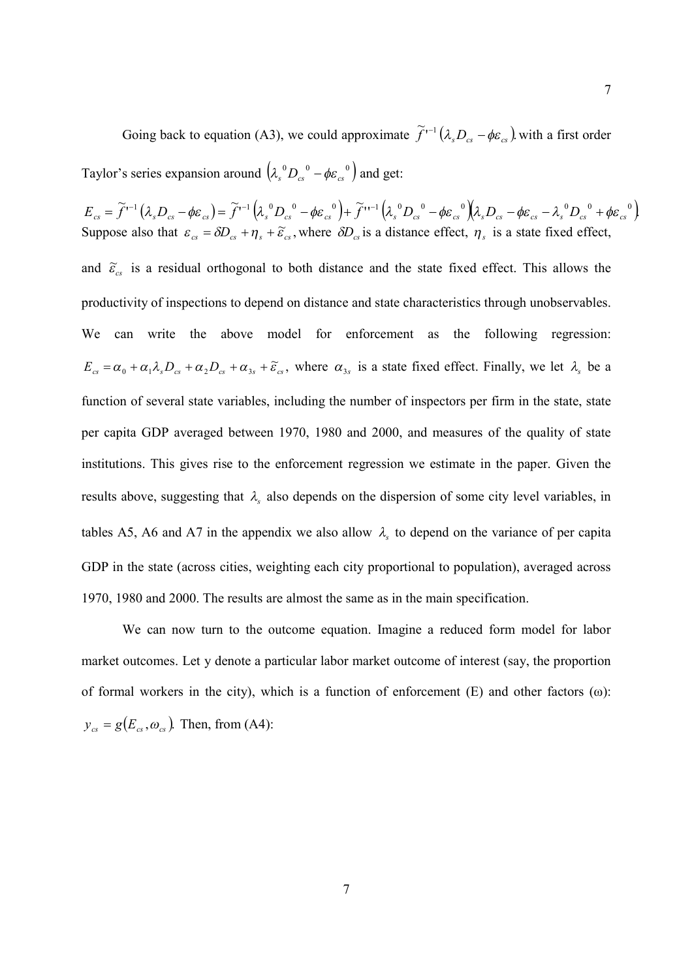Going back to equation (A3), we could approximate  $\tilde{f}^{-1}(\lambda_s D_{cs} - \phi \varepsilon_{cs})$  with a first order Taylor's series expansion around  $(\lambda_s^0 D_{cs}^0 - \phi \varepsilon_{cs}^0)$  and get:

 $E_{cs} = \widetilde{f}^{\prime -1} \left( \lambda_s D_{cs} - \phi \varepsilon_{cs} \right) = \widetilde{f}^{\prime -1} \left( \lambda_s^0 D_{cs}^0 - \phi \varepsilon_{cs}^0 \right) + \widetilde{f}^{\prime \prime -1} \left( \lambda_s^0 D_{cs}^0 - \phi \varepsilon_{cs}^0 \right) \left( \lambda_s D_{cs} - \phi \varepsilon_{cs} - \lambda_s^0 D_{cs}^0 + \phi \varepsilon_{cs}^0 \right)$ Suppose also that  $\varepsilon_{cs} = \delta D_{cs} + \eta_s + \tilde{\varepsilon}_{cs}$ , where  $\delta D_{cs}$  is a distance effect,  $\eta_s$  is a state fixed effect, and  $\tilde{\varepsilon}_{cs}$  is a residual orthogonal to both distance and the state fixed effect. This allows the productivity of inspections to depend on distance and state characteristics through unobservables. We can write the above model for enforcement as the following regression:  $E_{cs} = \alpha_0 + \alpha_1 \lambda_s D_{cs} + \alpha_2 D_{cs} + \alpha_{3s} + \widetilde{\epsilon}_{cs}$ , where  $\alpha_{3s}$  is a state fixed effect. Finally, we let  $\lambda_s$  be a function of several state variables, including the number of inspectors per firm in the state, state per capita GDP averaged between 1970, 1980 and 2000, and measures of the quality of state institutions. This gives rise to the enforcement regression we estimate in the paper. Given the results above, suggesting that  $\lambda$ <sub>s</sub> also depends on the dispersion of some city level variables, in tables A5, A6 and A7 in the appendix we also allow  $\lambda_s$  to depend on the variance of per capita GDP in the state (across cities, weighting each city proportional to population), averaged across 1970, 1980 and 2000. The results are almost the same as in the main specification.

We can now turn to the outcome equation. Imagine a reduced form model for labor market outcomes. Let y denote a particular labor market outcome of interest (say, the proportion of formal workers in the city), which is a function of enforcement  $(E)$  and other factors  $(\omega)$ :  $y_{cs} = g(E_{cs}, \omega_{cs})$ . Then, from (A4):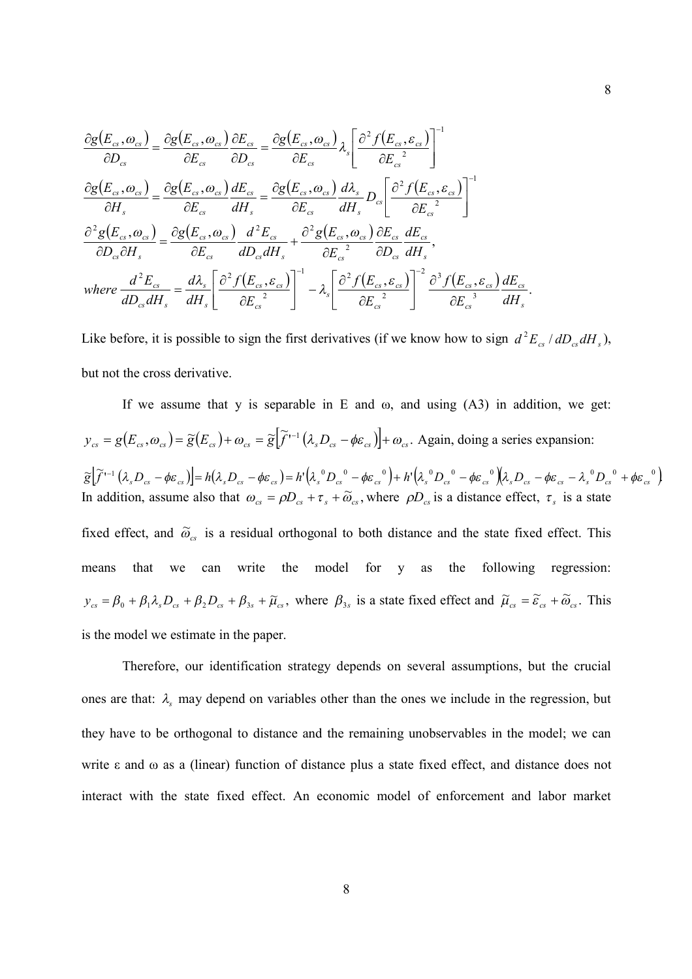$$
\frac{\partial g(E_{cs}, \omega_{cs})}{\partial D_{cs}} = \frac{\partial g(E_{cs}, \omega_{cs})}{\partial E_{cs}} \frac{\partial E_{cs}}{\partial D_{cs}} = \frac{\partial g(E_{cs}, \omega_{cs})}{\partial E_{cs}} \lambda_{s} \left[ \frac{\partial^{2} f(E_{cs}, \varepsilon_{cs})}{\partial E_{cs}} \right]^{-1}
$$
\n
$$
\frac{\partial g(E_{cs}, \omega_{cs})}{\partial H_{s}} = \frac{\partial g(E_{cs}, \omega_{cs})}{\partial E_{cs}} \frac{dE_{cs}}{dH_{s}} = \frac{\partial g(E_{cs}, \omega_{cs})}{\partial E_{cs}} \frac{d\lambda_{s}}{dH_{s}} D_{cs} \left[ \frac{\partial^{2} f(E_{cs}, \varepsilon_{cs})}{\partial E_{cs}} \right]^{-1}
$$
\n
$$
\frac{\partial^{2} g(E_{cs}, \omega_{cs})}{\partial D_{cs} \partial H_{s}} = \frac{\partial g(E_{cs}, \omega_{cs})}{\partial E_{cs}} \frac{d^{2} E_{cs}}{dD_{cs} dH_{s}} + \frac{\partial^{2} g(E_{cs}, \omega_{cs})}{\partial E_{cs}} \frac{\partial E_{cs}}{\partial D_{cs}} \frac{dE_{cs}}{dH_{s}},
$$
\nwhere 
$$
\frac{d^{2} E_{cs}}{dD_{cs} dH_{s}} = \frac{d\lambda_{s}}{dH_{s}} \left[ \frac{\partial^{2} f(E_{cs}, \varepsilon_{cs})}{\partial E_{cs}} \right]^{-1} - \lambda_{s} \left[ \frac{\partial^{2} f(E_{cs}, \varepsilon_{cs})}{\partial E_{cs}} \right]^{-2} \frac{\partial^{3} f(E_{cs}, \varepsilon_{cs})}{\partial E_{cs}} \frac{dE_{cs}}{dH_{s}}.
$$

Like before, it is possible to sign the first derivatives (if we know how to sign  $d^2E_{cs}/dD_{cs}dH_s$ ), but not the cross derivative.

If we assume that y is separable in E and  $\omega$ , and using  $(A3)$  in addition, we get:  $y_{cs} = g(E_{cs}, \omega_{cs}) = \tilde{g}(E_{cs}) + \omega_{cs} = \tilde{g}[\tilde{f}^{(-)}(\lambda_s D_{cs} - \phi \varepsilon_{cs})] + \omega_{cs}$ . Again, doing a series expansion:  $\widetilde{\mathcal{E}}\left[\widetilde{f}^{\prime\prime\prime\prime}\left(\lambda_{s}D_{cs}-\phi\varepsilon_{cs}\right)\right]=h\left(\lambda_{s}D_{cs}-\phi\varepsilon_{cs}\right)=h^{\prime}\left(\lambda_{s}^{\,\,\,0}D_{cs}^{\,\,\,0}-\phi\varepsilon_{cs}^{\,\,\,0}\right)+h^{\prime}\left(\lambda_{s}^{\,\,\,0}D_{cs}^{\,\,\,0}-\phi\varepsilon_{cs}^{\,\,\,0}\right)\left(\lambda_{s}D_{cs}-\phi\varepsilon_{cs}^{\,\,\,-\,\,0}D_{cs}^{\,\,\,0}+\phi\varepsilon_{cs}^{\,\,\,0}\right$ In addition, assume also that  $\omega_{cs} = \rho D_{cs} + \tau_s + \tilde{\omega}_{cs}$ , where  $\rho D_{cs}$  is a distance effect,  $\tau_s$  is a state fixed effect, and  $\tilde{\omega}_{cs}$  is a residual orthogonal to both distance and the state fixed effect. This means that we can write the model for y as the following regression:  $y_{cs} = \beta_0 + \beta_1 \lambda_s D_{cs} + \beta_2 D_{cs} + \beta_{3s} + \tilde{\mu}_s$ , where  $\beta_{3s}$  is a state fixed effect and  $\tilde{\mu}_{cs} = \tilde{\epsilon}_{cs} + \tilde{\omega}_{cs}$ . This is the model we estimate in the paper.

Therefore, our identification strategy depends on several assumptions, but the crucial ones are that:  $\lambda$ <sub>s</sub> may depend on variables other than the ones we include in the regression, but they have to be orthogonal to distance and the remaining unobservables in the model; we can write ε and ω as a (linear) function of distance plus a state fixed effect, and distance does not interact with the state fixed effect. An economic model of enforcement and labor market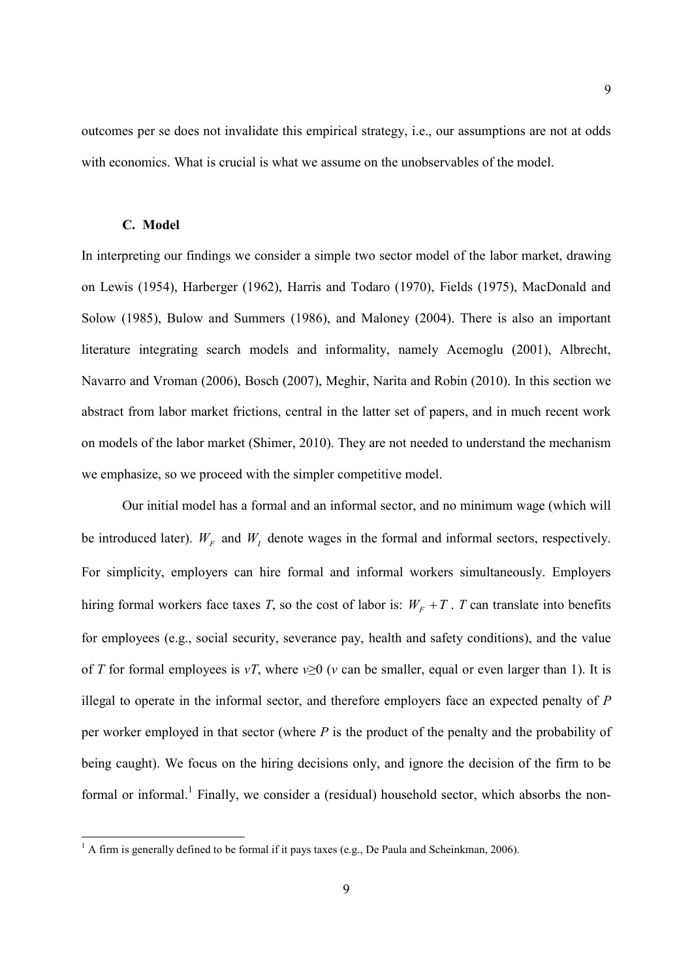outcomes per se does not invalidate this empirical strategy, i.e., our assumptions are not at odds with economics. What is crucial is what we assume on the unobservables of the model.

#### **C. Model**

In interpreting our findings we consider a simple two sector model of the labor market, drawing on Lewis (1954), Harberger (1962), Harris and Todaro (1970), Fields (1975), MacDonald and Solow (1985), Bulow and Summers (1986), and Maloney (2004). There is also an important literature integrating search models and informality, namely Acemoglu (2001), Albrecht, Navarro and Vroman (2006), Bosch (2007), Meghir, Narita and Robin (2010). In this section we abstract from labor market frictions, central in the latter set of papers, and in much recent work on models of the labor market (Shimer, 2010). They are not needed to understand the mechanism we emphasize, so we proceed with the simpler competitive model.

Our initial model has a formal and an informal sector, and no minimum wage (which will be introduced later).  $W_F$  and  $W_I$  denote wages in the formal and informal sectors, respectively. For simplicity, employers can hire formal and informal workers simultaneously. Employers hiring formal workers face taxes *T*, so the cost of labor is:  $W_F + T$ . *T* can translate into benefits for employees (e.g., social security, severance pay, health and safety conditions), and the value of *T* for formal employees is *vT*, where  $v>0$  (*v* can be smaller, equal or even larger than 1). It is illegal to operate in the informal sector, and therefore employers face an expected penalty of *P* per worker employed in that sector (where *P* is the product of the penalty and the probability of being caught). We focus on the hiring decisions only, and ignore the decision of the firm to be formal or informal.<sup>1</sup> Finally, we consider a (residual) household sector, which absorbs the non-

 $1$  A firm is generally defined to be formal if it pays taxes (e.g., De Paula and Scheinkman, 2006).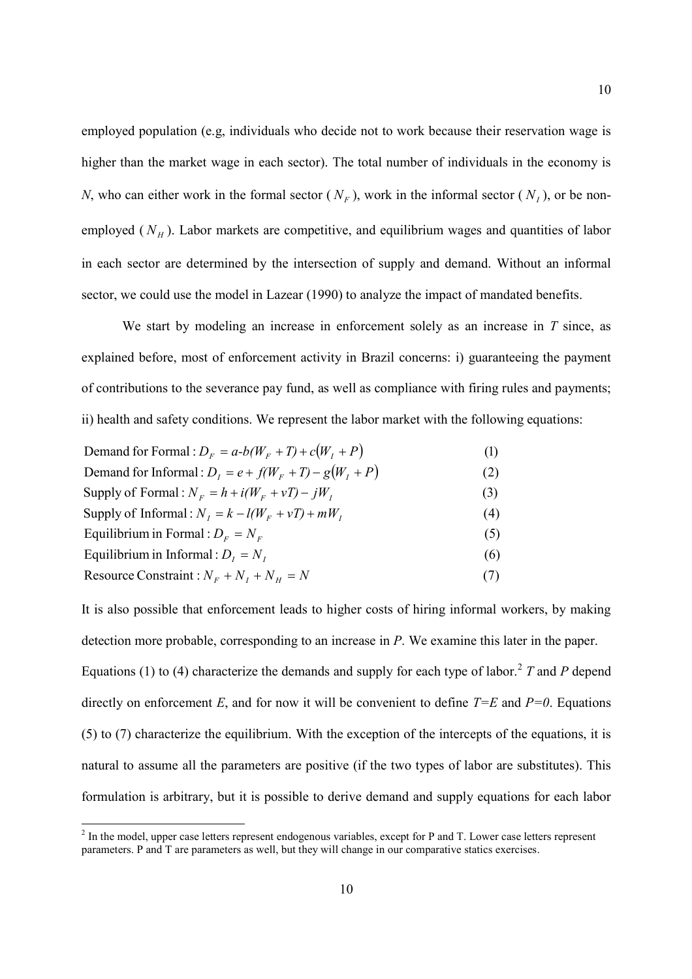employed population (e.g, individuals who decide not to work because their reservation wage is higher than the market wage in each sector). The total number of individuals in the economy is *N*, who can either work in the formal sector  $(N_F)$ , work in the informal sector  $(N_I)$ , or be nonemployed  $(N_H)$ . Labor markets are competitive, and equilibrium wages and quantities of labor in each sector are determined by the intersection of supply and demand. Without an informal sector, we could use the model in Lazear (1990) to analyze the impact of mandated benefits.

We start by modeling an increase in enforcement solely as an increase in *T* since, as explained before, most of enforcement activity in Brazil concerns: i) guaranteeing the payment of contributions to the severance pay fund, as well as compliance with firing rules and payments; ii) health and safety conditions. We represent the labor market with the following equations:

| Demand for Formal : $DF = a-b(WF + T) + c(WT + P)$        | (1) |
|-----------------------------------------------------------|-----|
| Demand for Informal : $D_i = e + f(W_E + T) - g(W_I + P)$ | (2) |
| Supply of Formal : $N_F = h + i(W_F + vT) - jW_I$         | (3) |
| Supply of Informal: $N_L = k - l(W_F + vT) + mW_L$        | (4) |
| Equilibrium in Formal : $DF = NF$                         | (5) |
| Equilibrium in Informal : $D_i = N_i$                     | (6) |
| Resource Constraint : $N_F + N_I + N_H = N$               | (7) |
|                                                           |     |

It is also possible that enforcement leads to higher costs of hiring informal workers, by making detection more probable, corresponding to an increase in *P*. We examine this later in the paper.

Equations (1) to (4) characterize the demands and supply for each type of labor.<sup>2</sup> T and P depend directly on enforcement *E*, and for now it will be convenient to define  $T=E$  and  $P=0$ . Equations (5) to (7) characterize the equilibrium. With the exception of the intercepts of the equations, it is natural to assume all the parameters are positive (if the two types of labor are substitutes). This formulation is arbitrary, but it is possible to derive demand and supply equations for each labor

 $2 \text{ In the model, upper case letters represent endogenous variables, except for P and T. Lower case letters represent$ parameters. P and T are parameters as well, but they will change in our comparative statics exercises.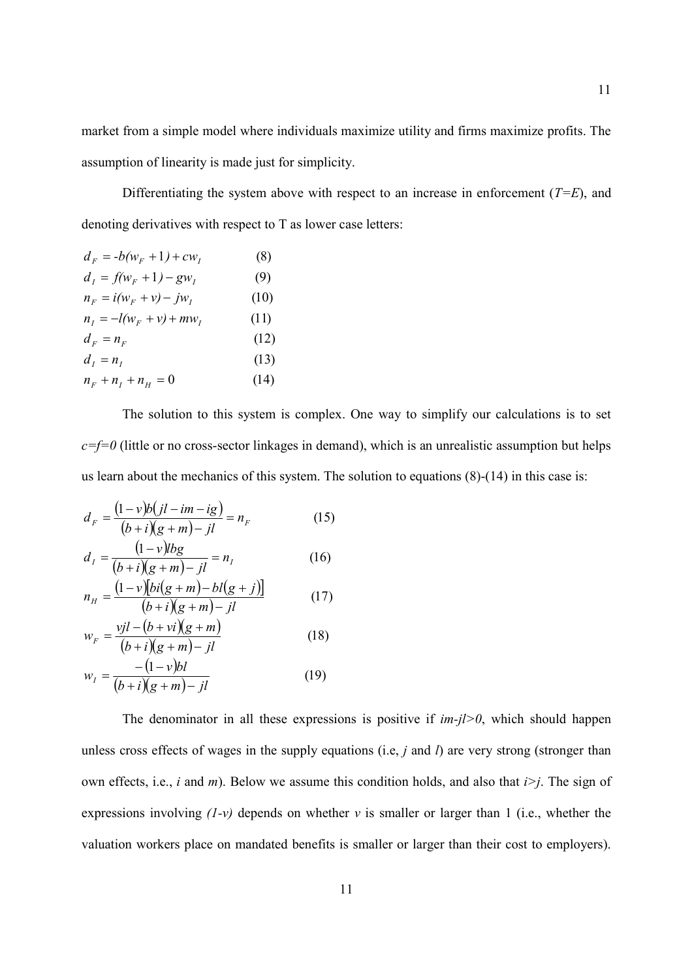market from a simple model where individuals maximize utility and firms maximize profits. The assumption of linearity is made just for simplicity.

Differentiating the system above with respect to an increase in enforcement  $(T=E)$ , and denoting derivatives with respect to T as lower case letters:

$$
d_F = -b(w_F + 1) + cw_I
$$
 (8)  
\n
$$
d_I = f(w_F + 1) - gw_I
$$
 (9)  
\n
$$
n_F = i(w_F + v) - jw_I
$$
 (10)  
\n
$$
n_I = -l(w_F + v) + mw_I
$$
 (11)  
\n
$$
d_F = n_F
$$
 (12)  
\n
$$
d_I = n_I
$$
 (13)  
\n
$$
n_F + n_I + n_H = 0
$$
 (14)

The solution to this system is complex. One way to simplify our calculations is to set  $c=f=0$  (little or no cross-sector linkages in demand), which is an unrealistic assumption but helps us learn about the mechanics of this system. The solution to equations (8)-(14) in this case is:

$$
d_F = \frac{(1-v)b(jl-im-ig)}{(b+i)(g+m)-jl} = n_F
$$
 (15)

$$
d_{I} = \frac{(1 - v)lbg}{(b + i)(g + m) - il} = n_{I}
$$
 (16)

$$
n_{H} = \frac{(1 - v)[bi(g + m) - bi(g + j)]}{(b + i)(g + m) - ji}
$$
 (17)

$$
w_F = \frac{vjl - (b + vi)(g + m)}{(b + i)(g + m) - il}
$$
(18)

$$
w_{I} = \frac{-(1-v)bI}{(b+i)(g+m)-jl}
$$
 (19)

The denominator in all these expressions is positive if  $im-j\geq 0$ , which should happen unless cross effects of wages in the supply equations (i.e, *j* and *l*) are very strong (stronger than own effects, i.e., *i* and *m*). Below we assume this condition holds, and also that *i>j*. The sign of expressions involving  $(1-v)$  depends on whether *v* is smaller or larger than 1 (i.e., whether the valuation workers place on mandated benefits is smaller or larger than their cost to employers).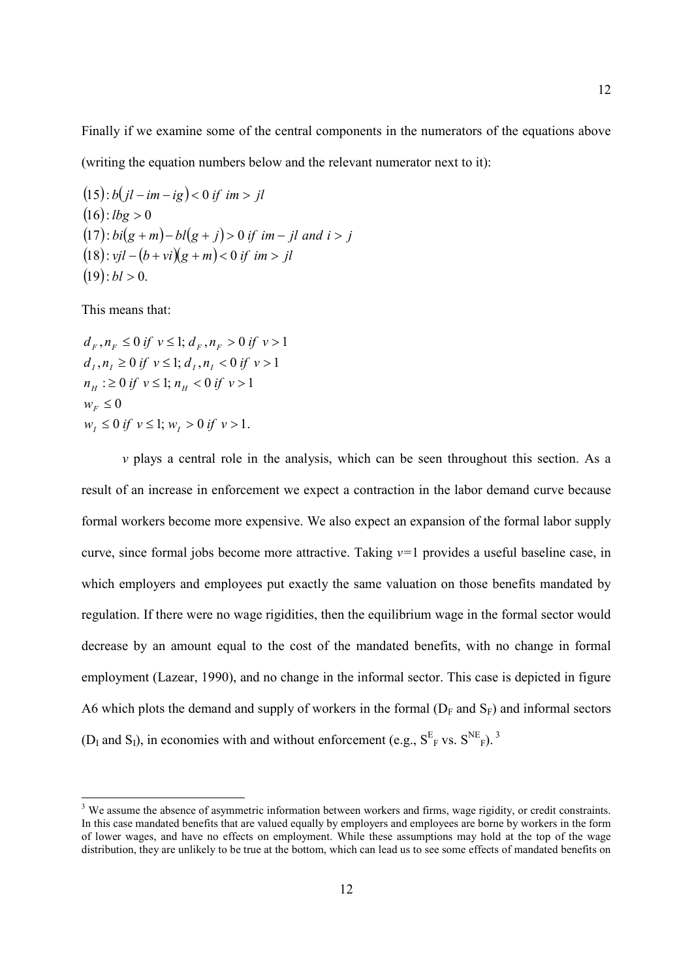Finally if we examine some of the central components in the numerators of the equations above

(writing the equation numbers below and the relevant numerator next to it):

$$
(15): b(jl - im - ig) < 0 \text{ if } im > jl
$$
\n
$$
(16): lbg > 0
$$
\n
$$
(17): bi(g + m) - bl(g + j) > 0 \text{ if } im - jl \text{ and } i > j
$$
\n
$$
(18): vjl - (b + vi)(g + m) < 0 \text{ if } im > jl
$$
\n
$$
(19): bl > 0.
$$

This means that:

 $w_I \le 0$  if  $v \le 1$ ;  $w_I > 0$  if  $v > 1$ .  $w_F \leq 0$  $n_H$  :  $\geq 0$  if  $v \leq 1$ ;  $n_H < 0$  if  $v > 1$  $d_i, n_i \ge 0$  if  $v \le 1$ ;  $d_i, n_i < 0$  if  $v > 1$  $d_F, n_F \leq 0 \text{ if } v \leq 1; d_F, n_F > 0 \text{ if } v > 1$ 

*v* plays a central role in the analysis, which can be seen throughout this section. As a result of an increase in enforcement we expect a contraction in the labor demand curve because formal workers become more expensive. We also expect an expansion of the formal labor supply curve, since formal jobs become more attractive. Taking *v=*1 provides a useful baseline case, in which employers and employees put exactly the same valuation on those benefits mandated by regulation. If there were no wage rigidities, then the equilibrium wage in the formal sector would decrease by an amount equal to the cost of the mandated benefits, with no change in formal employment (Lazear, 1990), and no change in the informal sector. This case is depicted in figure A6 which plots the demand and supply of workers in the formal  $(D_F \text{ and } S_F)$  and informal sectors ( $D_I$  and  $S_I$ ), in economies with and without enforcement (e.g.,  $S_{F}^{E}$  vs.  $S_{F}^{NE}$ <sub>F</sub>).<sup>3</sup>

<sup>&</sup>lt;sup>3</sup> We assume the absence of asymmetric information between workers and firms, wage rigidity, or credit constraints. In this case mandated benefits that are valued equally by employers and employees are borne by workers in the form of lower wages, and have no effects on employment. While these assumptions may hold at the top of the wage distribution, they are unlikely to be true at the bottom, which can lead us to see some effects of mandated benefits on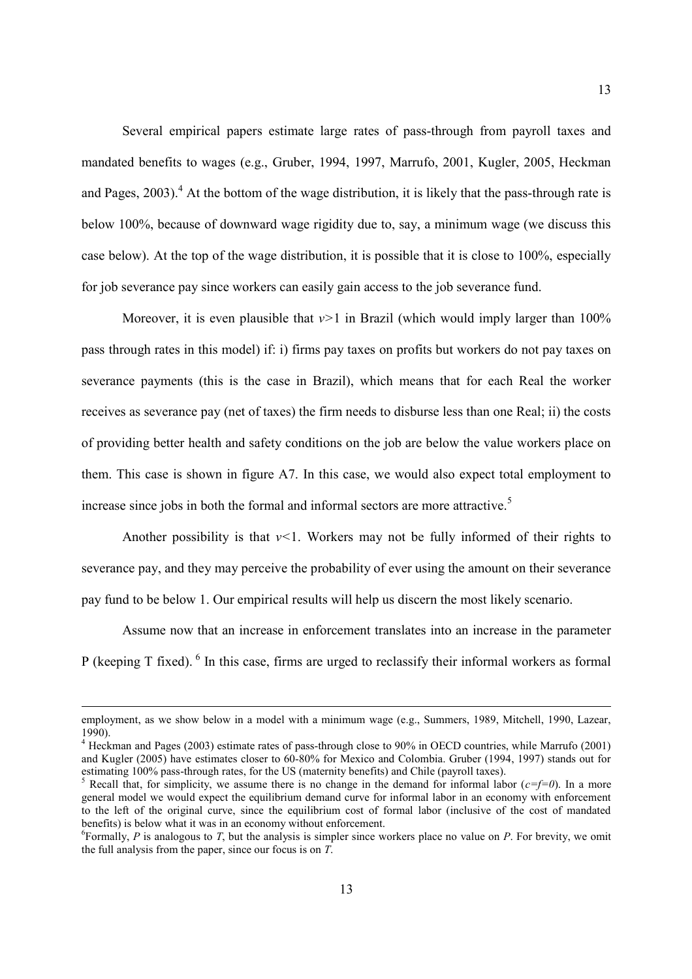Several empirical papers estimate large rates of pass-through from payroll taxes and mandated benefits to wages (e.g., Gruber, 1994, 1997, Marrufo, 2001, Kugler, 2005, Heckman and Pages,  $2003$ ).<sup>4</sup> At the bottom of the wage distribution, it is likely that the pass-through rate is below 100%, because of downward wage rigidity due to, say, a minimum wage (we discuss this case below). At the top of the wage distribution, it is possible that it is close to 100%, especially for job severance pay since workers can easily gain access to the job severance fund.

Moreover, it is even plausible that  $v>1$  in Brazil (which would imply larger than  $100\%$ ) pass through rates in this model) if: i) firms pay taxes on profits but workers do not pay taxes on severance payments (this is the case in Brazil), which means that for each Real the worker receives as severance pay (net of taxes) the firm needs to disburse less than one Real; ii) the costs of providing better health and safety conditions on the job are below the value workers place on them. This case is shown in figure A7. In this case, we would also expect total employment to increase since jobs in both the formal and informal sectors are more attractive.<sup>5</sup>

Another possibility is that *v<*1. Workers may not be fully informed of their rights to severance pay, and they may perceive the probability of ever using the amount on their severance pay fund to be below 1. Our empirical results will help us discern the most likely scenario.

Assume now that an increase in enforcement translates into an increase in the parameter P (keeping T fixed).  $\delta$  In this case, firms are urged to reclassify their informal workers as formal

employment, as we show below in a model with a minimum wage (e.g., Summers, 1989, Mitchell, 1990, Lazear, 1990).

<sup>&</sup>lt;sup>4</sup> Heckman and Pages (2003) estimate rates of pass-through close to 90% in OECD countries, while Marrufo (2001) and Kugler (2005) have estimates closer to 60-80% for Mexico and Colombia. Gruber (1994, 1997) stands out for estimating 100% pass-through rates, for the US (maternity benefits) and Chile (payroll taxes).

<sup>&</sup>lt;sup>5</sup> Recall that, for simplicity, we assume there is no change in the demand for informal labor ( $c=f=0$ ). In a more general model we would expect the equilibrium demand curve for informal labor in an economy with enforcement to the left of the original curve, since the equilibrium cost of formal labor (inclusive of the cost of mandated benefits) is below what it was in an economy without enforcement.

<sup>&</sup>lt;sup>6</sup>Formally, *P* is analogous to *T*, but the analysis is simpler since workers place no value on *P*. For brevity, we omit the full analysis from the paper, since our focus is on *T*.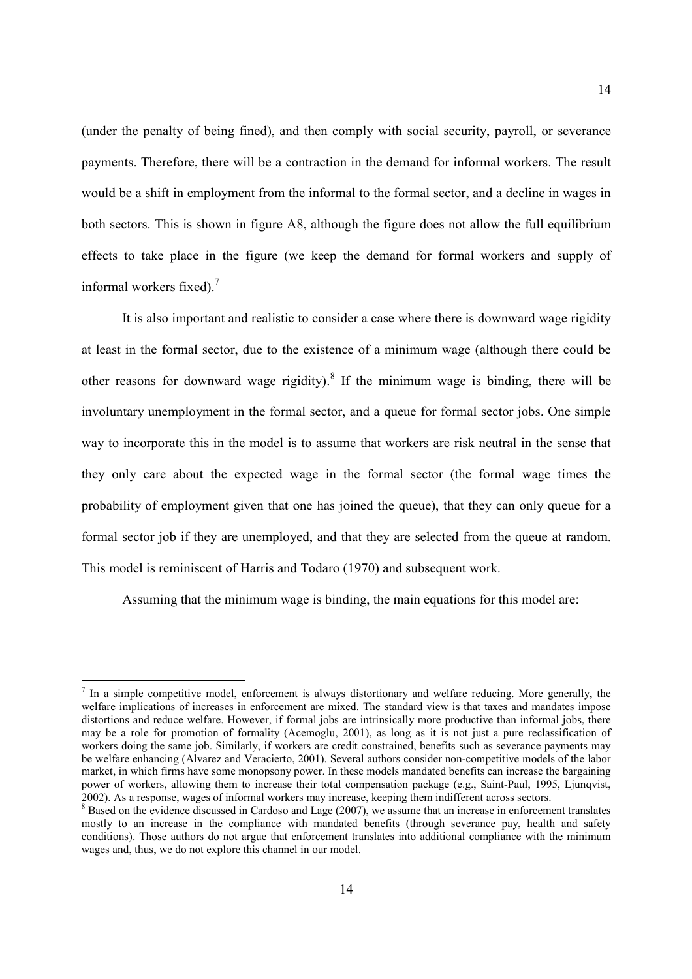(under the penalty of being fined), and then comply with social security, payroll, or severance payments. Therefore, there will be a contraction in the demand for informal workers. The result would be a shift in employment from the informal to the formal sector, and a decline in wages in both sectors. This is shown in figure A8, although the figure does not allow the full equilibrium effects to take place in the figure (we keep the demand for formal workers and supply of informal workers fixed). $<sup>7</sup>$ </sup>

It is also important and realistic to consider a case where there is downward wage rigidity at least in the formal sector, due to the existence of a minimum wage (although there could be other reasons for downward wage rigidity).<sup>8</sup> If the minimum wage is binding, there will be involuntary unemployment in the formal sector, and a queue for formal sector jobs. One simple way to incorporate this in the model is to assume that workers are risk neutral in the sense that they only care about the expected wage in the formal sector (the formal wage times the probability of employment given that one has joined the queue), that they can only queue for a formal sector job if they are unemployed, and that they are selected from the queue at random. This model is reminiscent of Harris and Todaro (1970) and subsequent work.

Assuming that the minimum wage is binding, the main equations for this model are:

 $<sup>7</sup>$  In a simple competitive model, enforcement is always distortionary and welfare reducing. More generally, the</sup> welfare implications of increases in enforcement are mixed. The standard view is that taxes and mandates impose distortions and reduce welfare. However, if formal jobs are intrinsically more productive than informal jobs, there may be a role for promotion of formality (Acemoglu, 2001), as long as it is not just a pure reclassification of workers doing the same job. Similarly, if workers are credit constrained, benefits such as severance payments may be welfare enhancing (Alvarez and Veracierto, 2001). Several authors consider non-competitive models of the labor market, in which firms have some monopsony power. In these models mandated benefits can increase the bargaining power of workers, allowing them to increase their total compensation package (e.g., Saint-Paul, 1995, Ljunqvist, 2002). As a response, wages of informal workers may increase, keeping them indifferent across sectors.

 $8$  Based on the evidence discussed in Cardoso and Lage (2007), we assume that an increase in enforcement translates mostly to an increase in the compliance with mandated benefits (through severance pay, health and safety conditions). Those authors do not argue that enforcement translates into additional compliance with the minimum wages and, thus, we do not explore this channel in our model.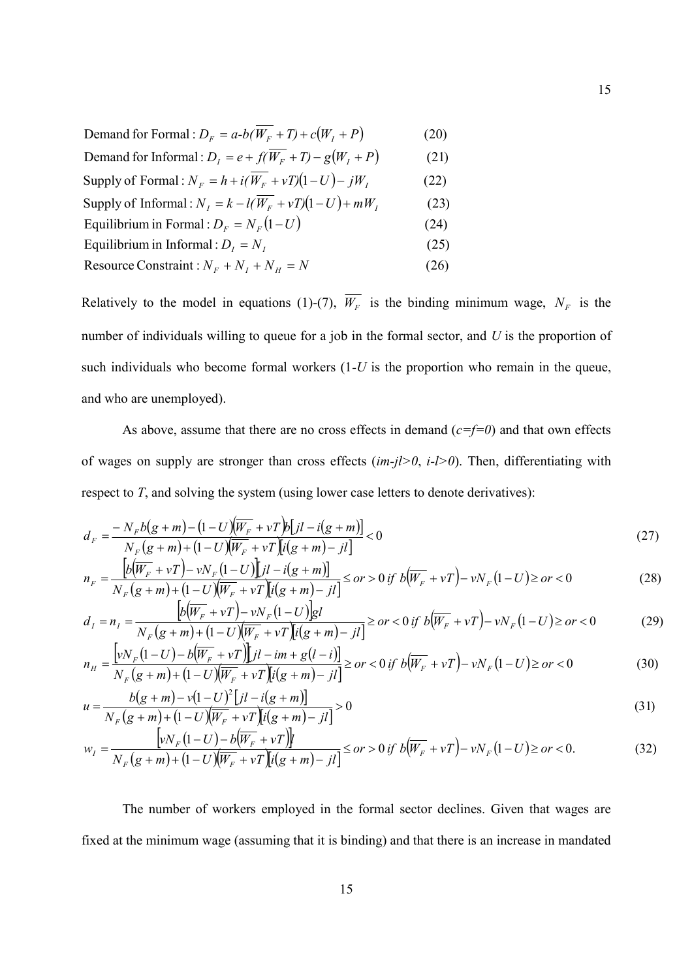| Demand for Formal : $D_F = a-b(\overline{W_F} + T) + c(W_I + P)$  | (20) |
|-------------------------------------------------------------------|------|
| Demand for Informal : $D_t = e + f(W_F + T) - g(W_I + P)$         | (21) |
| Supply of Formal : $N_F = h + i(\overline{W_F} + vT)(1-U) - jW_I$ | (22) |
| Supply of Informal: $N_i = k - l(W_F + vT)(1-U) + mW_i$           | (23) |
| Equilibrium in Formal : $D_F = N_F(1-U)$                          | (24) |
| Equilibrium in Informal : $D_i = N_i$                             | (25) |
| Resource Constraint : $N_F + N_I + N_H = N$                       | (26) |

Relatively to the model in equations (1)-(7),  $W_F$  is the binding minimum wage,  $N_F$  is the number of individuals willing to queue for a job in the formal sector, and *U* is the proportion of such individuals who become formal workers (1*-U* is the proportion who remain in the queue, and who are unemployed).

As above, assume that there are no cross effects in demand (*c=f=0*) and that own effects of wages on supply are stronger than cross effects (*im-jl>0*, *i-l>0*). Then, differentiating with respect to *T*, and solving the system (using lower case letters to denote derivatives):

$$
d_F = \frac{-N_F b(g+m) - (1-U)\overline{W_F} + vT \overline{b[jl - i(g+m)]}}{N_F(g+m) + (1-U)\overline{W_F} + vT \overline{[i(g+m) - jl]}} < 0
$$
\n(27)

$$
n_F = \frac{\left[b(\overline{W_F} + vT) - vN_F(1-U)\right]jI - i(g+m)}{N_F(g+m) + (1-U)(\overline{W_F} + vT)\left[i(g+m) - jI\right]} \le \text{or} > 0 \text{ if } b(\overline{W_F} + vT) - vN_F(1-U) \ge \text{or} < 0 \tag{28}
$$

$$
d_{I} = n_{I} = \frac{b(\overline{W_{F}} + vT) - vN_{F}(1-U)gI}{N_{F}(g+m) + (1-U)(\overline{W_{F}} + vT)[i(g+m) - jI]} \ge or < 0 \text{ if } b(\overline{W_{F}} + vT) - vN_{F}(1-U) \ge or < 0 \tag{29}
$$

$$
n_{H} = \frac{\left[vN_{F}(1-U) - b(\overline{W_{F}} + vT)\right]Jl - im + g(l-i)}{N_{F}(g+m) + (1-U)(\overline{W_{F}} + vT)\left[i(g+m) - jl\right]} \ge \text{or} < 0 \text{ if } b(\overline{W_{F}} + vT) - vN_{F}(1-U) \ge \text{or} < 0
$$
\n(30)

$$
u = \frac{b(g+m) - v(1-U)^2 [jl - i(g+m)]}{N_F (g+m) + (1-U)(W_F + vT)[i(g+m) -jl]} > 0
$$
\n(31)

$$
w_{I} = \frac{\left[vN_{F}(1-U) - b(\overline{W_{F}} + vT)\right]}{N_{F}(g+m) + (1-U)(\overline{W_{F}} + vT)\left[i(g+m) - jI\right]} \le \text{or} > 0 \text{ if } b(\overline{W_{F}} + vT) - vN_{F}(1-U) \ge \text{or} < 0. \tag{32}
$$

The number of workers employed in the formal sector declines. Given that wages are fixed at the minimum wage (assuming that it is binding) and that there is an increase in mandated

15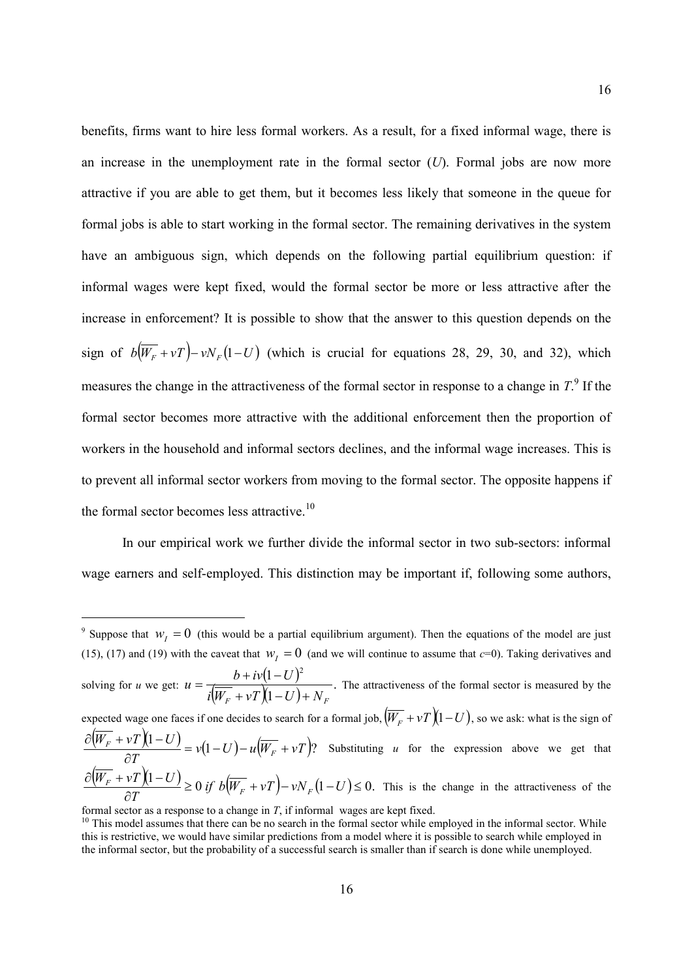benefits, firms want to hire less formal workers. As a result, for a fixed informal wage, there is an increase in the unemployment rate in the formal sector (*U*). Formal jobs are now more attractive if you are able to get them, but it becomes less likely that someone in the queue for formal jobs is able to start working in the formal sector. The remaining derivatives in the system have an ambiguous sign, which depends on the following partial equilibrium question: if informal wages were kept fixed, would the formal sector be more or less attractive after the increase in enforcement? It is possible to show that the answer to this question depends on the sign of  $b(W_F + vT) - vW_F(1-U)$  (which is crucial for equations 28, 29, 30, and 32), which measures the change in the attractiveness of the formal sector in response to a change in  $T$ <sup>9</sup>. If the formal sector becomes more attractive with the additional enforcement then the proportion of workers in the household and informal sectors declines, and the informal wage increases. This is to prevent all informal sector workers from moving to the formal sector. The opposite happens if the formal sector becomes less attractive.<sup>10</sup>

In our empirical work we further divide the informal sector in two sub-sectors: informal wage earners and self-employed. This distinction may be important if, following some authors,

<sup>&</sup>lt;sup>9</sup> Suppose that  $w_I = 0$  (this would be a partial equilibrium argument). Then the equations of the model are just (15), (17) and (19) with the caveat that  $w<sub>I</sub> = 0$  (and we will continue to assume that  $c=0$ ). Taking derivatives and solving for *u* we get:  $u = \frac{b + iv(1-U)}{v}$  $(W_F + vT)(1-U)$ .  $\left(1\right)$  $(1-U)^2$  $i(W_F + vT)(1-U) + N_F$  $u = \frac{b + i v(1 - U)}{v}$  $+ vT (1-U) +$  $\frac{b + i v (1 - U)^2}{b + i v (1 - U)^2}$ . The attractiveness of the formal sector is measured by the expected wage one faces if one decides to search for a formal job,  $(\overline{W_F} + vT)(1-U)$ , so we ask: what is the sign of  $\frac{(W_F + vT)(1-U)}{W_F + vT} = v(1-U) - u(\overline{W_F} + vT)$ *T*  $W_F + vT(1-U)$  $\frac{F^{-1} V I}{2T} = v(1-U) - u(W_F +$  $\partial$  $\frac{\partial (W_F + vT)(1-U)}{\partial (W_F + vT)} = v(1-U) - u(\overline{W_F} + vT)$ ? Substituting *u* for the expression above we get that  $\frac{W_F + vT(1-U)}{W_F + vT} \ge 0 \text{ if } b(\overline{W_F} + vT) - vN_F(1-U) \le 0.$  $\partial$  $\frac{\partial (W_F + vT)(1-U)}{\partial w_F} \ge 0 \text{ if } b(\overline{W_F} + vT) - vN_F(1-U)$ *T*  $W_F + vT(1-U)$  $\frac{F+VI}{2T}$   $\geq 0$  *if*  $b(W_F + vT) - vN_F(1-U) \leq 0$ . This is the change in the attractiveness of the

formal sector as a response to a change in *T*, if informal wages are kept fixed.

<sup>&</sup>lt;sup>10</sup> This model assumes that there can be no search in the formal sector while employed in the informal sector. While this is restrictive, we would have similar predictions from a model where it is possible to search while employed in the informal sector, but the probability of a successful search is smaller than if search is done while unemployed.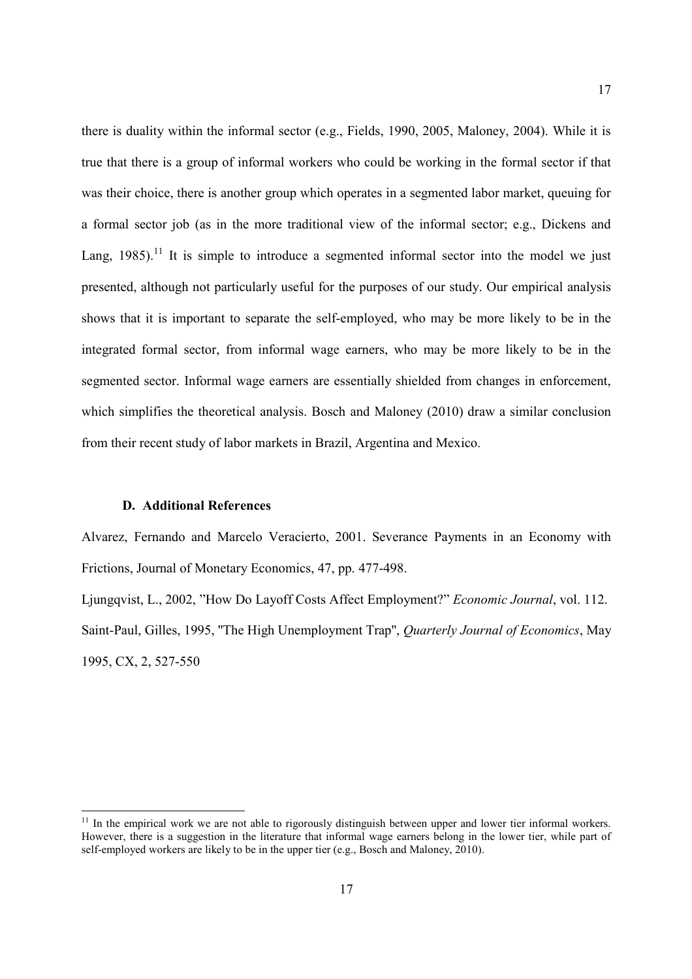there is duality within the informal sector (e.g., Fields, 1990, 2005, Maloney, 2004). While it is true that there is a group of informal workers who could be working in the formal sector if that was their choice, there is another group which operates in a segmented labor market, queuing for a formal sector job (as in the more traditional view of the informal sector; e.g., Dickens and Lang, 1985).<sup>11</sup> It is simple to introduce a segmented informal sector into the model we just presented, although not particularly useful for the purposes of our study. Our empirical analysis shows that it is important to separate the self-employed, who may be more likely to be in the integrated formal sector, from informal wage earners, who may be more likely to be in the segmented sector. Informal wage earners are essentially shielded from changes in enforcement, which simplifies the theoretical analysis. Bosch and Maloney (2010) draw a similar conclusion from their recent study of labor markets in Brazil, Argentina and Mexico.

#### **D. Additional References**

Alvarez, Fernando and Marcelo Veracierto, 2001. Severance Payments in an Economy with Frictions, Journal of Monetary Economics, 47, pp. 477-498.

Ljungqvist, L., 2002, "How Do Layoff Costs Affect Employment?" *Economic Journal*, vol. 112. Saint-Paul, Gilles, 1995, ''The High Unemployment Trap'', *Quarterly Journal of Economics*, May 1995, CX, 2, 527-550

<sup>&</sup>lt;sup>11</sup> In the empirical work we are not able to rigorously distinguish between upper and lower tier informal workers. However, there is a suggestion in the literature that informal wage earners belong in the lower tier, while part of self-employed workers are likely to be in the upper tier (e.g., Bosch and Maloney, 2010).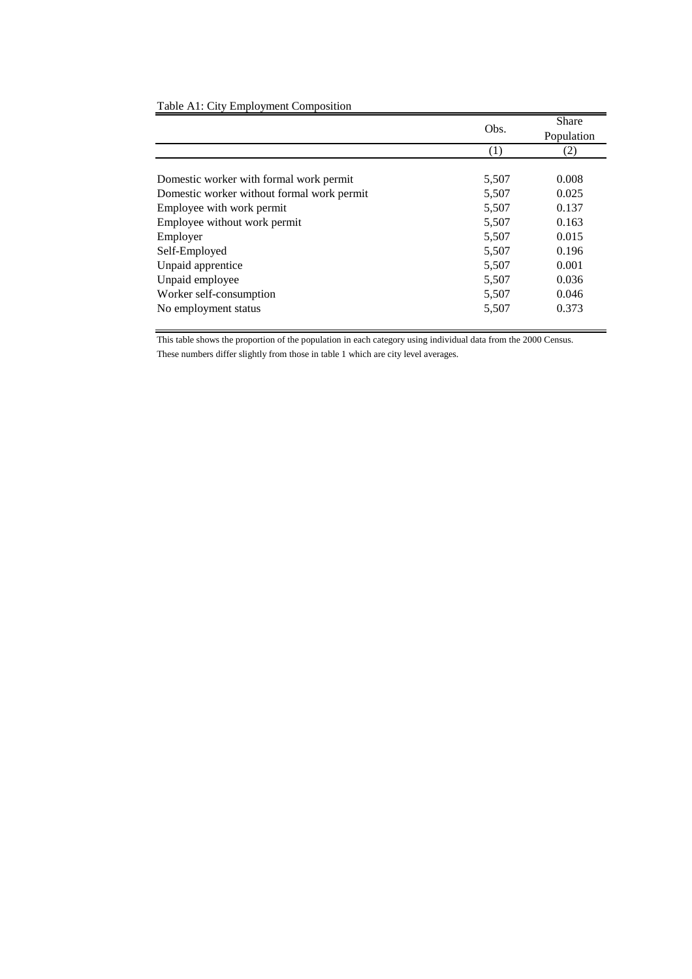|                                            |       | Share      |
|--------------------------------------------|-------|------------|
|                                            | Obs.  | Population |
|                                            | (1)   | (2)        |
|                                            |       |            |
| Domestic worker with formal work permit    | 5,507 | 0.008      |
| Domestic worker without formal work permit | 5,507 | 0.025      |
| Employee with work permit                  | 5,507 | 0.137      |
| Employee without work permit               | 5,507 | 0.163      |
| Employer                                   | 5,507 | 0.015      |
| Self-Employed                              | 5,507 | 0.196      |
| Unpaid apprentice                          | 5,507 | 0.001      |
| Unpaid employee                            | 5,507 | 0.036      |
| Worker self-consumption                    | 5,507 | 0.046      |
| No employment status                       | 5,507 | 0.373      |
|                                            |       |            |

### Table A1: City Employment Composition

This table shows the proportion of the population in each category using individual data from the 2000 Census.

These numbers differ slightly from those in table 1 which are city level averages.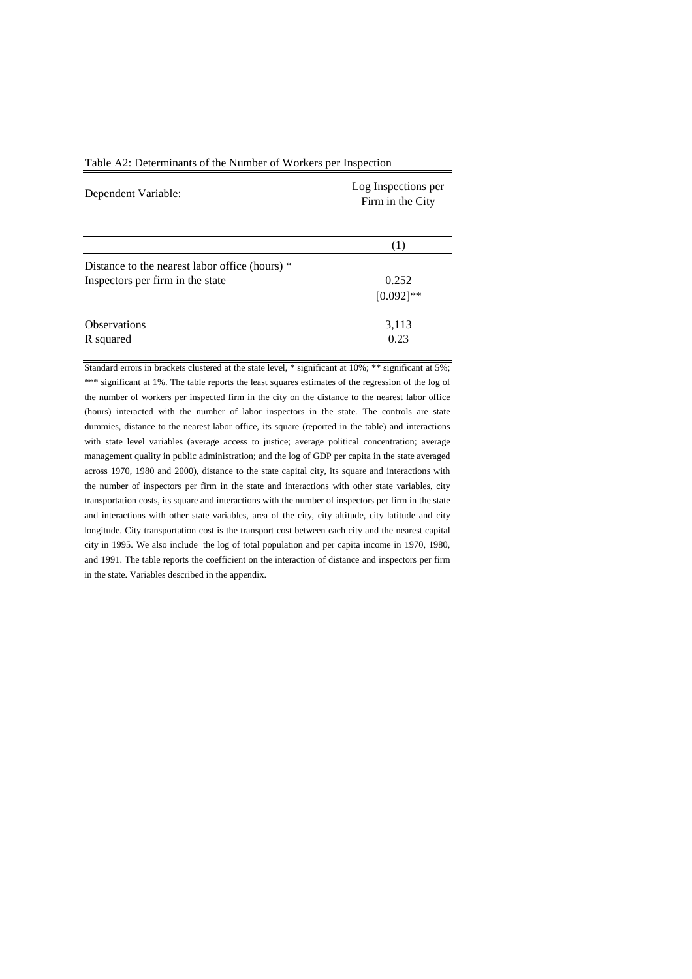| Table A2: Determinants of the Number of Workers per Inspection |
|----------------------------------------------------------------|
|----------------------------------------------------------------|

| Dependent Variable:                            | Log Inspections per<br>Firm in the City |  |  |  |
|------------------------------------------------|-----------------------------------------|--|--|--|
|                                                | (1)                                     |  |  |  |
| Distance to the nearest labor office (hours) * |                                         |  |  |  |
| Inspectors per firm in the state               | 0.252                                   |  |  |  |
|                                                | $[0.092]$ **                            |  |  |  |
| <b>Observations</b>                            | 3,113                                   |  |  |  |
| R squared                                      | 0.23                                    |  |  |  |

Standard errors in brackets clustered at the state level, \* significant at 10%; \*\* significant at 5%; \*\*\* significant at 1%. The table reports the least squares estimates of the regression of the log of the number of workers per inspected firm in the city on the distance to the nearest labor office (hours) interacted with the number of labor inspectors in the state. The controls are state dummies, distance to the nearest labor office, its square (reported in the table) and interactions with state level variables (average access to justice; average political concentration; average management quality in public administration; and the log of GDP per capita in the state averaged across 1970, 1980 and 2000), distance to the state capital city, its square and interactions with the number of inspectors per firm in the state and interactions with other state variables, city transportation costs, its square and interactions with the number of inspectors per firm in the state and interactions with other state variables, area of the city, city altitude, city latitude and city longitude. City transportation cost is the transport cost between each city and the nearest capital city in 1995. We also include the log of total population and per capita income in 1970, 1980, and 1991. The table reports the coefficient on the interaction of distance and inspectors per firm in the state. Variables described in the appendix.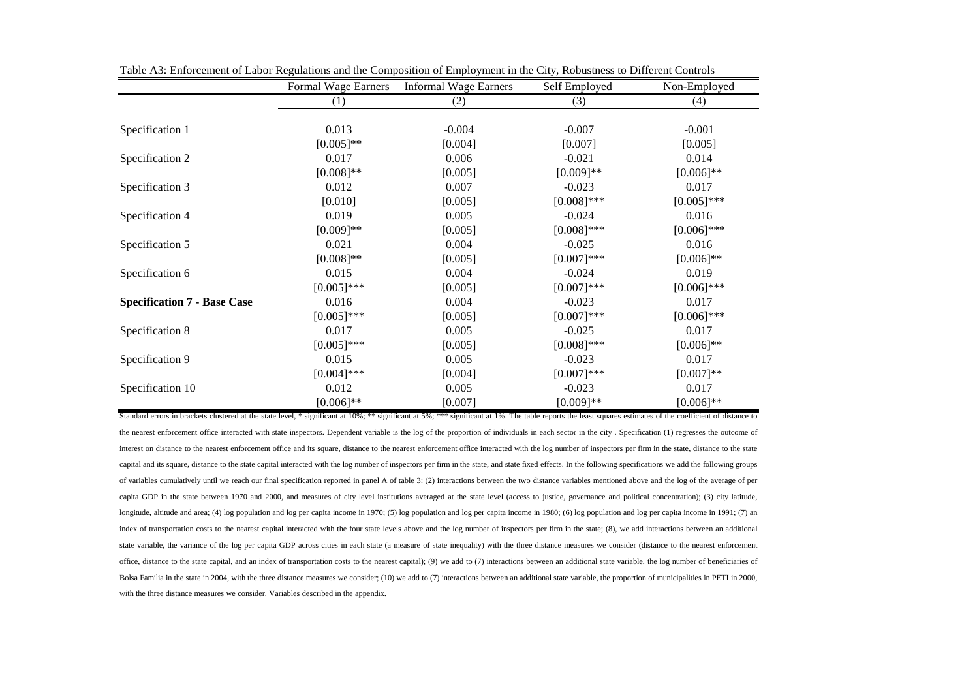|                                    | Formal Wage Earners | <b>Informal Wage Earners</b> | Self Employed | Non-Employed  |
|------------------------------------|---------------------|------------------------------|---------------|---------------|
|                                    | (1)                 | (2)                          | (3)           | (4)           |
|                                    |                     |                              |               |               |
| Specification 1                    | 0.013               | $-0.004$                     | $-0.007$      | $-0.001$      |
|                                    | $[0.005]$ **        | [0.004]                      | [0.007]       | [0.005]       |
| Specification 2                    | 0.017               | 0.006                        | $-0.021$      | 0.014         |
|                                    | $[0.008]$ **        | [0.005]                      | $[0.009]**$   | $[0.006]$ **  |
| Specification 3                    | 0.012               | 0.007                        | $-0.023$      | 0.017         |
|                                    | [0.010]             | [0.005]                      | $[0.008]$ *** | $[0.005]$ *** |
| Specification 4                    | 0.019               | 0.005                        | $-0.024$      | 0.016         |
|                                    | $[0.009]**$         | [0.005]                      | $[0.008]$ *** | $[0.006]$ *** |
| Specification 5                    | 0.021               | 0.004                        | $-0.025$      | 0.016         |
|                                    | $[0.008]$ **        | [0.005]                      | $[0.007]***$  | $[0.006]$ **  |
| Specification 6                    | 0.015               | 0.004                        | $-0.024$      | 0.019         |
|                                    | $[0.005]$ ***       | [0.005]                      | $[0.007]***$  | $[0.006]$ *** |
| <b>Specification 7 - Base Case</b> | 0.016               | 0.004                        | $-0.023$      | 0.017         |
|                                    | $[0.005]$ ***       | [0.005]                      | $[0.007]***$  | $[0.006]$ *** |
| Specification 8                    | 0.017               | 0.005                        | $-0.025$      | 0.017         |
|                                    | $[0.005]$ ***       | [0.005]                      | $[0.008]$ *** | $[0.006]$ **  |
| Specification 9                    | 0.015               | 0.005                        | $-0.023$      | 0.017         |
|                                    | $[0.004]$ ***       | [0.004]                      | $[0.007]$ *** | $[0.007]**$   |
| Specification 10                   | 0.012               | 0.005                        | $-0.023$      | 0.017         |
|                                    | $[0.006]$ **        | [0.007]                      | $[0.009]**$   | $[0.006]$ **  |

Table A3: Enforcement of Labor Regulations and the Composition of Employment in the City, Robustness to Different Controls

Standard errors in brackets clustered at the state level, \* significant at 10%; \*\*\* significant at 5%; \*\*\* significant at 1%. The table reports the least squares estimates of the coefficient of distance to the nearest enforcement office interacted with state inspectors. Dependent variable is the log of the proportion of individuals in each sector in the city . Specification (1) regresses the outcome of interest on distance to the nearest enforcement office and its square, distance to the nearest enforcement office interacted with the log number of inspectors per firm in the state, distance to the state capital and its square, distance to the state capital interacted with the log number of inspectors per firm in the state, and state fixed effects. In the following specifications we add the following groups of variables cumulatively until we reach our final specification reported in panel A of table 3: (2) interactions between the two distance variables mentioned above and the log of the average of per capita GDP in the state between 1970 and 2000, and measures of city level institutions averaged at the state level (access to justice, governance and political concentration); (3) city latitude, longitude, altitude and area; (4) log population and log per capita income in 1970; (5) log population and log per capita income in 1980; (6) log population and log per capita income in 1980; (6) log population and log per index of transportation costs to the nearest capital interacted with the four state levels above and the log number of inspectors per firm in the state; (8), we add interactions between an additional state variable, the variance of the log per capita GDP across cities in each state (a measure of state inequality) with the three distance measures we consider (distance to the nearest enforcement office, distance to the state capital, and an index of transportation costs to the nearest capital); (9) we add to (7) interactions between an additional state variable, the log number of beneficiaries of Bolsa Familia in the state in 2004, with the three distance measures we consider; (10) we add to (7) interactions between an additional state variable, the proportion of municipalities in PETI in 2000, with the three distance measures we consider. Variables described in the appendix.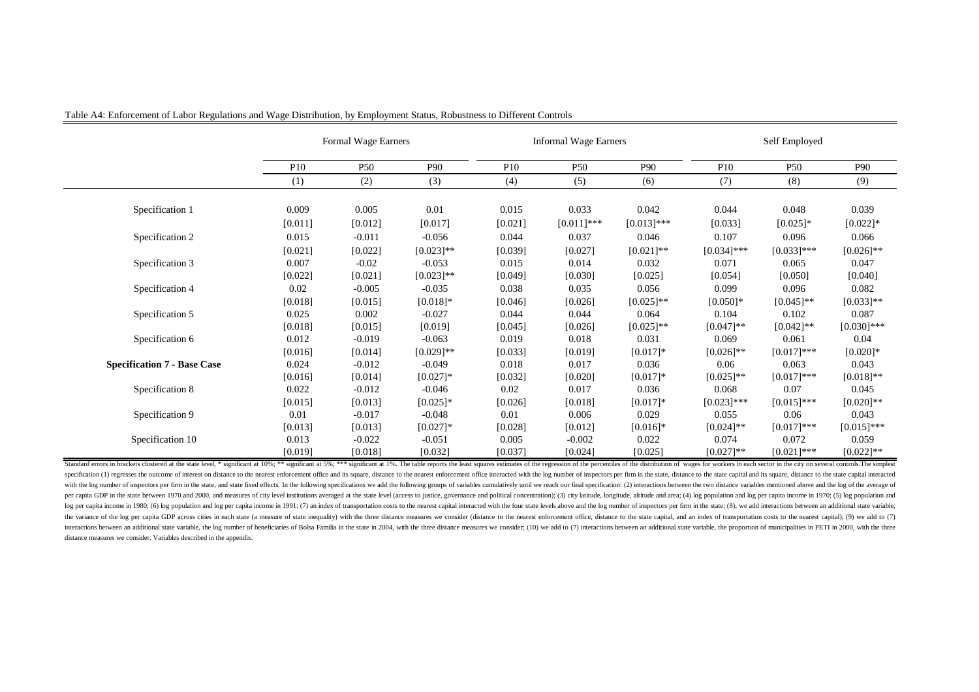|                                    | Formal Wage Earners |                 | <b>Informal Wage Earners</b> |                 |                 | Self Employed |                 |               |               |
|------------------------------------|---------------------|-----------------|------------------------------|-----------------|-----------------|---------------|-----------------|---------------|---------------|
|                                    | <b>P10</b>          | P <sub>50</sub> | P90                          | P <sub>10</sub> | P <sub>50</sub> | P90           | P <sub>10</sub> | <b>P50</b>    | P90           |
|                                    | (1)                 | (2)             | (3)                          | (4)             | (5)             | (6)           | (7)             | (8)           | (9)           |
| Specification 1                    | 0.009               | 0.005           | 0.01                         | 0.015           | 0.033           | 0.042         | 0.044           | 0.048         | 0.039         |
|                                    | [0.011]             | [0.012]         | [0.017]                      | [0.021]         | $[0.011]$ ***   | $[0.013]$ *** | [0.033]         | $[0.025]*$    | $[0.022]$ *   |
| Specification 2                    | 0.015               | $-0.011$        | $-0.056$                     | 0.044           | 0.037           | 0.046         | 0.107           | 0.096         | 0.066         |
|                                    | [0.021]             | [0.022]         | $[0.023]**$                  | [0.039]         | [0.027]         | $[0.021]$ **  | $[0.034]$ ***   | $[0.033]$ *** | $[0.026]$ **  |
| Specification 3                    | 0.007               | $-0.02$         | $-0.053$                     | 0.015           | 0.014           | 0.032         | 0.071           | 0.065         | 0.047         |
|                                    | [0.022]             | [0.021]         | $[0.023]$ **                 | [0.049]         | [0.030]         | [0.025]       | [0.054]         | [0.050]       | [0.040]       |
| Specification 4                    | 0.02                | $-0.005$        | $-0.035$                     | 0.038           | 0.035           | 0.056         | 0.099           | 0.096         | 0.082         |
|                                    | [0.018]             | [0.015]         | $[0.018]$ *                  | [0.046]         | [0.026]         | $[0.025]$ **  | $[0.050]$ *     | $[0.045]$ **  | $[0.033]$ **  |
| Specification 5                    | 0.025               | 0.002           | $-0.027$                     | 0.044           | 0.044           | 0.064         | 0.104           | 0.102         | 0.087         |
|                                    | [0.018]             | [0.015]         | [0.019]                      | [0.045]         | [0.026]         | $[0.025]$ **  | $[0.047]$ **    | $[0.042]$ **  | $[0.030]$ *** |
| Specification 6                    | 0.012               | $-0.019$        | $-0.063$                     | 0.019           | 0.018           | 0.031         | 0.069           | 0.061         | 0.04          |
|                                    | [0.016]             | [0.014]         | $[0.029]$ **                 | [0.033]         | [0.019]         | $[0.017]*$    | $[0.026]$ **    | $[0.017]***$  | $[0.020]$ *   |
| <b>Specification 7 - Base Case</b> | 0.024               | $-0.012$        | $-0.049$                     | 0.018           | 0.017           | 0.036         | 0.06            | 0.063         | 0.043         |
|                                    | [0.016]             | [0.014]         | $[0.027]$ *                  | [0.032]         | [0.020]         | $[0.017]*$    | $[0.025]$ **    | $[0.017]$ *** | $[0.018]$ **  |
| Specification 8                    | 0.022               | $-0.012$        | $-0.046$                     | 0.02            | 0.017           | 0.036         | 0.068           | 0.07          | 0.045         |
|                                    | [0.015]             | [0.013]         | $[0.025]$ *                  | [0.026]         | [0.018]         | $[0.017]*$    | $[0.023]$ ***   | $[0.015]$ *** | $[0.020]$ **  |
| Specification 9                    | 0.01                | $-0.017$        | $-0.048$                     | 0.01            | 0.006           | 0.029         | 0.055           | 0.06          | 0.043         |
|                                    | [0.013]             | [0.013]         | $[0.027]$ *                  | [0.028]         | [0.012]         | $[0.016]*$    | $[0.024]$ **    | $[0.017]$ *** | $[0.015]$ *** |
| Specification 10                   | 0.013               | $-0.022$        | $-0.051$                     | 0.005           | $-0.002$        | 0.022         | 0.074           | 0.072         | 0.059         |
|                                    | [0.019]             | [0.018]         | [0.032]                      | [0.037]         | [0.024]         | [0.025]       | $[0.027]$ **    | $[0.021]$ *** | $[0.022]$ **  |

Standard errors in brackets clustered at the state level, \* significant at 10%; \*\* ignificant at 10%; \*\* ignificant at 10%; \*\* significant at 19%. The table reports the least squares estimates of the regression of the perc specification (1) regresses the outcome of interest on distance to the nearest enforcement office and its square, distance to the nearest enforcement office and its square, distance to the nearest enforcement office intera with the log number of inspectors per firm in the state, and state fixed effects. In the following specifications we add the following specifications we add the following groups of variables cumulatively until we reach our per capita GDP in the state between 1970 and 2000, and measures of city level institutions averaged at the state level (access to justice, governance and political concentration); (3) city latitude, longitude, altitude and log per capita income in 1980; (6) log population and log per capita income in 1991; (7) an index of transportation costs to the nearest capital interacted with the four state levels above and the log number of inspectors the variance of the log per capita GDP across cities in each state (a measure of state inequality) with the three distance measures we consider (distance to the nearest enforcement office, distance to the state capital, an interactions between an additional state variable, the log number of beneficiaries of Bolsa Familia in the state in 2004, with the three distance measures we consider; (10) we add to (7) interactions between an additional distance measures we consider. Variables described in the appendix.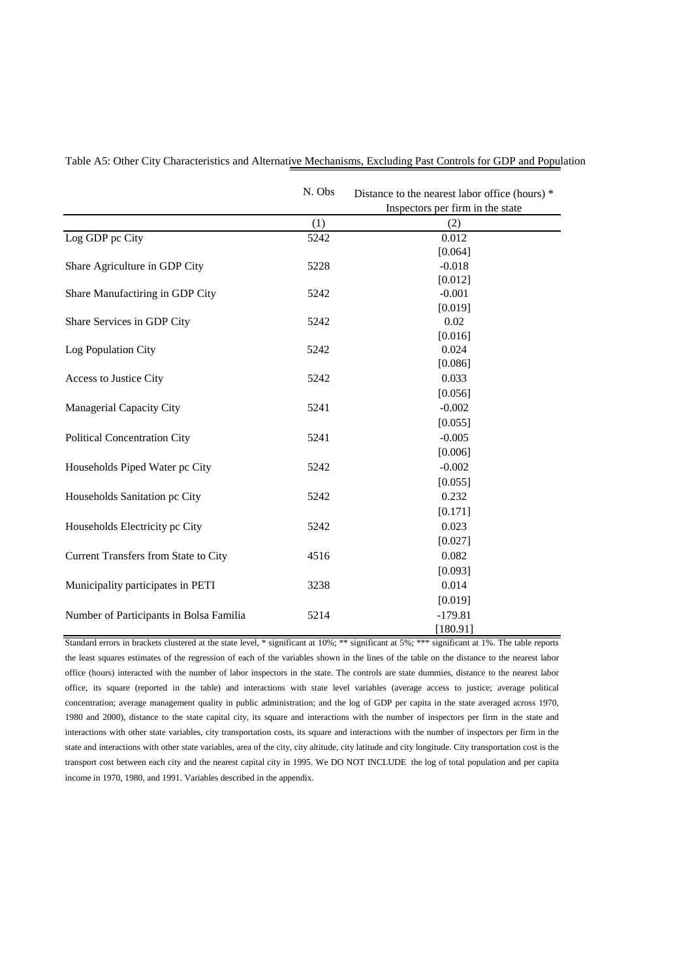|                                         | N. Obs | Distance to the nearest labor office (hours) *<br>Inspectors per firm in the state |
|-----------------------------------------|--------|------------------------------------------------------------------------------------|
|                                         | (1)    | (2)                                                                                |
| Log GDP pc City                         | 5242   | 0.012                                                                              |
|                                         |        | [0.064]                                                                            |
| Share Agriculture in GDP City           | 5228   | $-0.018$                                                                           |
|                                         |        | [0.012]                                                                            |
| Share Manufactiring in GDP City         | 5242   | $-0.001$                                                                           |
|                                         |        | [0.019]                                                                            |
| Share Services in GDP City              | 5242   | 0.02                                                                               |
|                                         |        | [0.016]                                                                            |
| Log Population City                     | 5242   | 0.024                                                                              |
|                                         |        | [0.086]                                                                            |
| Access to Justice City                  | 5242   | 0.033                                                                              |
|                                         |        | [0.056]                                                                            |
| <b>Managerial Capacity City</b>         | 5241   | $-0.002$                                                                           |
|                                         |        | [0.055]                                                                            |
| <b>Political Concentration City</b>     | 5241   | $-0.005$                                                                           |
|                                         |        | [0.006]                                                                            |
| Households Piped Water pc City          | 5242   | $-0.002$                                                                           |
|                                         |        | [0.055]                                                                            |
| Households Sanitation pc City           | 5242   | 0.232                                                                              |
|                                         |        | [0.171]                                                                            |
| Households Electricity pc City          | 5242   | 0.023                                                                              |
|                                         |        | [0.027]                                                                            |
| Current Transfers from State to City    | 4516   | 0.082                                                                              |
|                                         |        | [0.093]                                                                            |
| Municipality participates in PETI       | 3238   | 0.014                                                                              |
|                                         |        | [0.019]                                                                            |
| Number of Participants in Bolsa Familia | 5214   | $-179.81$                                                                          |
|                                         |        | [180.91]                                                                           |

Table A5: Other City Characteristics and Alternative Mechanisms, Excluding Past Controls for GDP and Population

Standard errors in brackets clustered at the state level, \* significant at 10%; \*\* significant at 5%; \*\*\* significant at 1%. The table reports the least squares estimates of the regression of each of the variables shown in the lines of the table on the distance to the nearest labor office (hours) interacted with the number of labor inspectors in the state. The controls are state dummies, distance to the nearest labor office, its square (reported in the table) and interactions with state level variables (average access to justice; average political concentration; average management quality in public administration; and the log of GDP per capita in the state averaged across 1970, 1980 and 2000), distance to the state capital city, its square and interactions with the number of inspectors per firm in the state and interactions with other state variables, city transportation costs, its square and interactions with the number of inspectors per firm in the state and interactions with other state variables, area of the city, city altitude, city latitude and city longitude. City transportation cost is the transport cost between each city and the nearest capital city in 1995. We DO NOT INCLUDE the log of total population and per capita income in 1970, 1980, and 1991. Variables described in the appendix.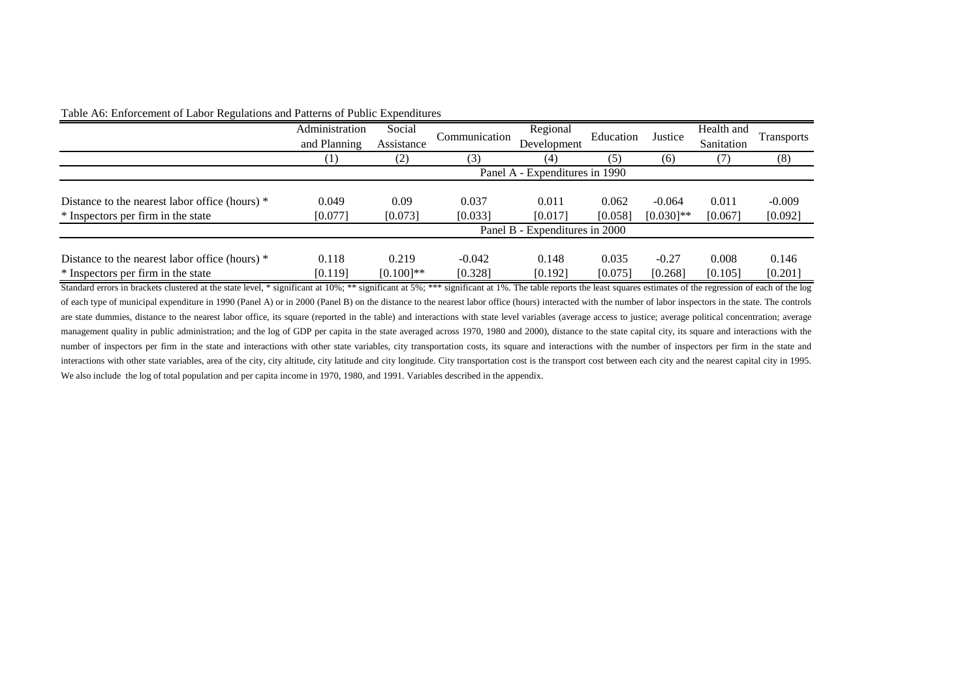|                                                                                      | Administration<br>and Planning | Social<br>Assistance  | Communication       | Regional<br>Development        | Education        | Justice                  | Health and<br>Sanitation | <b>Transports</b>   |
|--------------------------------------------------------------------------------------|--------------------------------|-----------------------|---------------------|--------------------------------|------------------|--------------------------|--------------------------|---------------------|
|                                                                                      | $\left(1\right)$               | (2)                   | 3)                  | (4)                            | (5)              | (6)                      | (7)                      | (8)                 |
|                                                                                      |                                |                       |                     | Panel A - Expenditures in 1990 |                  |                          |                          |                     |
| Distance to the nearest labor office (hours) *<br>* Inspectors per firm in the state | 0.049<br>[0.077]               | 0.09<br>[0.073]       | 0.037<br>[0.033]    | 0.011<br>[0.017]               | 0.062<br>[0.058] | $-0.064$<br>$[0.030]$ ** | 0.011<br>[0.067]         | $-0.009$<br>[0.092] |
|                                                                                      | Panel B - Expenditures in 2000 |                       |                     |                                |                  |                          |                          |                     |
| Distance to the nearest labor office (hours) *<br>* Inspectors per firm in the state | 0.118<br>[0.119]               | 0.219<br>$[0.100]$ ** | $-0.042$<br>[0.328] | 0.148<br>[0.192]               | 0.035<br>[0.075] | $-0.27$<br>[0.268]       | 0.008<br>[0.105]         | 0.146<br>[0.201]    |

## Table A6: Enforcement of Labor Regulations and Patterns of Public Expenditures

Standard errors in brackets clustered at the state level, \* significant at 10%; \*\* significant at 5%; \*\*\* significant at 1%. The table reports the least squares estimates of the regression of each of the log of each type of municipal expenditure in 1990 (Panel A) or in 2000 (Panel B) on the distance to the nearest labor office (hours) interacted with the number of labor inspectors in the state. The controls are state dummies, distance to the nearest labor office, its square (reported in the table) and interactions with state level variables (average access to justice; average political concentration; average management quality in public administration; and the log of GDP per capita in the state averaged across 1970, 1980 and 2000), distance to the state capital city, its square and interactions with the number of inspectors per firm in the state and interactions with other state variables, city transportation costs, its square and interactions with the number of inspectors per firm in the state and interactions with other state variables, area of the city, city altitude, city latitude and city longitude. City transportation cost is the transport cost between each city and the nearest capital city in 1995. We also include the log of total population and per capita income in 1970, 1980, and 1991. Variables described in the appendix.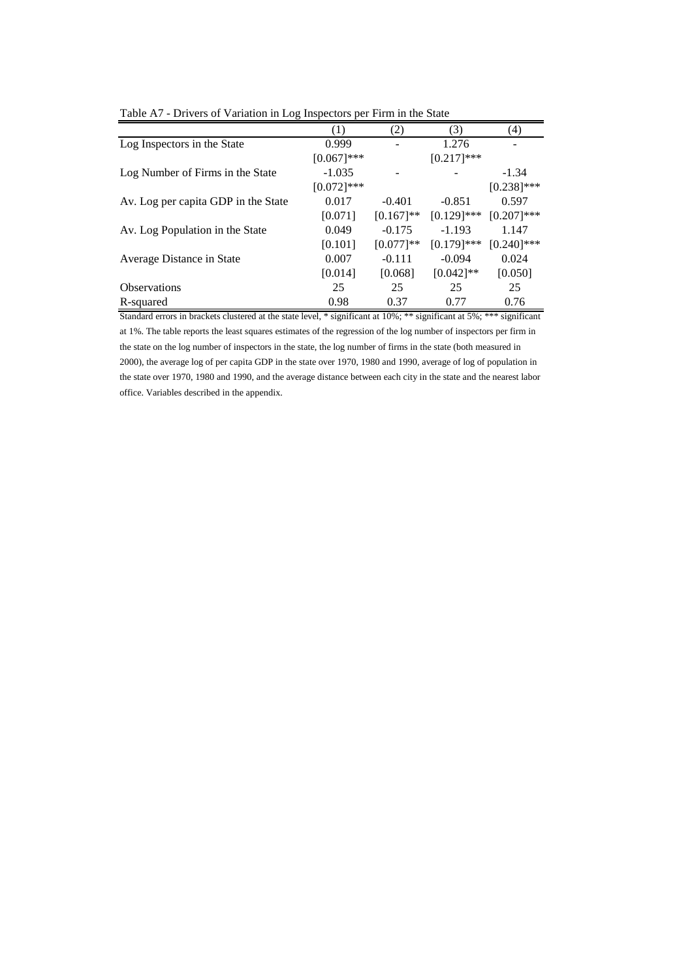|                                     | (1)           | (2)          | (3)           | (4)           |
|-------------------------------------|---------------|--------------|---------------|---------------|
| Log Inspectors in the State         | 0.999         |              | 1.276         |               |
|                                     | $[0.067]***$  |              | $[0.217]***$  |               |
| Log Number of Firms in the State    | $-1.035$      |              |               | $-1.34$       |
|                                     | $[0.072]$ *** |              |               | $[0.238]$ *** |
| Av. Log per capita GDP in the State | 0.017         | $-0.401$     | $-0.851$      | 0.597         |
|                                     | [0.071]       | $[0.167]$ ** | $[0.129]$ *** | $[0.207]$ *** |
| Av. Log Population in the State     | 0.049         | $-0.175$     | $-1.193$      | 1.147         |
|                                     | [0.101]       | $[0.077]**$  | $[0.179]$ *** | $[0.240]$ *** |
| Average Distance in State           | 0.007         | $-0.111$     | $-0.094$      | 0.024         |
|                                     | [0.014]       | [0.068]      | $[0.042]$ **  | [0.050]       |
| <b>Observations</b>                 | 25            | 25           | 25            | 25            |
| R-squared                           | 0.98          | 0.37         | 0.77          | 0.76          |

Table A7 - Drivers of Variation in Log Inspectors per Firm in the State

Standard errors in brackets clustered at the state level, \* significant at 10%; \*\* significant at 5%; \*\*\* significant at 1%. The table reports the least squares estimates of the regression of the log number of inspectors per firm in the state on the log number of inspectors in the state, the log number of firms in the state (both measured in 2000), the average log of per capita GDP in the state over 1970, 1980 and 1990, average of log of population in the state over 1970, 1980 and 1990, and the average distance between each city in the state and the nearest labor office. Variables described in the appendix.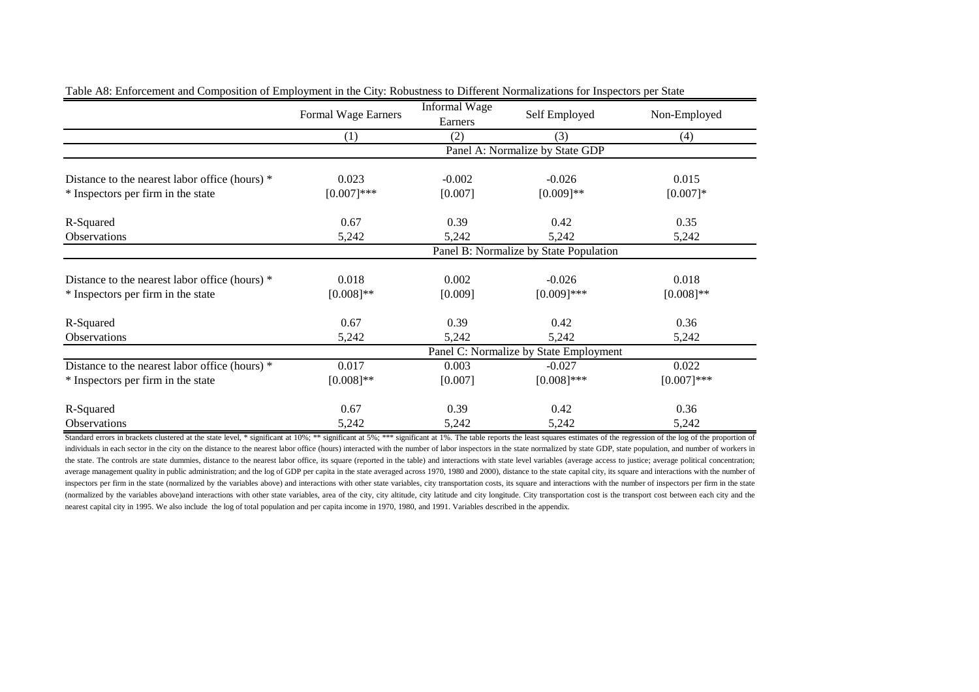|                                                | Formal Wage Earners                    | <b>Informal Wage</b> | Self Employed                   | Non-Employed |  |  |  |  |
|------------------------------------------------|----------------------------------------|----------------------|---------------------------------|--------------|--|--|--|--|
|                                                |                                        | Earners              |                                 |              |  |  |  |  |
|                                                | (1)                                    | (2)                  | (3)                             | (4)          |  |  |  |  |
|                                                |                                        |                      | Panel A: Normalize by State GDP |              |  |  |  |  |
| Distance to the nearest labor office (hours) * | 0.023                                  | $-0.002$             | $-0.026$                        | 0.015        |  |  |  |  |
| * Inspectors per firm in the state             | $[0.007]***$                           | [0.007]              | $[0.009]**$                     | $[0.007]*$   |  |  |  |  |
| R-Squared                                      | 0.67                                   | 0.39                 | 0.42                            | 0.35         |  |  |  |  |
| Observations                                   | 5,242                                  | 5,242                | 5,242                           | 5,242        |  |  |  |  |
|                                                | Panel B: Normalize by State Population |                      |                                 |              |  |  |  |  |
| Distance to the nearest labor office (hours) * | 0.018                                  | 0.002                | $-0.026$                        | 0.018        |  |  |  |  |
| * Inspectors per firm in the state             | $[0.008]$ **                           | [0.009]              | $[0.009]$ ***                   | $[0.008]$ ** |  |  |  |  |
| R-Squared                                      | 0.67                                   | 0.39                 | 0.42                            | 0.36         |  |  |  |  |
| Observations                                   | 5,242                                  | 5,242                | 5,242                           | 5,242        |  |  |  |  |
|                                                | Panel C: Normalize by State Employment |                      |                                 |              |  |  |  |  |
| Distance to the nearest labor office (hours) * | 0.017                                  | 0.003                | $-0.027$                        | 0.022        |  |  |  |  |
| * Inspectors per firm in the state             | $[0.008]**$                            | [0.007]              | $[0.008]$ ***                   | $[0.007]***$ |  |  |  |  |
| R-Squared                                      | 0.67                                   | 0.39                 | 0.42                            | 0.36         |  |  |  |  |
| Observations                                   | 5,242                                  | 5,242                | 5,242                           | 5,242        |  |  |  |  |

Standard errors in brackets clustered at the state level, \* significant at 10%; \*\* significant at 5%; \*\*\* significant at 1%. The table reports the least squares estimates of the regression of the log of the proportion of individuals in each sector in the city on the distance to the nearest labor office (hours) interacted with the number of labor inspectors in the state normalized by state GDP, state population, and number of workers in the state. The controls are state dummies, distance to the nearest labor office, its square (reported in the table) and interactions with state level variables (average access to justice; average political concentration; average management quality in public administration; and the log of GDP per capita in the state averaged across 1970, 1980 and 2000), distance to the state capital city, its square and interactions with the number of inspectors per firm in the state (normalized by the variables above) and interactions with other state variables, city transportation costs, its square and interactions with the number of inspectors per firm in the state (normalized by the variables above)and interactions with other state variables, area of the city, city altitude, city latitude and city longitude. City transportation cost is the transport cost between each city and the nearest capital city in 1995. We also include the log of total population and per capita income in 1970, 1980, and 1991. Variables described in the appendix.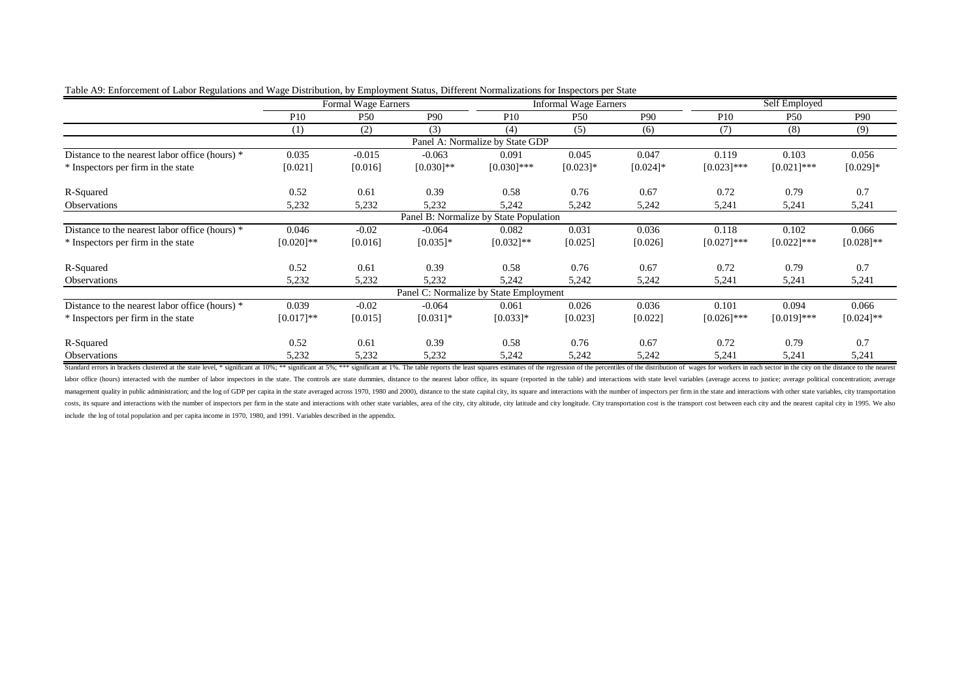|                                                | Formal Wage Earners |          |              | <b>Informal</b> Wage Earners           |                 |                 | Self Employed   |                 |                 |
|------------------------------------------------|---------------------|----------|--------------|----------------------------------------|-----------------|-----------------|-----------------|-----------------|-----------------|
|                                                | P <sub>10</sub>     | P50      | P90          | P <sub>10</sub>                        | P <sub>50</sub> | P <sub>90</sub> | P <sub>10</sub> | P <sub>50</sub> | P <sub>90</sub> |
|                                                | (1)                 | (2)      | (3)          | (4)                                    | (5)             | (6)             | (7)             | (8)             | (9)             |
|                                                |                     |          |              | Panel A: Normalize by State GDP        |                 |                 |                 |                 |                 |
| Distance to the nearest labor office (hours) * | 0.035               | $-0.015$ | $-0.063$     | 0.091                                  | 0.045           | 0.047           | 0.119           | 0.103           | 0.056           |
| * Inspectors per firm in the state             | [0.021]             | [0.016]  | $[0.030]$ ** | $[0.030]$ ***                          | $[0.023]$ *     | $[0.024]$ *     | $[0.023]$ ***   | $[0.021]$ ***   | $[0.029]$ *     |
| R-Squared                                      | 0.52                | 0.61     | 0.39         | 0.58                                   | 0.76            | 0.67            | 0.72            | 0.79            | 0.7             |
| Observations                                   | 5,232               | 5,232    | 5,232        | 5,242                                  | 5,242           | 5,242           | 5,241           | 5,241           | 5,241           |
|                                                |                     |          |              | Panel B: Normalize by State Population |                 |                 |                 |                 |                 |
| Distance to the nearest labor office (hours) * | 0.046               | $-0.02$  | $-0.064$     | 0.082                                  | 0.031           | 0.036           | 0.118           | 0.102           | 0.066           |
| * Inspectors per firm in the state             | $[0.020]$ **        | [0.016]  | $[0.035]$ *  | $[0.032]$ **                           | [0.025]         | [0.026]         | $[0.027]$ ***   | $[0.022]$ ***   | $[0.028]$ **    |
| R-Squared                                      | 0.52                | 0.61     | 0.39         | 0.58                                   | 0.76            | 0.67            | 0.72            | 0.79            | 0.7             |
| <b>Observations</b>                            | 5,232               | 5,232    | 5,232        | 5,242                                  | 5,242           | 5,242           | 5,241           | 5,241           | 5,241           |
|                                                |                     |          |              | Panel C: Normalize by State Employment |                 |                 |                 |                 |                 |
| Distance to the nearest labor office (hours) * | 0.039               | $-0.02$  | $-0.064$     | 0.061                                  | 0.026           | 0.036           | 0.101           | 0.094           | 0.066           |
| * Inspectors per firm in the state             | $[0.017]**$         | [0.015]  | $[0.031]$ *  | $[0.033]$ *                            | [0.023]         | [0.022]         | $[0.026]$ ***   | $[0.019]$ ***   | $[0.024]$ **    |
| R-Squared                                      | 0.52                | 0.61     | 0.39         | 0.58                                   | 0.76            | 0.67            | 0.72            | 0.79            | 0.7             |
| Observations                                   | 5,232               | 5,232    | 5,232        | 5,242                                  | 5,242           | 5,242           | 5,241           | 5,241           | 5,241           |

| Table A9: Enforcement of Labor Regulations and Wage Distribution, by Employment Status, Different Normalizations for Inspectors per State |  |  |
|-------------------------------------------------------------------------------------------------------------------------------------------|--|--|
|                                                                                                                                           |  |  |
|                                                                                                                                           |  |  |

Standard errors in brackets clustered at the state level, \* significant at 10%; \*\* significant at 10%; \*\* significant at 19%; \*\*\* significant at 19%; \*\*\* significant at 19%; \*\*\* significant at 19%; The table reports the le labor office (hours) interacted with the number of labor inspectors in the state. The controls are state dummies, distance to the nearest labor office, its square (reported in the table) and interactions with state level v management quality in public administration; and the log of GDP per capita in the state averaged across 1970, 1980 and 2000), distance to the state capital city, its square and interactions with the number of inspectors pe costs, its square and interactions with the number of inspectors per firm in the state and interactions with other state variables, area of the city, city altitude, city latitude and eity longitude. City transportation cos include the log of total population and per capita income in 1970, 1980, and 1991. Variables described in the appendix.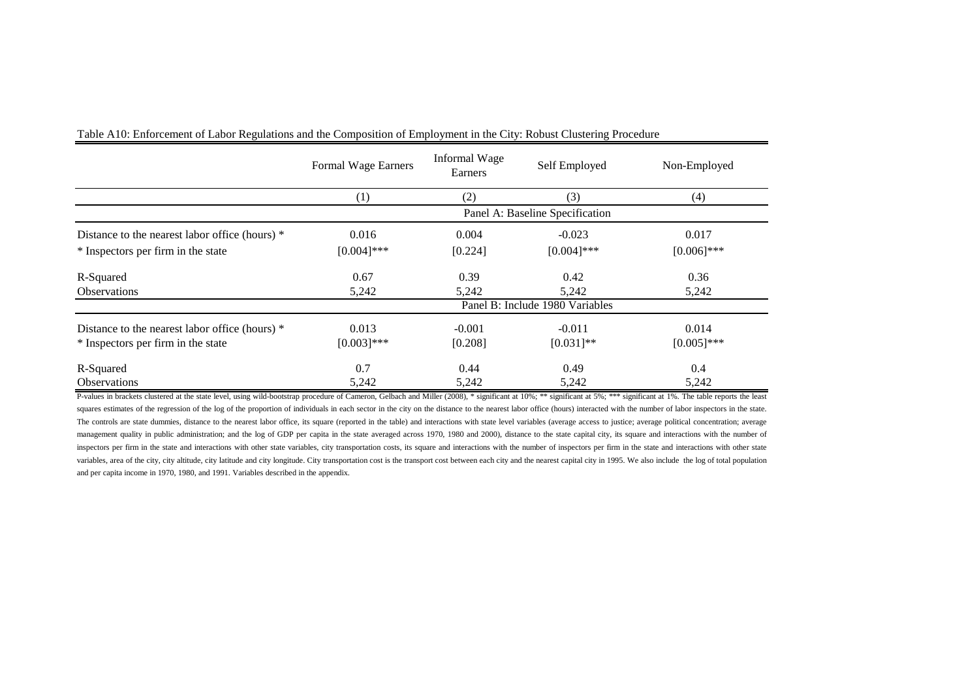|                                                | Formal Wage Earners             | Informal Wage<br>Earners | Self Employed                   | Non-Employed  |  |  |
|------------------------------------------------|---------------------------------|--------------------------|---------------------------------|---------------|--|--|
|                                                | (1)                             | (2)                      | (3)                             | (4)           |  |  |
|                                                |                                 |                          | Panel A: Baseline Specification |               |  |  |
| Distance to the nearest labor office (hours) * | 0.016                           | 0.004                    | $-0.023$                        | 0.017         |  |  |
| * Inspectors per firm in the state             | $[0.004]$ ***                   | [0.224]                  | $[0.004]$ ***                   | $[0.006]$ *** |  |  |
| R-Squared                                      | 0.67                            | 0.39                     | 0.42                            | 0.36          |  |  |
| <b>Observations</b>                            | 5,242                           | 5,242                    | 5.242                           | 5,242         |  |  |
|                                                | Panel B: Include 1980 Variables |                          |                                 |               |  |  |
| Distance to the nearest labor office (hours) * | 0.013                           | $-0.001$                 | $-0.011$                        | 0.014         |  |  |
| * Inspectors per firm in the state             | $[0.003]$ ***                   | [0.208]                  | $[0.031]$ **                    | $[0.005]$ *** |  |  |
| R-Squared                                      | 0.7                             | 0.44                     | 0.49                            | 0.4           |  |  |
| <b>Observations</b>                            | 5,242                           | 5,242                    | 5,242                           | 5,242         |  |  |

Table A10: Enforcement of Labor Regulations and the Composition of Employment in the City: Robust Clustering Procedure

P-values in brackets clustered at the state level, using wild-bootstrap procedure of Cameron, Gelbach and Miller (2008), \* significant at 10%; \*\* significant at 5%; \*\*\* significant at 1%. The table reports the least squares estimates of the regression of the log of the proportion of individuals in each sector in the city on the distance to the nearest labor office (hours) interacted with the number of labor inspectors in the state. The controls are state dummies, distance to the nearest labor office, its square (reported in the table) and interactions with state level variables (average access to justice; average political concentration; average management quality in public administration; and the log of GDP per capita in the state averaged across 1970, 1980 and 2000), distance to the state capital city, its square and interactions with the number of inspectors per firm in the state and interactions with other state variables, city transportation costs, its square and interactions with the number of inspectors per firm in the state and interactions with other state variables, area of the city, city altitude, city latitude and city longitude. City transportation cost is the transport cost between each city and the nearest capital city in 1995. We also include the log of total populati and per capita income in 1970, 1980, and 1991. Variables described in the appendix.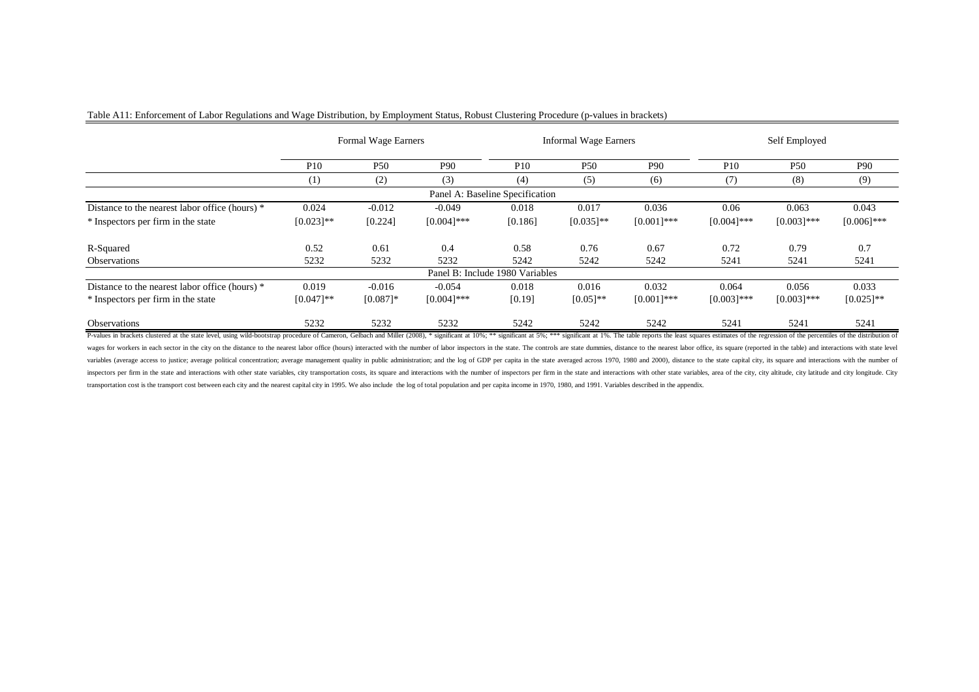|                                                |                 | Formal Wage Earners |                 |                                 | <b>Informal Wage Earners</b> |                 |               | Self Employed   |               |
|------------------------------------------------|-----------------|---------------------|-----------------|---------------------------------|------------------------------|-----------------|---------------|-----------------|---------------|
|                                                | P <sub>10</sub> | P <sub>50</sub>     | P <sub>90</sub> | P <sub>10</sub>                 | P <sub>50</sub>              | P <sub>90</sub> | P10           | P <sub>50</sub> | P90           |
|                                                | (1)             | (2)                 | (3)             | (4)                             | (5)                          | (6)             | (7)           | (8)             | (9)           |
|                                                |                 |                     |                 | Panel A: Baseline Specification |                              |                 |               |                 |               |
| Distance to the nearest labor office (hours) * | 0.024           | $-0.012$            | $-0.049$        | 0.018                           | 0.017                        | 0.036           | 0.06          | 0.063           | 0.043         |
| * Inspectors per firm in the state             | $[0.023]$ **    | [0.224]             | $[0.004]$ ***   | [0.186]                         | $[0.035]$ **                 | $[0.001]$ ***   | $[0.004]$ *** | $[0.003]$ ***   | $[0.006]$ *** |
| R-Squared                                      | 0.52            | 0.61                | 0.4             | 0.58                            | 0.76                         | 0.67            | 0.72          | 0.79            | 0.7           |
| Observations                                   | 5232            | 5232                | 5232            | 5242                            | 5242                         | 5242            | 5241          | 5241            | 5241          |
|                                                |                 |                     |                 | Panel B: Include 1980 Variables |                              |                 |               |                 |               |
| Distance to the nearest labor office (hours) * | 0.019           | $-0.016$            | $-0.054$        | 0.018                           | 0.016                        | 0.032           | 0.064         | 0.056           | 0.033         |
| * Inspectors per firm in the state             | $[0.047]$ **    | $[0.087]$ *         | $[0.004]$ ***   | [0.19]                          | $[0.05]^{**}$                | $[0.001]$ ***   | $[0.003]$ *** | $[0.003]$ ***   | $[0.025]$ **  |
| <b>Observations</b>                            | 5232            | 5232                | 5232            | 5242                            | 5242                         | 5242            | 5241          | 5241            | 5241          |

## Table A11: Enforcement of Labor Regulations and Wage Distribution, by Employment Status, Robust Clustering Procedure (p-values in brackets)

P-values in brackets clustered at the state level, using wild-bootstrap procedure of Cameron, Gelbach and Miller (2008), \* significant at 10%; \*\* significant at 5%; \*\*\* significant at 1%. The table reports the least square wages for workers in each sector in the city on the distance to the nearest labor office (hours) interacted with the number of labor inspectors in the state. The controls are state dummies, distance to the nearest labor of variables (average access to justice; average political concentration; average management quality in public administration; and the log of GDP per capita in the state averaged across 1970, 1980 and 2000), distance to the s inspectors per firm in the state and interactions with other state variables, city transportation costs, its square and interactions with the number of inspectors per firm in the state and interactions with other state var transportation cost is the transport cost between each city and the nearest capital city in 1995. We also include the log of total population and per capita income in 1970, 1980, and 1991. Variables described in the append